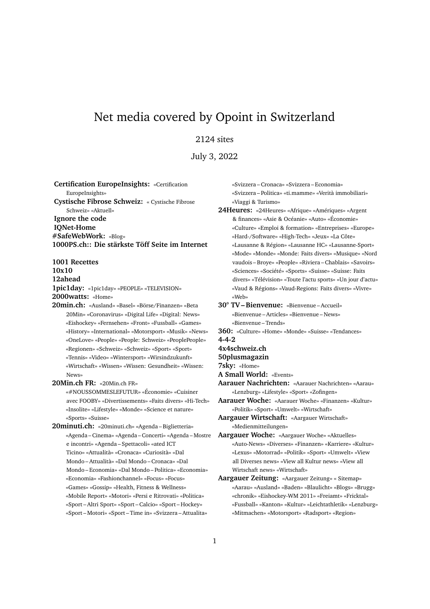# Net media covered by Opoint in Switzerland

# 2124 sites

July 3, 2022

**Certification EuropeInsights:** «Certification EuropeInsights» **Cystische Fibrose Schweiz:** « Cystische Fibrose Schweiz» «Aktuell» **Ignore the code IQNet-Home #SafeWebWork:** «Blog» **1000PS.ch:: Die stärkste Töff Seite im Internet**

**1001 Recettes 10x10 12ahead 1pic1day:** «1pic1day» «PEOPLE» «TELEVISION» **2000watts:** «Home»

**20min.ch:** «Ausland» «Basel» «Börse/Finanzen» «Beta 20Min» «Coronavirus» «Digital Life» «Digital: News» «Eishockey» «Fernsehen» «Front» «Fussball» «Games» «History» «International» «Motorsport» «Musik» «News» «OneLove» «People» «People: Schweiz» «PeoplePeople» «Regionen» «Schweiz» «Schweiz» «Sport» «Sport» «Tennis» «Video» «Wintersport» «Wirsindzukunft» «Wirtschaft» «Wissen» «Wissen: Gesundheit» «Wissen: News»

**20Min.ch FR:** «20Min.ch FR»

«#NOUSSOMMESLEFUTUR» «Économie» «Cuisiner avec FOOBY» «Divertissements» «Faits divers» «Hi-Tech» «Insolite» «Lifestyle» «Monde» «Science et nature» «Sports» «Suisse»

**20minuti.ch:** «20minuti.ch» «Agenda – Biglietteria» «Agenda – Cinema» «Agenda – Concerti» «Agenda – Mostre e incontri» «Agenda – Spettacoli» «ated ICT Ticino» «Attualità» «Cronaca» «Curiosità» «Dal Mondo – Attualità» «Dal Mondo – Cronaca» «Dal Mondo – Economia» «Dal Mondo – Politica» «Economia» «Economia» «Fashionchannel» «Focus» «Focus» «Games» «Gossip» «Health, Fitness & Wellness» «Mobile Report» «Motori» «Persi e Ritrovati» «Politica» «Sport – Altri Sport» «Sport – Calcio» «Sport – Hockey» «Sport – Motori» «Sport – Time in» «Svizzera – Attualita»

«Svizzera – Cronaca» «Svizzera – Economia» «Svizzera – Politica» «ti.mamme» «Verità immobiliari» «Viaggi & Turismo»

**24Heures:** «24Heures» «Afrique» «Amériques» «Argent & finances» «Asie & Océanie» «Auto» «Économie» «Culture» «Emploi & formation» «Entreprises» «Europe» «Hard-/Software» «High-Tech» «Jeux» «La Côte» «Lausanne & Région» «Lausanne HC» «Lausanne-Sport» «Mode» «Monde» «Monde: Faits divers» «Musique» «Nord vaudois – Broye» «People» «Riviera – Chablais» «Savoirs» «Sciences» «Société» «Sports» «Suisse» «Suisse: Faits divers» «Télévision» «Toute l'actu sports» «Un jour d'actu» «Vaud & Régions» «Vaud-Regions: Faits divers» «Vivre» «Web»

**30° TV – Bienvenue:** «Bienvenue – Accueil» «Bienvenue – Articles» «Bienvenue – News» «Bienvenue – Trends»

- **360:** «Culture» «Home» «Monde» «Suisse» «Tendances»
- **4-4-2**
- **4x4schweiz.ch**
- **50plusmagazin**
- **7sky:** «Home»
- **A Small World:** «Events»
- **Aarauer Nachrichten:** «Aarauer Nachrichten» «Aarau» «Lenzburg» «Lifestyle» «Sport» «Zofingen»
- **Aarauer Woche:** «Aarauer Woche» «Finanzen» «Kultur» «Politik» «Sport» «Umwelt» «Wirtschaft»
- **Aargauer Wirtschaft:** «Aargauer Wirtschaft» «Medienmitteilungen»
- **Aargauer Woche:** «Aargauer Woche» «Aktuelles» «Auto-News» «Diverses» «Finanzen» «Karriere» «Kultur» «Lexus» «Motorrad» «Politik» «Sport» «Umwelt» «View all Diverses news» «View all Kultur news» «View all Wirtschaft news» «Wirtschaft»
- **Aargauer Zeitung:** «Aargauer Zeitung» « Sitemap» «Aarau» «Ausland» «Baden» «Blaulicht» «Blogs» «Brugg» «chronik» «Eishockey-WM 2011» «Freiamt» «Fricktal» «Fussball» «Kanton» «Kultur» «Leichtathletik» «Lenzburg» «Mitmachen» «Motorsport» «Radsport» «Region»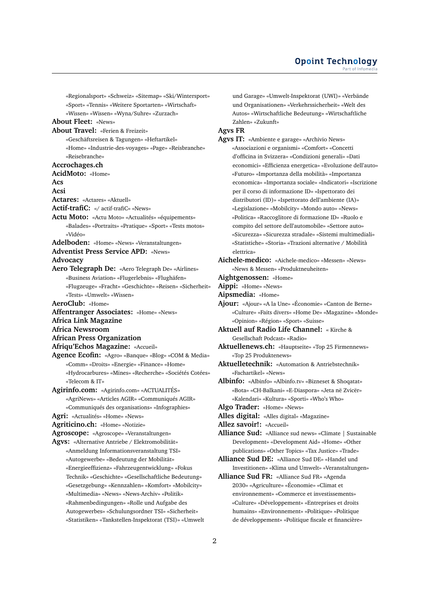«Regionalsport» «Schweiz» «Sitemap» «Ski/Wintersport» «Sport» «Tennis» «Weitere Sportarten» «Wirtschaft» «Wissen» «Wissen» «Wyna/Suhre» «Zurzach» **About Fleet:** «News» **About Travel:** «Ferien & Freizeit» «Geschäftsreisen & Tagungen» «Heftartikel» «Home» «Industrie-des-voyages» «Page» «Reisbranche» «Reisebranche» **Accrochages.ch AcidMoto:** «Home» **Acs Acsi Actares:** «Actares» «Aktuell» **Actif-trafiC:** «/ actif-trafiC» «News» **Actu Moto:** «Actu Moto» «Actualités» «équipements» «Balades» «Portraits» «Pratique» «Sport» «Tests motos» «Vidéo» **Adelboden:** «Home» «News» «Veranstaltungen» **Adventist Press Service APD:** «News» **Advocacy Aero Telegraph De:** «Aero Telegraph De» «Airlines» «Business Aviation» «Flugerlebnis» «Flughäfen» «Flugzeuge» «Fracht» «Geschichte» «Reisen» «Sicherheit» «Tests» «Umwelt» «Wissen» **AeroClub:** «Home» **Affentranger Associates:** «Home» «News» **Africa Link Magazine Africa Newsroom African Press Organization Afriqu'Echos Magazine:** «Accueil» **Agence Ecofin:** «Agro» «Banque» «Blog» «COM & Media» «Comm» «Droits» «Energie» «Finance» «Home» «Hydrocarbures» «Mines» «Recherche» «Sociétés Cotées» «Telecom & IT» **Agirinfo.com:** «Agirinfo.com» «ACTUALITÉS» «AgriNews» «Articles AGIR» «Communiqués AGIR» «Communiqués des organisations» «Infographies» **Agri:** «Actualités» «Home» «News» **Agriticino.ch:** «Home» «Notizie» **Agroscope:** «Agroscope» «Veranstaltungen» **Agvs:** «Alternative Antriebe / Elektromobilität» «Anmeldung Informationsveranstaltung TSI» «Autogewerbe» «Bedeutung der Mobilität» «Energieeffizienz» «Fahrzeugentwicklung» «Fokus Technik» «Geschichte» «Gesellschaftliche Bedeutung» «Gesetzgebung» «Kennzahlen» «Komfort» «Mobilcity» «Multimedia» «News» «News-Archiv» «Politik» «Rahmenbedingungen» «Rolle und Aufgabe des Autogewerbes» «Schulungsordner TSI» «Sicherheit»

«Statistiken» «Tankstellen-Inspektorat (TSI)» «Umwelt

und Garage» «Umwelt-Inspektorat (UWI)» «Verbände und Organisationen» «Verkehrssicherheit» «Welt des Autos» «Wirtschaftliche Bedeutung» «Wirtschaftliche Zahlen» «Zukunft»

### **Agvs FR**

**Agvs IT:** «Ambiente e garage» «Archivio News» «Associazioni e organismi» «Comfort» «Concetti d'officina in Svizzera» «Condizioni generali» «Dati economici» «Efficienza energetica» «Evoluzione dell'auto» «Futuro» «Importanza della mobilità» «Importanza economica» «Importanza sociale» «Indicatori» «Iscrizione per il corso di informazione ID» «Ispettorato dei distributori (ID)» «Ispettorato dell'ambiente (IA)» «Legislazione» «Mobilcity» «Mondo auto» «News» «Politica» «Raccoglitore di formazione ID» «Ruolo e compito del settore dell'automobile» «Settore auto» «Sicurezza» «Sicurezza stradale» «Sistemi multimediali» «Statistiche» «Storia» «Trazioni alternative / Mobilità elettrica»

- **Aichele-medico:** «Aichele-medico» «Messen» «News» «News & Messen» «Produktneuheiten»
- **Aightgenossen:** «Home»
- **Aippi:** «Home» «News»
- **Aipsmedia:** «Home»

**Ajour:** «Ajour» «A la Une» «Économie» «Canton de Berne» «Culture» «Faits divers» «Home De» «Magazine» «Monde» «Opinion» «Région» «Sport» «Suisse»

- **Aktuell auf Radio Life Channel:** « Kirche & Gesellschaft Podcast» «Radio»
- **Aktuellenews.ch:** «Hauptseite» «Top 25 Firmennews» «Top 25 Produktenews»
- **Aktuelletechnik:** «Automation & Antriebstechnik» «Fachartikel» «News»
- **Albinfo:** «Albinfo» «Albinfo.tv» «Bizneset & Shoqatat» «Bota» «CH-Balkani» «E-Diaspora» «Jeta në Zvicër» «Kalendari» «Kultura» «Sporti» «Who's Who»
- **Algo Trader:** «Home» «News»
- **Alles digital:** «Alles digital» «Magazine»
- **Allez savoir!:** «Accueil»
- **Alliance Sud:** «Alliance sud news» «Climate | Sustainable Development» «Development Aid» «Home» «Other publications» «Other Topics» «Tax Justice» «Trade»
- **Alliance Sud DE:** «Alliance Sud DE» «Handel und Investitionen» «Klima und Umwelt» «Veranstaltungen»
- **Alliance Sud FR:** «Alliance Sud FR» «Agenda 2030» «Agriculture» «Économie» «Climat et environnement» «Commerce et investissements» «Culture» «Développement» «Entreprises et droits humains» «Environnement» «Politique» «Politique de développement» «Politique fiscale et financière»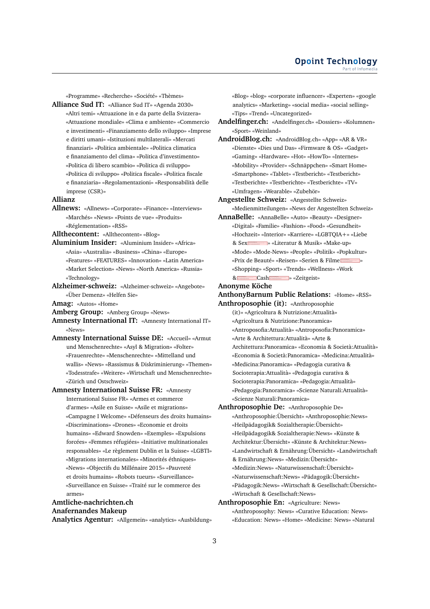«Programme» «Recherche» «Société» «Thèmes»

**Alliance Sud IT:** «Alliance Sud IT» «Agenda 2030» «Altri temi» «Attuazione in e da parte della Svizzera» «Attuazione mondiale» «Clima e ambiente» «Commercio e investimenti» «Finanziamento dello sviluppo» «Imprese e diritti umani» «Istituzioni multilaterali» «Mercati finanziari» «Politica ambientale» «Politica climatica e finanziamento del clima» «Politica d'investimento» «Politica di libero scambio» «Politica di sviluppo» «Politica di sviluppo» «Politica fiscale» «Politica fiscale e finanziaria» «Regolamentazioni» «Responsabilità delle imprese (CSR)»

#### **Allianz**

**Allnews:** «Allnews» «Corporate» «Finance» «Interviews» «Marchés» «News» «Points de vue» «Produits» «Réglementation» «RSS»

**Allthecontent:** «Allthecontent» «Blog»

- **Aluminium Insider:** «Aluminium Insider» «Africa» «Asia» «Australia» «Business» «China» «Europe» «Features» «FEATURES» «Innovation» «Latin America» «Market Selection» «News» «North America» «Russia» «Technology»
- **Alzheimer-schweiz:** «Alzheimer-schweiz» «Angebote» «Über Demenz» «Helfen Sie»
- **Amag:** «Autos» «Home»
- **Amberg Group:** «Amberg Group» «News»
- **Amnesty International IT:** «Amnesty International IT» «News»
- **Amnesty International Suisse DE:** «Accueil» «Armut und Menschenrechte» «Asyl & Migration» «Folter» «Frauenrechte» «Menschenrechte» «Mittelland und wallis» «News» «Rassismus & Diskriminierung» «Themen» «Todesstrafe» «Weitere» «Wirtschaft und Menschenrechte» «Zürich und Ostschweiz»
- **Amnesty International Suisse FR:** «Amnesty International Suisse FR» «Armes et commerce d'armes» «Asile en Suisse» «Asile et migrations» «Campagne I Welcome» «Défenseurs des droits humains» «Discriminations» «Drones» «Economie et droits humains» «Edward Snowden» «Exemples» «Expulsions forcées» «Femmes réfugiées» «Initiative multinationales responsables» «Le règlement Dublin et la Suisse» «LGBTI» «Migrations internationales» «Minorités éthniques» «News» «Objectifs du Millénaire 2015» «Pauvreté et droits humains» «Robots tueurs» «Surveillance» «Surveillance en Suisse» «Traité sur le commerce des armes»

### **Amtliche-nachrichten.ch Anafernandes Makeup Analytics Agentur:** «Allgemein» «analytics» «Ausbildung»

«Blog» «blog» «corporate influencer» «Experten» «google analytics» «Marketing» «social media» «social selling» «Tips» «Trend» «Uncategorized»

- **Andelfinger.ch:** «Andelfinger.ch» «Dossiers» «Kolumnen» «Sport» «Weinland»
- **AndroidBlog.ch:** «AndroidBlog.ch» «App» «AR & VR» «Dienste» «Dies und Das» «Firmware & OS» «Gadget» «Gaming» «Hardware» «Hot» «HowTo» «Internes» «Mobility» «Provider» «Schnäppchen» «Smart Home» «Smartphone» «Tablet» «Testbericht» «Testbericht» «Testberichte» «Testberichte» «Testberichte» «TV» «Umfragen» «Wearable» «Zubehör»
- **Angestellte Schweiz:** «Angestellte Schweiz» «Medienmitteilungen» «News der Angestellten Schweiz»
- **AnnaBelle:** «AnnaBelle» «Auto» «Beauty» «Designer» «Digital» «Familie» «Fashion» «Food» «Gesundheit» «Hochzeit» «Interior» «Karriere» «LGBTQIA+» «Liebe & Sex**Norman Sexters Access** » «Literatur & Musik» «Make-up» «Mode» «Mode-News» «People» «Politik» «Popkultur» «Prix de Beauté» «Reisen» «Serien & Filme » «Shopping» «Sport» «Trends» «Wellness» «Work & Cash > «Zeitgeist»

#### **Anonyme Köche**

- **AnthonyBarnum Public Relations:** «Home» «RSS»
- **Anthroposophie (it):** «Anthroposophie (it)» «Agricoltura & Nutrizione:Attualità» «Agricoltura & Nutrizione:Panoramica» «Antroposofia:Attualità» «Antroposofia:Panoramica» «Arte & Architettura:Attualità» «Arte & Architettura:Panoramica» «Economia & Società:Attualità» «Economia & Società:Panoramica» «Medicina:Attualità» «Medicina:Panoramica» «Pedagogia curativa & Socioterapia:Attualità» «Pedagogia curativa & Socioterapia:Panoramica» «Pedagogia:Attualità» «Pedagogia:Panoramica» «Scienze Naturali:Attualità» «Scienze Naturali:Panoramica»
- **Anthroposophie De:** «Anthroposophie De» «Anthroposophie:Ubersicht» «Anthroposophie:News» ¨ «Heilpädagogik& Sozialtherapie:Übersicht» «Heilpädagogik& Sozialtherapie:News» «Künste & Architektur:Übersicht» «Künste & Architektur:News» «Landwirtschaft & Ernährung:Übersicht» «Landwirtschaft & Ernährung:News» «Medizin:Übersicht» «Medizin:News» «Naturwissenschaft:Übersicht» «Naturwissenschaft:News» «Pädagogik:Übersicht» «Pädagogik:News» «Wirtschaft & Gesellschaft:Übersicht» «Wirtschaft & Gesellschaft:News»
- **Anthroposophie En:** «Agriculture: News» «Anthroposophy: News» «Curative Education: News» «Education: News» «Home» «Medicine: News» «Natural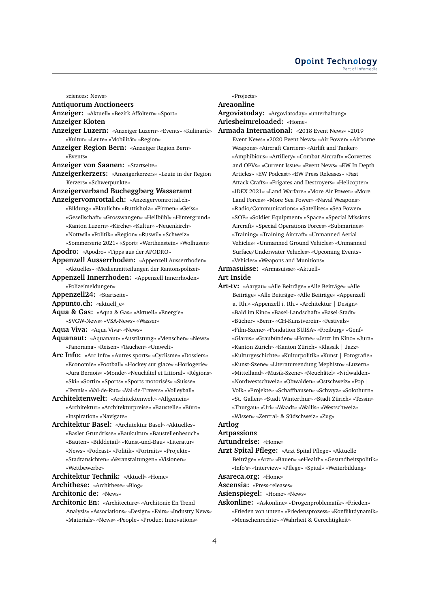# **Opoint Technology**

| sciences: News»                                                   | «Projects»                                              |
|-------------------------------------------------------------------|---------------------------------------------------------|
| <b>Antiquorum Auctioneers</b>                                     | Areaonline                                              |
| Anzeiger: «Aktuell» «Bezirk Affoltern» «Sport»                    | Argoviatoday: «Argoviatoday» «unterhaltung»             |
| Anzeiger Kloten                                                   | Arlesheimreloaded: «Home»                               |
| Anzeiger Luzern: «Anzeiger Luzern» «Events» «Kulinarik»           | Armada International: «2018 Event News» «2019           |
| «Kultur» «Leute» «Mobilität» «Region»                             | Event News» «2020 Event News» «Air Power» «Airborne     |
| Anzeiger Region Bern: «Anzeiger Region Bern»                      | Weapons» «Aircraft Carriers» «Airlift and Tanker»       |
| «Events»                                                          | «Amphibious» «Artillery» «Combat Aircraft» «Corvettes   |
| <b>Anzeiger von Saanen:</b> «Startseite»                          | and OPVs» «Current Issue» «Event News» «EW In Depth     |
| Anzeigerkerzers: «Anzeigerkerzers» «Leute in der Region           | Articles» «EW Podcast» «EW Press Releases» «Fast        |
| Kerzers» «Schwerpunkte»                                           | Attack Crafts» «Frigates and Destroyers» «Helicopter»   |
| Anzeigerverband Bucheggberg Wasseramt                             | «IDEX 2021» «Land Warfare» «More Air Power» «More       |
| Anzeigervomrottal.ch: «Anzeigervomrottal.ch»                      | Land Forces» «More Sea Power» «Naval Weapons»           |
| «Bildung» «Blaulicht» «Buttisholz» «Firmen» «Geiss»               | «Radio/Communications» «Satellites» «Sea Power»         |
| «Gesellschaft» «Grosswangen» «Hellbühl» «Hintergrund»             | «SOF» «Soldier Equipment» «Space» «Special Missions     |
| «Kanton Luzern» «Kirche» «Kultur» «Neuenkirch»                    | Aircraft» «Special Operations Forces» «Submarines»      |
| «Nottwil» «Politik» «Region» «Ruswil» «Schweiz»                   | «Training» «Training Aircraft» «Unmanned Aerial         |
| «Sommerserie 2021» «Sport» «Werthenstein» «Wolhusen»              | Vehicles» «Unmanned Ground Vehicles» «Unmanned          |
| Apodro: «Apodro» «Tipps aus der APODRO»                           | Surface/Underwater Vehicles» «Upcoming Events»          |
| Appenzell Ausserrhoden: «Appenzell Ausserrhoden»                  | «Vehicles» «Weapons and Munitions»                      |
| «Aktuelles» «Medienmitteilungen der Kantonspolizei»               | <b>Armasuisse:</b> «Armasuisse» «Aktuell»               |
| Appenzell Innerrhoden: «Appenzell Innerrhoden»                    | <b>Art Inside</b>                                       |
| «Polizeimeldungen»                                                | Art-tv: «Aargau» «Alle Beiträge» «Alle Beiträge» «Alle  |
| Appenzel124: «Startseite»                                         | Beiträge» «Alle Beiträge» «Alle Beiträge» «Appenzell    |
| Appunto.ch: «aktuell_e»                                           | a. Rh.» «Appenzell i. Rh.» «Architektur   Design»       |
| Aqua & Gas: «Aqua & Gas» «Aktuell» «Energie»                      | «Bald im Kino» «Basel-Landschaft» «Basel-Stadt»         |
| «SVGW-News» «VSA-News» «Wasser»                                   | «Bücher» «Bern» «CH-Kunstverein» «Festivals»            |
| Aqua Viva: «Aqua Viva» «News»                                     | «Film-Szene» «Fondation SUISA» «Freiburg» «Genf»        |
| <b>Aquanaut:</b> «Aquanaut» «Ausrüstung» «Menschen» «News»        | «Glarus» «Graubünden» «Home» «Jetzt im Kino» «Jura»     |
| «Panorama» «Reisen» «Tauchen» «Umwelt»                            | «Kanton Zürich» «Kanton Zürich» «Klassik   Jazz»        |
| <b>Arc Info:</b> «Arc Info» «Autres sports» «Cyclisme» «Dossiers» | «Kulturgeschichte» «Kulturpolitik» «Kunst   Fotografie» |
| «Economie» «Football» «Hockey sur glace» «Horlogerie»             | «Kunst-Szene» «Literatursendung Mephisto» «Luzern»      |
| «Jura Bernois» «Monde» «Neuchâtel et Littoral» «Régions»          | «Mittelland» «Musik-Szene» «Neuchâtel» «Nidwalden»      |
| «Ski» «Sortir» «Sports» «Sports motorisés» «Suisse»               | «Nordwestschweiz» «Obwalden» «Ostschweiz» «Pop          |
| «Tennis» «Val-de-Ruz» «Val-de-Travers» «Volleyball»               | Volk» «Projekte» «Schaffhausen» «Schwyz» «Solothurn»    |
| Architektenwelt: «Architektenwelt» «Allgemein»                    | «St. Gallen» «Stadt Winterthur» «Stadt Zürich» «Tessin» |
| «Architektur» «Architekturpreise» «Baustelle» «Büro»              | «Thurgau» «Uri» «Waadt» «Wallis» «Westschweiz»          |
| «Inspiration» «Navigate»                                          | «Wissen» «Zentral- & Südschweiz» «Zug»                  |
| Architektur Basel: «Architektur Basel» «Aktuelles»                | Artlog                                                  |
| «Basler Grundrisse» «Baukultur» «Baustellenbesuch»                | <b>Artpassions</b>                                      |
| «Bauten» «Bilddetail» «Kunst-und-Bau» «Literatur»                 | Artundreise: «Home»                                     |
| «News» «Podcast» «Politik» «Portraits» «Projekte»                 | Arzt Spital Pflege: «Arzt Spital Pflege» «Aktuelle      |
| «Stadtansichten» «Veranstaltungen» «Visionen»                     | Beiträge» «Arzt» «Bauen» «eHealth» «Gesundheitspolitik» |
| «Wettbewerbe»                                                     | «Info's» «Interview» «Pflege» «Spital» «Weiterbildung»  |
| Architektur Technik: «Aktuell» «Home»                             | Asareca.org: «Home»                                     |
| Archithese: «Archithese» «Blog»                                   | <b>Ascensia:</b> «Press-releases»                       |
| <b>Architonic de:</b> «News»                                      | Asienspiegel: «Home» «News»                             |
| Architonic En: «Architecture» «Architonic En Trend                | Askonline: «Askonline» «Drogenproblematik» «Frieden»    |
| Analysis» «Associations» «Design» «Fairs» «Industry News»         | «Frieden von unten» «Friedensprozess» «Konfliktdynamik» |

Analysis» «Associations» «Design» «Fairs» «Industry News» «Materials» «News» «People» «Product Innovations»

«Menschenrechte» «Wahrheit & Gerechtigkeit»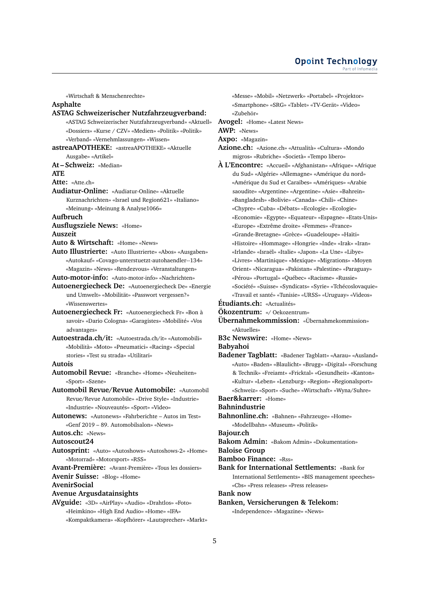#### **Opoint Technology** Part of Infomer

«Wirtschaft & Menschenrechte»

# **Asphalte**

**ASTAG Schweizerischer Nutzfahrzeugverband:** «ASTAG Schweizerischer Nutzfahrzeugverband» «Aktuell» «Dossiers» «Kurse / CZV» «Medien» «Politik» «Politik» «Verband» «Vernehmlassungen» «Wissen» **astreaAPOTHEKE:** «astreaAPOTHEKE» «Aktuelle Ausgabe» «Artikel» **At – Schweiz:** «Median» **ATE Atte:** «Atte.ch» **Audiatur-Online:** «Audiatur-Online» «Aktuelle Kurznachrichten» «Israel und Region621» «Italiano» «Meinung» «Meinung & Analyse1066» **Aufbruch Ausflugsziele News:** «Home» **Auszeit Auto & Wirtschaft:** «Home» «News» **Auto Illustrierte:** «Auto Illustrierte» «Abos» «Ausgaben» «Autokauf» «Covago-unterstuetzt-autohaendler--134» «Magazin» «News» «Rendezvous» «Veranstaltungen» **Auto-motor-info:** «Auto-motor-info» «Nachrichten» **Autoenergiecheck De:** «Autoenergiecheck De» «Energie und Umwelt» «Mobilität» «Passwort vergessen?» «Wissenswertes» **Autoenergiecheck Fr:** «Autoenergiecheck Fr» «Bon à savoir» «Dario Cologna» «Garagistes» «Mobilité» «Vos advantages» **Autoestrada.ch/it:** «Autoestrada.ch/it» «Automobili» «Mobilità» «Moto» «Pneumatici» «Racing» «Special stories» «Test su strada» «Utilitari» **Autois Automobil Revue:** «Branche» «Home» «Neuheiten» «Sport» «Szene» **Automobil Revue/Revue Automobile:** «Automobil Revue/Revue Automobile» «Drive Style» «Industrie» «Industrie» «Nouveautés» «Sport» «Video» **Autonews:** «Autonews» «Fahrberichte – Autos im Test» «Genf 2019 – 89. Automobilsalon» «News» **Autos.ch:** «News» **Autoscout24 Autosprint:** «Auto» «Autoshows» «Autoshows-2» «Home» «Motorrad» «Motorsport» «RSS» **Avant-Première:** «Avant-Première» «Tous les dossiers» **Avenir Suisse:** «Blog» «Home» **AvenirSocial**

**Avenue Argusdatainsights**

**AVguide:** «3D» «AirPlay» «Audio» «Drahtlos» «Foto» «Heimkino» «High End Audio» «Home» «IFA» «Kompaktkamera» «Kopfhörer» «Lautsprecher» «Markt» «Messe» «Mobil» «Netzwerk» «Portabel» «Projektor» «Smartphone» «SRG» «Tablet» «TV-Gerät» «Video» «Zubehör»

**Avogel:** «Home» «Latest News»

**AWP:** «News»

**Axpo:** «Magazin»

- **Azione.ch:** «Azione.ch» «Attualità» «Cultura» «Mondo migros» «Rubriche» «Società» «Tempo libero»
- **À L'Encontre:** «Accueil» «Afghanistan» «Afrique» «Afrique du Sud» «Algérie» «Allemagne» «Amérique du nord» «Amérique du Sud et Caraïbes» «Amériques» «Arabie saoudite» «Argentine» «Argentine» «Asie» «Bahrein» «Bangladesh» «Bolivie» «Canada» «Chili» «Chine» «Chypre» «Cuba» «Débats» «Ecologie» «Ecologie» «Economie» «Egypte» «Equateur» «Espagne» «Etats-Unis» «Europe» «Extrême droite» «Femmes» «France» «Grande-Bretagne» «Grèce» «Guadeloupe» «Haïti» «Histoire» «Hommage» «Hongrie» «Inde» «Irak» «Iran» «Irlande» «Israël» «Italie» «Japon» «La Une» «Libye» «Livres» «Martinique» «Mexique» «Migrations» «Moyen Orient» «Nicaragua» «Pakistan» «Palestine» «Paraguay» «Pérou» «Portugal» «Québec» «Racisme» «Russie» «Société» «Suisse» «Syndicats» «Syrie» «Tchécoslovaquie» «Travail et santé» «Tunisie» «URSS» «Uruguay» «Videos»

**Étudiants.ch:** «Actualités»

**Ökozentrum:** «/ Oekozentrum»

- **Übernahmekommission:** «Übernahmekommission» «Aktuelles»
- **B3c Newswire:** «Home» «News»

#### **Babyahoi**

**Badener Tagblatt:** «Badener Tagblatt» «Aarau» «Ausland» «Auto» «Baden» «Blaulicht» «Brugg» «Digital» «Forschung & Technik» «Freiamt» «Fricktal» «Gesundheit» «Kanton» «Kultur» «Leben» «Lenzburg» «Region» «Regionalsport» «Schweiz» «Sport» «Suche» «Wirtschaft» «Wyna/Suhre»

**Baer&karrer:** «Home»

**Bahnindustrie**

**Bahnonline.ch:** «Bahnen» «Fahrzeuge» «Home» «Modellbahn» «Museum» «Politik»

#### **Bajour.ch**

**Bakom Admin:** «Bakom Admin» «Dokumentation»

**Baloise Group**

**Bamboo Finance:** «Rss»

**Bank for International Settlements:** «Bank for International Settlements» «BIS management speeches» «Cbs» «Press releases» «Press releases»

#### **Bank now**

**Banken, Versicherungen & Telekom:**

«Independence» «Magazine» «News»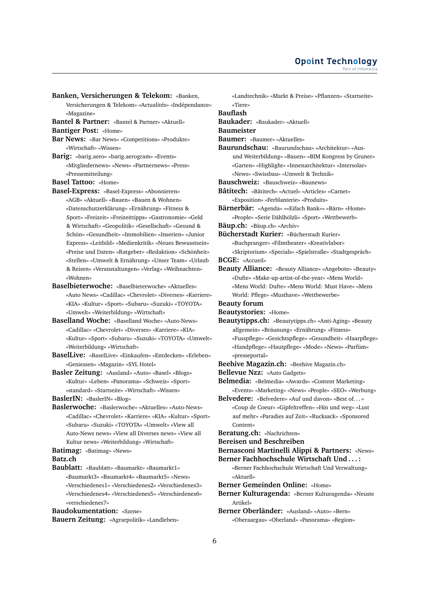- **Banken, Versicherungen & Telekom:** «Banken, Versicherungen & Telekom» «Actualités» «Indépendance» «Magazine»
- **Bantel & Partner:** «Bantel & Partner» «Aktuell»
- **Bantiger Post:** «Home»
- **Bar News:** «Bar News» «Competitions» «Produkte» «Wirtschaft» «Wissen»
- **Barig:** «barig.aero» «barig.aerogram» «Events» «Mitgliedernews» «News» «Partnernews» «Press» «Pressemitteilung»
- **Basel Tattoo:** «Home»
- **Basel-Express:** «Basel-Express» «Abonnieren» «AGB» «Aktuell» «Bauen» «Bauen & Wohnen» «Datenschutzerklärung» «Ernährung» «Fitness & Sport» «Freizeit» «Freizeittipps» «Gastronomie» «Geld & Wirtschaft» «Geopolitik» «Gesellschaft» «Gesund & Schön» «Gesundheit» «Immobilien» «Inserien» «Junior Express» «Leitbild» «Medienkritik» «Neues Bewusstsein» «Preise und Daten» «Ratgeber» «Redaktion» «Schönheit» «Stellen» «Umwelt & Ernährung» «Unser Team» «Urlaub & Reisen» «Veranstaltungen» «Verlag» «Weihnachten» «Wohnen»
- **Baselbieterwoche:** «Baselbieterwoche» «Aktuelles» «Auto News» «Cadillac» «Chevrolet» «Diverses» «Karriere» «KIA» «Kultur» «Sport» «Subaru» «Suzuki» «TOYOTA» «Umwelt» «Weiterbildung» «Wirtschaft»
- **Baselland Woche:** «Baselland Woche» «Auto-News» «Cadillac» «Chevrolet» «Diverses» «Karriere» «KIA» «Kultur» «Sport» «Subaru» «Suzuki» «TOYOTA» «Umwelt» «Weiterbildung» «Wirtschaft»
- **BaselLive:** «BaselLive» «Einkaufen» «Entdecken» «Erleben» «Geniessen» «Magazin» «SYL Hotel»
- **Basler Zeitung:** «Ausland» «Auto» «Basel» «Blogs» «Kultur» «Leben» «Panorama» «Schweiz» «Sport» «standard» «Startseite» «Wirtschaft» «Wissen»
- **BaslerIN:** «BaslerIN» «Blog»
- **Baslerwoche:** «Baslerwoche» «Aktuelles» «Auto-News» «Cadillac» «Chevrolet» «Karriere» «KIA» «Kultur» «Sport» «Subaru» «Suzuki» «TOYOTA» «Umwelt» «View all Auto-News news» «View all Diverses news» «View all Kultur news» «Weiterbildung» «Wirtschaft»
- **Batimag:** «Batimag» «News»

#### **Batz.ch**

**Baublatt:** «Baublatt» «Baumarkt» «Baumarkt1» «Baumarkt3» «Baumarkt4» «Baumarkt5» «News» «Verschiedenes1» «Verschiedenes2» «Verschiedenes3» «Verschiedenes4» «Verschiedenes5» «Verschiedenes6» «verschiedenes7»

**Baudokumentation:** «Szene»

**Bauern Zeitung:** «Agrarpolitik» «Landleben»

- «Landtechnik» «Markt & Preise» «Pflanzen» «Startseite» «Tiere» **Bauflash Baukader:** «Baukader» «Aktuell» **Baumeister Baumer:** «Baumer» «Aktuelles» **Baurundschau:** «Baurundschau» «Architektur» «Ausund Weiterbildung» «Bauen» «BIM Kongress by Gruner» «Garten» «Highlight» «Innenarchitektur» «Intersolar» «News» «Swissbau» «Umwelt & Technik» **Bauschweiz:** «Bauschweiz» «Baunews» **Bâtitech:** «Bâtitech» «Actuel» «Articles» «Carnet» «Exposition» «Ferblanterie» «Produits» **Bärnerbär:** «Agenda» ««Eifach Bank»» «Bärn» «Home» «People» «Serie Dählhölzli» «Sport» «Wettbewerb» **Bäup.ch:** «Bäup.ch» «Archiv» **Bücherstadt Kurier:** «Bücherstadt Kurier» «Buchpranger» «Filmtheater» «Kreativlabor» «Skriptorium» «Specials» «Spielstraße» «Stadtgespräch» **BCGE:** «Accueil» **Beauty Alliance:** «Beauty Alliance» «Angebote» «Beauty» «Dufte» «Make-up-artist-of-the-year» «Mens World» «Mens World: Dufte» «Mens World: Must Have» «Mens World: Pflege» «Musthave» «Wettbewerbe» **Beauty forum Beautystories:** «Home» **Beautytipps.ch:** «Beautytipps.ch» «Anti-Aging» «Beauty allgemein» «Bräunung» «Ernährung» «Fitness» «Fusspflege» «Gesichtspflege» «Gesundheit» «Haarpflege» «Handpflege» «Hautpflege» «Mode» «News» «Parfüm» «presseportal» **Beehive Magazin.ch:** «Beehive Magazin.ch» **Bellevue Nzz:** «Auto Gadgets» **Belmedia:** «Belmedia» «Awards» «Content Marketing» «Events» «Marketing» «News» «People» «SEO» «Werbung» **Belvedere:** «Belvedere» «Auf und davon» «Best of. . . » «Coup de Coeur» «Gipfeltreffen» «Hin und weg» «Lust auf mehr» «Paradies auf Zeit» «Rucksack» «Sponsored Content» **Beratung.ch:** «Nachrichten» **Bereisen und Beschreiben Bernasconi Martinelli Alippi & Partners:** «News» **Berner Fachhochschule Wirtschaft Und . . . :** «Berner Fachhochschule Wirtschaft Und Verwaltung» «Aktuell»
- **Berner Gemeinden Online:** «Home»
- **Berner Kulturagenda:** «Berner Kulturagenda» «Neuste Artikel»
- **Berner Oberländer:** «Ausland» «Auto» «Bern» «Oberaargau» «Oberland» «Panorama» «Region»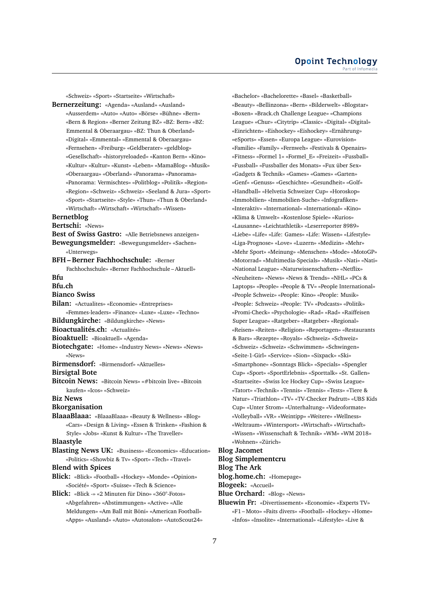«Schweiz» «Sport» «Startseite» «Wirtschaft»

**Bernerzeitung:** «Agenda» «Ausland» «Ausland» «Ausserdem» «Auto» «Auto» «Börse» «Bühne» «Bern» «Bern & Region» «Berner Zeitung BZ» «BZ: Bern» «BZ: Emmental & Oberaargau» «BZ: Thun & Oberland» «Digital» «Emmental» «Emmental & Oberaargau» «Fernsehen» «Freiburg» «Geldberater» «geldblog» «Gesellschaft» «historyreloaded» «Kanton Bern» «Kino» «Kultur» «Kultur» «Kunst» «Leben» «MamaBlog» «Musik» «Oberaargau» «Oberland» «Panorama» «Panorama» «Panorama: Vermischtes» «Politblog» «Politik» «Region» «Region» «Schweiz» «Schweiz» «Seeland & Jura» «Sport» «Sport» «Startseite» «Style» «Thun» «Thun & Oberland» «Wirtschaft» «Wirtschaft» «Wirtschaft» «Wissen» **Bernetblog**

# **Bertschi:** «News»

- 
- **Best of Swiss Gastro:** «Alle Betriebsnews anzeigen»
- **Bewegungsmelder:** «Bewegungsmelder» «Sachen» «Unterwegs»

#### **BFH – Berner Fachhochschule:** «Berner

Fachhochschule» «Berner Fachhochschule – Aktuell» **Bfu**

#### **Bfu.ch**

**Bianco Swiss**

- **Bilan:** «Actualites» «Economie» «Entreprises»
- «Femmes-leaders» «Finance» «Luxe» «Luxe» «Techno»
- **Bildungkirche:** «Bildungkirche» «News»

**Bioactualités.ch:** «Actualités»

- **Bioaktuell:** «Bioaktuell» «Agenda»
- **Biotechgate:** «Home» «Industry News» «News» «News» «News»
- **Birmensdorf:** «Birmensdorf» «Aktuelles»

# **Birsigtal Bote**

**Bitcoin News:** «Bitcoin News» «#bitcoin live» «Bitcoin kaufen» «Icos» «Schweiz»

**Biz News**

#### **Bkorganisation**

**BlaaaBlaaa:** «BlaaaBlaaa» «Beauty & Wellness» «Blog» «Cars» «Design & Living» «Essen & Trinken» «Fashion & Style» «Jobs» «Kunst & Kultur» «The Traveller»

#### **Blaastyle**

**Blasting News UK:** «Business» «Economics» «Education» «Politics» «Showbiz & Tv» «Sport» «Tech» «Travel»

#### **Blend with Spices**

**Blick:** «Blick» «Football» «Hockey» «Monde» «Opinion» «Société» «Sport» «Suisse» «Tech & Science»

**Blick:** «Blick -» «2 Minuten für Dino» «360°-Fotos» «Abgefahren» «Abstimmungen» «Active» «Alle Meldungen» «Am Ball mit Böni» «American Football» «Apps» «Ausland» «Auto» «Autosalon» «AutoScout24» «Bachelor» «Bachelorette» «Basel» «Basketball» «Beauty» «Bellinzona» «Bern» «Bilderwelt» «Blogstar» «Boxen» «Brack.ch Challenge League» «Champions League» «Chur» «Citytrip» «Classic» «Digital» «Digital» «Einrichten» «Eishockey» «Eishockey» «Ernährung» «eSports» «Essen» «Europa League» «Eurovision» «Familie» «Family» «Fernweh» «Festivals & Openairs» «Fitness» «Formel 1» «Formel\_E» «Freizeit» «Fussball» «Fussball» «Fussballer des Monats» «Fux über Sex» «Gadgets & Technik» «Games» «Games» «Garten» «Genf» «Genuss» «Geschichte» «Gesundheit» «Golf» «Handball» «Helvetia Schweizer Cup» «Horoskop» «Immobilien» «Immobilien-Suche» «Infografiken» «Interaktiv» «International» «International» «Kino» «Klima & Umwelt» «Kostenlose Spiele» «Kurios» «Lausanne» «Leichtathletik» «Leserreporter 8989» «Liebe» «Life» «Life: Games» «Life: Wissen» «Lifestyle» «Liga-Prognose» «Love» «Luzern» «Medizin» «Mehr» «Mehr Sport» «Meinung» «Menschen» «Mode» «MotoGP» «Motorrad» «Multimedia-Specials» «Musik» «Nati» «Nati» «National League» «Naturwissenschaften» «Netflix» «Neuheiten» «News» «News & Trends» «NHL» «PCs & Laptops» «People» «People & TV» «People International» «People Schweiz» «People: Kino» «People: Musik» «People: Schweiz» «People: TV» «Podcasts» «Politik» «Promi-Check» «Psychologie» «Rad» «Rad» «Raiffeisen Super League» «Ratgeber» «Ratgeber» «Regional» «Reisen» «Reiten» «Religion» «Reportagen» «Restaurants & Bars» «Rezepte» «Royals» «Schweiz» «Schweiz» «Schweiz» «Schweiz» «Schwimmen» «Schwingen» «Seite-1-Girl» «Service» «Sion» «Sixpack» «Ski» «Smartphone» «Sonntags Blick» «Specials» «Spengler Cup» «Sport» «SportErlebnis» «Sporttalk» «St. Gallen» «Startseite» «Swiss Ice Hockey Cup» «Swiss League» «Tatort» «Technik» «Tennis» «Tennis» «Tests» «Tiere & Natur» «Triathlon» «TV» «TV-Checker Padrutt» «UBS Kids Cup» «Unter Strom» «Unterhaltung» «Videoformate» «Volleyball» «VR» «Weintipp» «Weitere» «Wellness» «Weltraum» «Wintersport» «Wirtschaft» «Wirtschaft» «Wissen» «Wissenschaft & Technik» «WM» «WM 2018» «Wohnen» «Zürich»

#### **Blog Jacomet**

# **Blog Simplementcru**

**Blog The Ark**

**blog.home.ch:** «Homepage»

**Blogeek:** «Accueil»

- **Blue Orchard:** «Blog» «News»
- **Bluewin Fr:** «Divertissement» «Economie» «Experts TV» «F1 – Moto» «Faits divers» «Football» «Hockey» «Home» «Infos» «Insolite» «International» «Lifestyle» «Live &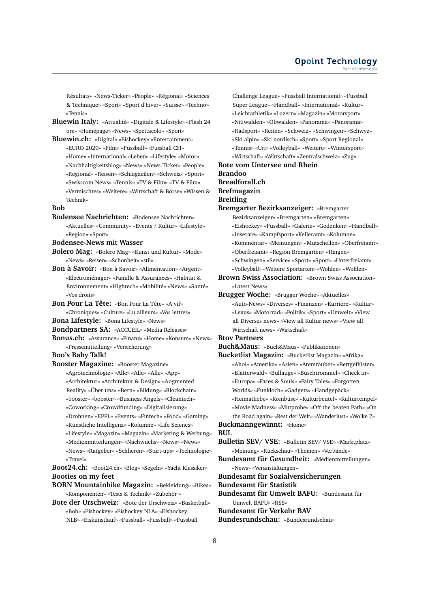Résultats» «News-Ticker» «People» «Régional» «Sciences & Technique» «Sport» «Sport d'hiver» «Suisse» «Techno» «Tennis»

- **Bluewin Italy:** «Attualità» «Digitale & Lifestyle» «Flash 24 ore» «Homepage» «News» «Spettacolo» «Sport»
- **Bluewin.ch:** «Digital» «Eishockey» «Entertainment» «EURO 2020» «Film» «Fussball» «Fussball CH» «Home» «International» «Leben» «Lifestyle» «Motor» «Nachhaltigkeitsblog» «News» «News-Ticker» «People» «Regional» «Reisen» «Schlagzeilen» «Schweiz» «Sport» «Swisscom-News» «Tennis» «TV & Film» «TV & Film» «Vermischtes» «Weitere» «Wirtschaft & Börse» «Wissen & Technik»

#### **Bob**

- **Bodensee Nachrichten:** «Bodensee Nachrichten» «Aktuelles» «Community» «Events / Kultur» «Lifestyle» «Region» «Sport»
- **Bodensee-News mit Wasser**
- **Bolero Mag:** «Bolero Mag» «Kunst und Kultur» «Mode» «News» «Reisen» «Schonheit» «stil»
- **Bon à Savoir:** «Bon à Savoir» «Alimentation» «Argent» «Electroménager» «Famille & Assurances» «Habitat & Environnement» «Hightech» «Mobilité» «News» «Santé» «Vos droits»
- **Bon Pour La Tête:** «Bon Pour La Tête» «A vif» «Chroniques» «Culture» «Lu ailleurs» «Vos lettres»
- **Bona Lifestyle:** «Bona Lifestyle» «News»
- **Bondpartners SA:** «ACCUEIL» «Media Releases»
- **Bonus.ch:** «Assurance» «Finanz» «Home» «Konsum» «News» «Pressemitteilung» «Versicherung»

### **Boo's Baby Talk!**

- **Booster Magazine:** «Booster Magazine» «Agrotechnologie» «Alle» «Alle» «Alle» «App» «Architektur» «Architektur & Design» «Augmented Reality» «Über uns» «Bern» «Bildung» «Blockchain» «booster» «booster» «Business Angels» «Cleantech» «Coworking» «Crowdfunding» «Digitalisierung»
	- «Drohnen» «EPFL» «Events» «Fintech» «Food» «Gaming»
	- «Künstliche Intelligenz» «Kolumne» «Life Scienes»
	- «Lifestyle» «Magazin» «Magazin» «Marketing & Werbung» «Medienmitteilungen» «Nachwuchs» «News» «News»
	- «News» «Ratgeber» «Schlieren» «Start-ups» «Technologie» «Travel»

**Boot24.ch:** «Boot24.ch» «Blog» «Segeln» «Yacht Klassiker» **Booties on my feet**

**BORN Mountainbike Magazin:** «Bekleidung» «Bikes» «Komponenten» «Tests & Technik» «Zubehör »

**Bote der Urschweiz:** «Bote der Urschweiz» «Basketball» «Bob» «Eishockey» «Eishockey NLA» «Eishockey NLB» «Eiskunstlauf» «Fussball» «Fussball» «Fussball

Challenge League» «Fussball International» «Fussball Super League» «Handball» «International» «Kultur» «Leichtathletik» «Luzern» «Magazin» «Motorsport» «Nidwalden» «Obwalden» «Panorama» «Panorama» «Radsport» «Reiten» «Schweiz» «Schwingen» «Schwyz» «Ski alpin» «Ski nordisch» «Sport» «Sport Regional» «Tennis» «Uri» «Volleyball» «Weitere» «Wintersport» «Wirtschaft» «Wirtschaft» «Zentralschweiz» «Zug»

**Bote vom Untersee und Rhein Brandoo Breadforall.ch Brefmagazin**

# **Breitling**

**Bremgarter Bezirksanzeiger:** «Bremgarter Bezirksanzeiger» «Bremgarten» «Bremgarten» «Eishockey» «Fussball» «Galerie» «Gedenken» «Handball» «Inserate» «Kampfsport» «Kelleramt» «Kolumne» «Kommentar» «Meinungen» «Mutschellen» «Oberfreiamt» «Oberfreiamt» «Region Bremgarten» «Ringen» «Schwingen» «Service» «Sport» «Sport» «Unterfreiamt» «Volleyball» «Weitere Sportarten» «Wohlen» «Wohlen»

**Brown Swiss Association:** «Brown Swiss Association» «Latest News»

**Brugger Woche:** «Brugger Woche» «Aktuelles» «Auto-News» «Diverses» «Finanzen» «Karriere» «Kultur» «Lexus» «Motorrad» «Politik» «Sport» «Umwelt» «View all Diverses news» «View all Kultur news» «View all Wirtschaft news» «Wirtschaft»

#### **Btov Partners**

**Buch&Maus:** «Buch&Maus» «Publikationen»

**Bucketlist Magazin:** «Bucketlist Magazin» «Afrika» «Ahoi» «Amerika» «Asien» «Atemräuber» «Bettgeflüster» «Blätterwald» «Bullauge» «Buschtrommel» «Check in» «Europa» «Faces & Souls» «Fairy Tales» «Forgotten Worlds» «Funkloch» «Gadgets» «Handgepäck» «Heimatliebe» «Kombüse» «Kulturbeutel» «Kulturtempel» «Movie Madness» «Mutprobe» «Off the beaten Path» «On the Road again» «Rest der Welt» «Wanderlust» «Wolke 7»

**Buckmanngewinnt:** «Home» **BUL**

- **Bulletin SEV/ VSE:** «Bulletin SEV/ VSE» «Marktplatz» «Meinung» «Rückschau» «Themen» «Verbände»
- **Bundesamt für Gesundheit:** «Medienmitteilungen» «News» «Veranstaltungen»

**Bundesamt für Sozialversicherungen**

- **Bundesamt für Statistik**
- **Bundesamt für Umwelt BAFU:** «Bundesamt für Umwelt BAFU» «RSS»

**Bundesamt für Verkehr BAV**

**Bundesrundschau:** «Bundesrundschau»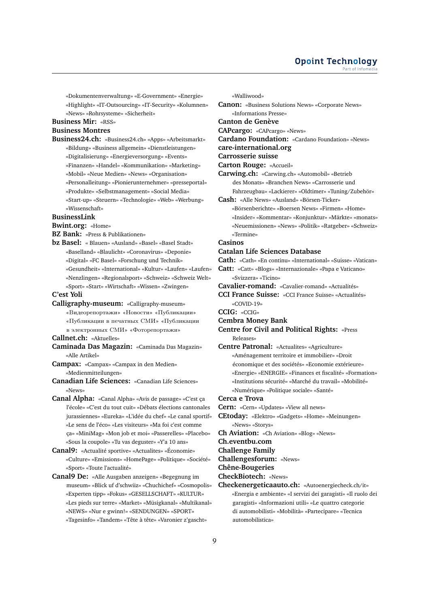#### **Opoint Technology** Part of Infomer

«Dokumentenverwaltung» «E-Government» «Energie» «Highlight» «IT-Outsourcing» «IT-Security» «Kolumnen» «News» «Rohrsysteme» «Sicherheit»

#### **Business Mir:** «RSS»

#### **Business Montres**

**Business24.ch:** «Business24.ch» «Apps» «Arbeitsmarkt» «Bildung» «Business allgemein» «Dienstleistungen» «Digitalisierung» «Energieversorgung» «Events» «Finanzen» «Handel» «Kommunikation» «Marketing» «Mobil» «Neue Medien» «News» «Organisation» «Personalleitung» «Pionierunternehmer» «presseportal» «Produkte» «Selbstmanagement» «Social Media» «Start-up» «Steuern» «Technologie» «Web» «Werbung» «Wissenschaft»

#### **BusinessLink**

**Bwint.org:** «Home»

- **BZ Bank:** «Press & Publikationen»
- **bz Basel:** « Blauen» «Ausland» «Basel» «Basel Stadt» «Baselland» «Blaulicht» «Coronavirus» «Deponie» «Digital» «FC Basel» «Forschung und Technik» «Gesundheit» «International» «Kultur» «Laufen» «Laufen» «Nenzlingen» «Regionalsport» «Schweiz» «Schweiz Welt» «Sport» «Start» «Wirtschaft» «Wissen» «Zwingen»

#### **C'est Yoli**

- **Calligraphy-museum:** «Calligraphy-museum»
	- «Видеорепортажи» «Новости» «Публикации»
	- «Публикации в печатных СМИ» «Публикации
	- в электронных СМИ» «Фоторепортажи»

**Callnet.ch:** «Aktuelles»

- **Caminada Das Magazin:** «Caminada Das Magazin» «Alle Artikel»
- **Campax:** «Campax» «Campax in den Medien» «Medienmitteilungen»
- **Canadian Life Sciences:** «Canadian Life Sciences» «News»
- **Canal Alpha:** «Canal Alpha» «Avis de passage» «C'est ça l'école» «C'est du tout cuit» «Débats élections cantonales jurassiennes» «Eureka» «L'idée du chef» «Le canal sportif» «Le sens de l'éco» «Les visiteurs» «Ma foi c'est comme ça» «MiniMag» «Mon job et moi» «Passerelles» «Placebo» «Sous la coupole» «Tu vas deguster» «Y'a 10 ans»

**Canal9:** «Actualité sportive» «Actualites» «Économie» «Culture» «Emissions» «HomePage» «Politique» «Société» «Sport» «Toute l'actualité»

**Canal9 De:** «Alle Ausgaben anzeigen» «Begegnung im museum» «Blick uf d'schwiiz» «Chuchichef» «Cosmopolis» «Experten tipp» «Fokus» «GESELLSCHAFT» «KULTUR» «Les pieds sur terre» «Market» «Müsigkanal» «Multikanal» «NEWS» «Nur e gwinn!» «SENDUNGEN» «SPORT» «Tagesinfo» «Tandem» «Tête à tête» «Varonier z'gascht»

«Walliwood»

**Canon:** «Business Solutions News» «Corporate News» «Informations Presse»

**Canton de Genève**

**CAPcargo:** «CAPcargo» «News»

**Cardano Foundation:** «Cardano Foundation» «News»

**care-international.org**

#### **Carrosserie suisse**

**Carton Rouge:** «Accueil»

- **Carwing.ch:** «Carwing.ch» «Automobil» «Betrieb des Monats» «Branchen News» «Carrosserie und
- Fahrzeugbau» «Lackierer» «Oldtimer» «Tuning/Zubehör»
- **Cash:** «Alle News» «Ausland» «Börsen-Ticker»

«Börsenberichte» «Boersen News» «Firmen» «Home» «Insider» «Kommentar» «Konjunktur» «Märkte» «monats» «Neuemissionen» «News» «Politik» «Ratgeber» «Schweiz» «Termine»

#### **Casinos**

#### **Catalan Life Sciences Database**

**Cath:** «Cath» «En continu» «International» «Suisse» «Vatican»

- **Catt:** «Catt» «Blogs» «Internazionale» «Papa e Vaticano» «Svizzera» «Ticino»
- **Cavalier-romand:** «Cavalier-romand» «Actualités»
- **CCI France Suisse:** «CCI France Suisse» «Actualités»  $\sqrt{C}$ OVID-19»

**CCIG:** «CCIG»

- **Cembra Money Bank**
- **Centre for Civil and Political Rights:** «Press Releases»
- **Centre Patronal:** «Actualites» «Agriculture» «Aménagement territoire et immobilier» «Droit économique et des sociétés» «Economie extérieure» «Energie» «ENERGIE» «Finances et fiscalité» «Formation» «Institutions sécurité» «Marché du travail» «Mobilité» «Numérique» «Politique sociale» «Santé»

**Cerca e Trova**

- **Cern:** «Cern» «Updates» «View all news»
- **CEtoday:** «Elektro» «Gadgets» «Home» «Meinungen» «News» «Storys»
- **Ch Aviation:** «Ch Aviation» «Blog» «News»
- **Ch.eventbu.com**

**Challenge Family**

**Challengesforum:** «News»

**Chêne-Bougeries**

**CheckBiotech:** «News»

**Checkenergeticaauto.ch:** «Autoenergiecheck.ch/it» «Energia e ambiente» «I servizi dei garagisti» «Il ruolo dei garagisti» «Informazioni utili» «Le quattro categorie di automobilisti» «Mobilità» «Partecipare» «Tecnica automobilistica»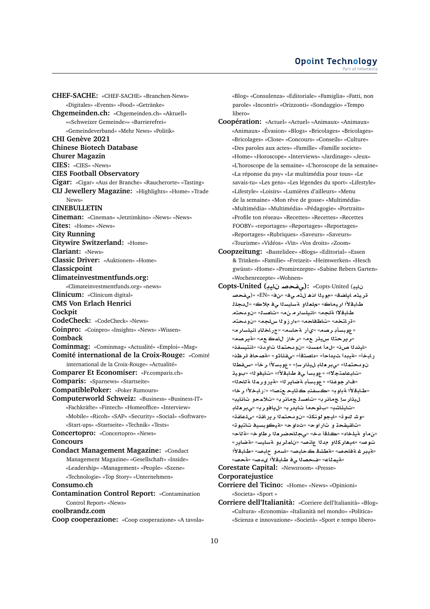**CHEF-SACHE:** «CHEF-SACHE» «Branchen-News» «Digitales» «Events» «Food» «Getränke» **Chgemeinden.ch:** «Chgemeinden.ch» «Aktuell» ««Schweizer Gemeinde»» «Barrierefrei» «Gemeindeverband» «Mehr News» «Politik» **CHI Genève 2021 Chinese Biotech Database Churer Magazin CIES:** «CIES» «News» **CIES Football Observatory Cigar:** «Cigar» «Aus der Branche» «Raucherorte» «Tasting» **CIJ Jewellery Magazine:** «Highlights» «Home» «Trade News» **CINEBULLETIN Cineman:** «Cineman» «Jetztimkino» «News» «News» **Cites:** «Home» «News» **City Running Citywire Switzerland:** «Home» **Clariant:** «News» **Classic Driver:** «Auktionen» «Home» **Classicpoint Climateinvestmentfunds.org:** «Climateinvestmentfunds.org» «news» **Clinicum:** «Clinicum digital» **CMS Von Erlach Henrici Cockpit CodeCheck:** «CodeCheck» «News» **Coinpro:** «Coinpro» «Insights» «News» «Wissen» **Comback Cominmag:** «Cominmag» «Actualité» «Emploi» «Mag» **Comité international de la Croix-Rouge:** «Comité international de la Croix-Rouge» «Actualité» **Comparer Et Economiser:** «Fr.comparis.ch» **Comparis:** «Sparnews» «Startseite» **CompatiblePoker:** «Poker Rumours» **Computerworld Schweiz:** «Business» «Business-IT» «Fachkräfte» «Fintech» «Homeoffice» «Interview» «Mobile» «Ricoh» «SAP» «Security» «Social» «Software» «Start-ups» «Startseite» «Technik» «Tests» **Concertopro:** «Concertopro» «News» **Concours Condact Management Magazine:** «Condact Management Magazine» «Gesellschaft» «Inside» «Leadership» «Management» «People» «Szene» «Technologie» «Top Story» «Unternehmen» **Consumo.ch Contamination Control Report:** «Contamination Control Report» «News» **coolbrandz.com**

**Coop cooperazione:** «Coop cooperazione» «A tavola»

«Blog» «Consulenza» «Editoriale» «Famiglia» «Fatti, non parole» «Incontri» «Orizzonti» «Sondaggio» «Tempo libero»

- **Coopération:** «Actuel» «Actuel» «Animaux» «Animaux» «Animaux» «Évasion» «Blogs» «Bricolages» «Bricolages» «Bricolages» «Close» «Concours» «Conseils» «Culture» «Des paroles aux actes» «Famille» «Famille societe» «Home» «Horoscope» «Interviews» «Jardinage» «Jeux» «L'horoscope de la semaine» «L'horoscope de la semaine» «La réponse du psy» «Le multimédia pour tous» «Le savais-tu» «Les gens» «Les légendes du sport» «Lifestyle» «Lifestyle» «Loisirs» «Lumières d'ailleurs» «Menu de la semaine» «Mon rêve de gosse» «Multimédia» «Multimédia» «Multimédia» «Pédagogie» «Portraits» «Profile ton réseau» «Recettes» «Recettes» «Recettes FOOBY» «reportages» «Reportages» «Reportages» «Reportages» «Rubriques» «Saveurs» «Saveurs» «Tourisme» «Vidéos» «Vin» «Vos droits» «Zoom»
- **Coopzeitung:** «Bastelidee» «Blogs» «Editorial» «Essen & Trinken» «Familie» «Freizeit» «Heimwerken» «Hesch gwüsst» «Home» «Promirezepte» «Sabine Rebers Garten» «Wochenrezepte» «Wohnen»
- **Copts-United (yA }f¨):** «Copts-United (**yA }f¨**)» «EN» «» «**¨ ¡@ yw**» «**SA§A yr** طابقلأا اريماك» «ملع**ن**او aسايسنا ي فملاك» «لدجلن طابة¥ا ¤لجه» «انيلسار م نα» «تامسك» «نويحتم «قراتخه» «تاظفاحه» «ءارزونا سلجه» «نويتحته «عوبسأبـ رصم» «يiأر. ةحاسم» «جر.اخنابـ انيلسار مه «**ريرحت**ڻا سيؤر عه» «رخاز للمڪ عه» «قيرصه» «ايندلا صن» «ل01 مهسن» «ن91 حتملا تأو دن» «انتي*سف*ن» ر لبخأ» «**متيبدأ ثيداحأ» «داصت**قأ» «<sub>ك</sub>قئاثو» «مقصحاف قرظنه **WqH**» «**r ±Fbw**» «**Fr¶y A`r¨**» «**mtd¤**  «تايـعامـتـجـلاا» «عوبـسـأ ي1فـ طـابـقـلاًا» «تـايـفو لـا» «بـويـتـ «فار جوغذا» «عوبسأبـ ةضاير لـ» «ةير و رمـلـا ة لـاحـلـا» «طابةلأا ةباوب» «كسفند كتليد عنصل» «:رابخلأا رخا» ل.يذار *سإ* جمانر ب» «تامسا جمانر به «تلامحو تانايب» «تايئاشب» «بتوحمأ تايدرب» «ل**يافورب» «ىبر**ملاب «وشر كوت» «ليجو لونكة» «نوب حتملا رير اقت» «يلماغة» «تاقيقحڌ و تار او ح» «ثداو ح» «**مآيڪو بسي**غ تاتيو ته» «**ن.م أو ةيلخاد» «كلقأ دخ» «يجللحضر م**لا ر طاو خ» «<mark>ة ل</mark>اح» «**C§ART**» «**FyAFT ¤rmA** » «**}nA d ¤kr¡y¢**» «**}w** «قيبر غـ ةفاحص» «ةطشة كحابص» «لسمو حابص» «طابةلأا «لقيم**ن**اع» «فحصناا ي4 طابقلاًا يدصه «لقحصه

**Corestate Capital:** «Newsroom» «Presse» **Corporatejustice**

- **Corriere del Ticino:** «Home» «News» «Opinioni» «Societa» «Sport »
- **Corriere dell'Italianità:** «Corriere dell'Italianità» «Blog» «Cultura» «Economia» «Italianità nel mondo» «Politica» «Scienza e innovazione» «Società» «Sport e tempo libero»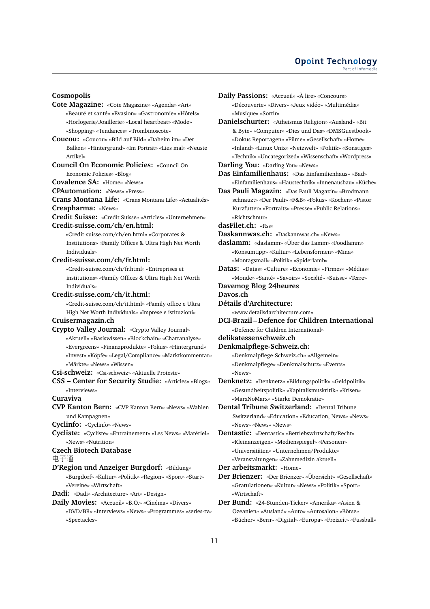#### **Cosmopolis**

**Cote Magazine:** «Cote Magazine» «Agenda» «Art» «Beauté et santé» «Evasion» «Gastronomie» «Hôtels» «Horlogerie/Joaillerie» «Local heartbeat» «Mode» «Shopping» «Tendances» «Trombinoscote»

**Coucou:** «Coucou» «Bild auf Bild» «Daheim im» «Der Balken» «Hintergrund» «Im Porträt» «Lies mal» «Neuste Artikel»

**Council On Economic Policies:** «Council On

Economic Policies» «Blog»

**Covalence SA:** «Home» «News» **CPAutomation:** «News» «Press»

**Crans Montana Life:** «Crans Montana Life» «Actualités»

**Creapharma:** «News»

**Credit Suisse:** «Credit Suisse» «Articles» «Unternehmen»

# **Credit-suisse.com/ch/en.html:**

«Credit-suisse.com/ch/en.html» «Corporates & Institutions» «Family Offices & Ultra High Net Worth Individuals»

#### **Credit-suisse.com/ch/fr.html:**

«Credit-suisse.com/ch/fr.html» «Entreprises et institutions» «Family Offices & Ultra High Net Worth Individuals»

#### **Credit-suisse.com/ch/it.html:**

«Credit-suisse.com/ch/it.html» «Family office e Ultra High Net Worth Individuals» «Imprese e istituzioni»

# **Cruisermagazin.ch**

**Crypto Valley Journal:** «Crypto Valley Journal» «Aktuell» «Basiswissen» «Blockchain» «Chartanalyse» «Evergreens» «Finanzprodukte» «Fokus» «Hintergrund» «Invest» «Köpfe» «Legal/Compliance» «Marktkommentar» «Märkte» «News» «Wissen»

**Csi-schweiz:** «Csi-schweiz» «Aktuelle Proteste»

**CSS – Center for Security Studie:** «Articles» «Blogs» «Interviews»

**Curaviva**

**CVP Kanton Bern:** «CVP Kanton Bern» «News» «Wahlen und Kampagnen»

**Cyclinfo:** «Cyclinfo» «News»

**Cycliste:** «Cycliste» «Entraînement» «Les News» «Matériel» «News» «Nutrition»

#### **Czech Biotech Database**

电子<sup>通</sup>

**D'Region und Anzeiger Burgdorf:** «Bildung» «Burgdorf» «Kultur» «Politik» «Region» «Sport» «Start» «Vereine» «Wirtschaft»

**Dadi:** «Dadi» «Architecture» «Art» «Design»

**Daily Movies:** «Accueil» «B.O.» «Cinéma» «Divers» «DVD/BR» «Interviews» «News» «Programmes» «series-tv» «Spectacles»

- **Daily Passions:** «Accueil» «À lire» «Concours» «Découverte» «Divers» «Jeux vidéo» «Multimédia» «Musique» «Sortir»
- **Danielschurter:** «Atheismus Religion» «Ausland» «Bit & Byte» «Computer» «Dies und Das» «DMSGuestbook» «Dokus Reportagen» «Filme» «Gesellschaft» «Home» «Inland» «Linux Unix» «Netzwelt» «Politik» «Sonstiges» «Technik» «Uncategorized» «Wissenschaft» «Wordpress»
- **Darling You:** «Darling You» «News»

**Das Einfamilienhaus:** «Das Einfamilienhaus» «Bad» «Einfamilienhaus» «Haustechnik» «Innenausbau» «Küche»

**Das Pauli Magazin:** «Das Pauli Magazin» «Brodmann schnauzt» «Der Pauli» «F&B» «Fokus» «Kochen» «Pistor Kurzfutter» «Portraits» «Presse» «Public Relations» «Richtschnur»

**dasFilet.ch:** «Rss»

**Daskannwas.ch:** «Daskannwas.ch» «News»

**daslamm:** «daslamm» «Über das Lamm» «Foodlamm» «Konsumtipp» «Kultur» «Lebensformen» «Mina» «Montagsmail» «Politik» «Spiderlamb»

**Datas:** «Datas» «Culture» «Economie» «Firmes» «Médias» «Monde» «Santé» «Savoirs» «Société» «Suisse» «Terre»

- **Davemog Blog 24heures**
- **Davos.ch**

«News»

**Détails d'Architecture:**

«www.detailsdarchitecture.com»

**DCI-Brazil – Defence for Children International** «Defence for Children International»

# **delikatessenschweiz.ch**

**Denkmalpflege-Schweiz.ch:** «Denkmalpflege-Schweiz.ch» «Allgemein» «Denkmalpflege» «Denkmalschutz» «Events»

**Denknetz:** «Denknetz» «Bildungspolitik» «Geldpolitik» «Gesundheitspolitik» «Kapitalismuskritik» «Krisen» «MarxNoMarx» «Starke Demokratie»

**Dental Tribune Switzerland:** «Dental Tribune Switzerland» «Education» «Education, News» «News» «News» «News» «News»

**Dentastic:** «Dentastic» «Betriebswirtschaft/Recht» «Kleinanzeigen» «Medienspiegel» «Personen» «Universitäten» «Unternehmen/Produkte» «Veranstaltungen» «Zahnmedizin aktuell»

**Der arbeitsmarkt:** «Home»

**Der Brienzer:** «Der Brienzer» «Übersicht» «Gesellschaft» «Gratulationen» «Kultur» «News» «Politik» «Sport» «Wirtschaft»

**Der Bund:** «24-Stunden-Ticker» «Amerika» «Asien & Ozeanien» «Ausland» «Auto» «Autosalon» «Börse» «Bücher» «Bern» «Digital» «Europa» «Freizeit» «Fussball»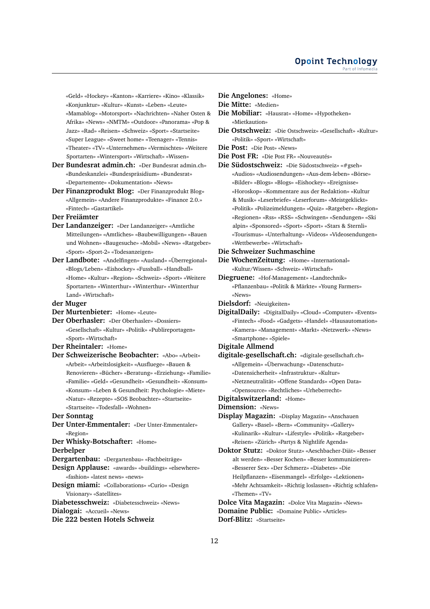«Geld» «Hockey» «Kanton» «Karriere» «Kino» «Klassik» «Konjunktur» «Kultur» «Kunst» «Leben» «Leute» «Mamablog» «Motorsport» «Nachrichten» «Naher Osten & Afrika» «News» «NMTM» «Outdoor» «Panorama» «Pop & Jazz» «Rad» «Reisen» «Schweiz» «Sport» «Startseite» «Super League» «Sweet home» «Teenager» «Tennis» «Theater» «TV» «Unternehmen» «Vermischtes» «Weitere Sportarten» «Wintersport» «Wirtschaft» «Wissen»

- **Der Bundesrat admin.ch:** «Der Bundesrat admin.ch» «Bundeskanzlei» «Bundespräsidium» «Bundesrat» «Departemente» «Dokumentation» «News»
- **Der Finanzprodukt Blog:** «Der Finanzprodukt Blog» «Allgemein» «Andere Finanzprodukte» «Finance 2.0.» «Fintech» «Gastartikel»
- **Der Freiämter**
- **Der Landanzeiger:** «Der Landanzeiger» «Amtliche Mitteilungen» «Amtliches» «Baubewilligungen» «Bauen und Wohnen» «Baugesuche» «Mobil» «News» «Ratgeber» «Sport» «Sport-2» «Todesanzeigen»
- **Der Landbote:** «Andelfingen» «Ausland» «Überregional» «Blogs/Leben» «Eishockey» «Fussball» «Handball» «Home» «Kultur» «Region» «Schweiz» «Sport» «Weitere Sportarten» «Winterthur» «Winterthur» «Winterthur Land» «Wirtschaft»
- **der Muger**
- **Der Murtenbieter:** «Home» «Leute»
- **Der Oberhasler:** «Der Oberhasler» «Dossiers» «Gesellschaft» «Kultur» «Politik» «Publireportagen» «Sport» «Wirtschaft»
- **Der Rheintaler:** «Home»
- **Der Schweizerische Beobachter:** «Abo» «Arbeit» «Arbeit» «Arbeitslosigkeit» «Ausfluege» «Bauen & Renovieren» «Bücher» «Beratung» «Erziehung» «Familie» «Familie» «Geld» «Gesundheit» «Gesundheit» «Konsum» «Konsum» «Leben & Gesundheit: Psychologie» «Miete» «Natur» «Rezepte» «SOS Beobachter» «Startseite» «Startseite» «Todesfall» «Wohnen»
- **Der Sonntag**
- **Der Unter-Emmentaler:** «Der Unter-Emmentaler» «Region»

**Der Whisky-Botschafter:** «Home»

**Derbelper**

**Dergartenbau:** «Dergartenbau» «Fachbeiträge»

**Design Applause:** «awards» «buildings» «elsewhere» «fashion» «latest news» «news»

**Design miami:** «Collaborations» «Curio» «Design Visionary» «Satellites»

**Diabetesschweiz:** «Diabetesschweiz» «News» **Dialogai:** «Accueil» «News»

#### **Die 222 besten Hotels Schweiz**

- **Die Angelones:** «Home»
- **Die Mitte:** «Medien»
- **Die Mobiliar:** «Hausrat» «Home» «Hypotheken» «Mietkaution»
- **Die Ostschweiz:** «Die Ostschweiz» «Gesellschaft» «Kultur» «Politik» «Sport» «Wirtschaft»
- **Die Post:** «Die Post» «News»
- **Die Post FR:** «Die Post FR» «Nouveautés»
- **Die Südostschweiz:** «Die Südostschweiz» «#gseh» «Audios» «Audiosendungen» «Aus-dem-leben» «Börse» «Bilder» «Blogs» «Blogs» «Eishockey» «Ereignisse» «Horoskop» «Kommentare aus der Redaktion» «Kultur & Musik» «Leserbriefe» «Leserforum» «Meistgeklickt» «Politik» «Polizeimeldungen» «Quiz» «Ratgeber» «Region» «Regionen» «Rss» «RSS» «Schwingen» «Sendungen» «Ski alpin» «Sponsored» «Sport» «Sport» «Stars & Sternli» «Tourismus» «Unterhaltung» «Videos» «Videosendungen» «Wettbewerbe» «Wirtschaft»
- **Die Schweizer Suchmaschine**
- **Die WochenZeitung:** «Home» «International» «Kultur/Wissen» «Schweiz» «Wirtschaft»
- **Diegruene:** «Hof-Management» «Landtechnik» «Pflanzenbau» «Politik & Märkte» «Young Farmers» «News»
- **Dielsdorf:** «Neuigkeiten»

**DigitalDaily:** «DigitalDaily» «Cloud» «Computer» «Events» «Fintech» «Food» «Gadgets» «Handel» «Hausautomation» «Kamera» «Management» «Markt» «Netzwerk» «News» «Smartphone» «Spiele»

- **Digitale Allmend**
- **digitale-gesellschaft.ch:** «digitale-gesellschaft.ch» «Allgemein» «Überwachung» «Datenschutz» «Datensicherheit» «Infrastruktur» «Kultur» «Netzneutralität» «Offene Standards» «Open Data» «Opensource» «Rechtliches» «Urheberrecht»
- **Digitalswitzerland:** «Home»
- **Dimension:** «News»
- **Display Magazin:** «Display Magazin» «Anschauen Gallery» «Basel» «Bern» «Community» «Gallery» «Kulinarik» «Kultur» «Lifestyle» «Politik» «Ratgeber» «Reisen» «Zürich» «Partys & Nightlife Agenda»
- **Doktor Stutz:** «Doktor Stutz» «Aeschbacher-Diät» «Besser alt werden» «Besser Kochen» «Besser kommunizieren» «Besserer Sex» «Der Schmerz» «Diabetes» «Die Heilpflanzen» «Eisenmangel» «Erfolge» «Lektionen» «Mehr Achtsamkeit» «Richtig loslassen» «Richtig schlafen» «Themen» «TV»

**Dolce Vita Magazin:** «Dolce Vita Magazin» «News» **Domaine Public:** «Domaine Public» «Articles» **Dorf-Blitz:** «Startseite»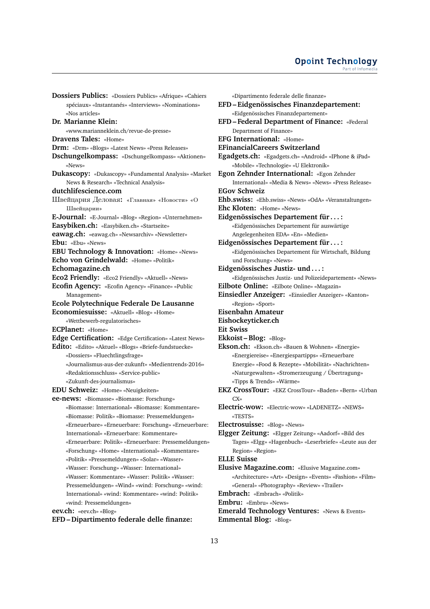#### **Opoint Technology** Part of Infomer

**Dossiers Publics:** «Dossiers Publics» «Afrique» «Cahiers spéciaux» «Instantanés» «Interviews» «Nominations» «Nos articles» **Dr. Marianne Klein:** «www.marianneklein.ch/revue-de-presse» **Dravens Tales:** «Home» **Drm:** «Drm» «Blogs» «Latest News» «Press Releases» **Dschungelkompass:** «Dschungelkompass» «Aktionen» «News» **Dukascopy:** «Dukascopy» «Fundamental Analysis» «Market News & Research» «Technical Analysis» **dutchlifescience.com** Швейцария Деловая**:** «Главная» «Новости» «О Швейцарии» **E-Journal:** «E-Journal» «Blog» «Region» «Unternehmen» **Easybiken.ch:** «Easybiken.ch» «Startseite» **eawag.ch:** «eawag.ch» «Newsarchiv» «Newsletter» **Ebu:** «Ebu» «News» **EBU Technology & Innovation:** «Home» «News» **Echo von Grindelwald:** «Home» «Politik» **Echomagazine.ch Eco2 Friendly:** «Eco2 Friendly» «Aktuell» «News» **Ecofin Agency:** «Ecofin Agency» «Finance» «Public Management» **Ecole Polytechnique Federale De Lausanne Economiesuisse:** «Aktuell» «Blog» «Home» «Wettbewerb-regulatorisches» **ECPlanet:** «Home» **Edge Certification:** «Edge Certification» «Latest News» **Edito:** «Edito» «Aktuel» «Blogs» «Briefe-fundstuecke» «Dossiers» «Fluechtlingsfrage» «Journalismus-aus-der-zukunft» «Medientrends-2016» «Redaktionsschluss» «Service-public» «Zukunft-des-journalismus» **EDU Schweiz:** «Home» «Neuigkeiten» **ee-news:** «Biomasse» «Biomasse: Forschung» «Biomasse: International» «Biomasse: Kommentare» «Biomasse: Politik» «Biomasse: Pressemeldungen» «Erneuerbare» «Erneuerbare: Forschung» «Erneuerbare: International» «Erneuerbare: Kommentare» «Erneuerbare: Politik» «Erneuerbare: Pressemeldungen» «Forschung» «Home» «International» «Kommentare» «Politik» «Pressemeldungen» «Solar» «Wasser» «Wasser: Forschung» «Wasser: International» «Wasser: Kommentare» «Wasser: Politik» «Wasser: Pressemeldungen» «Wind» «wind: Forschung» «wind: International» «wind: Kommentare» «wind: Politik» «wind: Pressemeldungen» **eev.ch:** «eev.ch» «Blog»

**EFD – Dipartimento federale delle finanze:**

«Dipartimento federale delle finanze» **EFD – Eidgenössisches Finanzdepartement:** «Eidgenössisches Finanzdepartement» **EFD – Federal Department of Finance:** «Federal Department of Finance» **EFG International:** «Home» **EFinancialCareers Switzerland Egadgets.ch:** «Egadgets.ch» «Android» «IPhone & iPad» «Mobile» «Technologie» «U Elektronik» **Egon Zehnder International:** «Egon Zehnder International» «Media & News» «News» «Press Release» **EGov Schweiz Ehb.swiss:** «Ehb.swiss» «News» «OdA» «Veranstaltungen» **Ehc Kloten:** «Home» «News» **Eidgenössisches Departement für . . . :** «Eidgenössisches Departement für auswärtige Angelegenheiten EDA» «En» «Medien» **Eidgenössisches Departement für . . . :** «Eidgenössisches Departement für Wirtschaft, Bildung und Forschung» «News» **Eidgenössisches Justiz- und . . . :** «Eidgenössisches Justiz- und Polizeidepartement» «News» **Eilbote Online:** «Eilbote Online» «Magazin» **Einsiedler Anzeiger:** «Einsiedler Anzeiger» «Kanton» «Region» «Sport» **Eisenbahn Amateur Eishockeyticker.ch Eit Swiss Ekkoist – Blog:** «Blog» **Ekson.ch:** «Ekson.ch» «Bauen & Wohnen» «Energie» «Energiereise» «Energiespartipps» «Erneuerbare Energie» «Food & Rezepte» «Mobilität» «Nachrichten» «Naturgewalten» «Stromerzeugung / Übertragung» «Tipps & Trends» «Wärme» **EKZ CrossTour:** «EKZ CrossTour» «Baden» «Bern» «Urban  $CX<sub>9</sub>$ **Electric-wow:** «Electric-wow» «LADENETZ» «NEWS» «TESTS» **Electrosuisse:** «Blog» «News» **Elgger Zeitung:** «Elgger Zeitung» «Aadorf» «Bild des Tages» «Elgg» «Hagenbuch» «Leserbriefe» «Leute aus der Region» «Region» **ELLE Suisse Elusive Magazine.com:** «Elusive Magazine.com» «Architecture» «Art» «Design» «Events» «Fashion» «Film» «General» «Photography» «Review» «Trailer» **Embrach:** «Embrach» «Politik» **Embru:** «Embru» «News» **Emerald Technology Ventures:** «News & Events»

**Emmental Blog:** «Blog»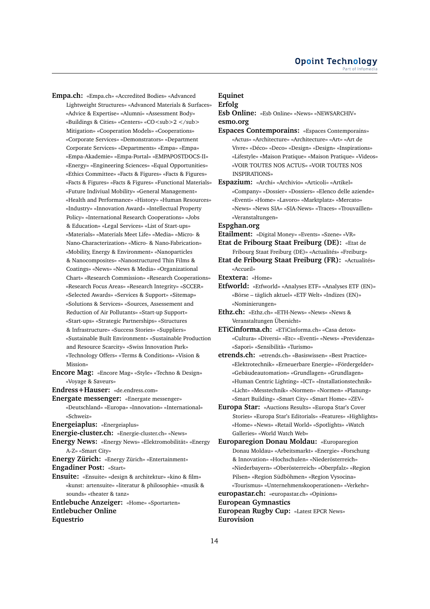**Empa.ch:** «Empa.ch» «Accredited Bodies» «Advanced Lightweight Structures» «Advanced Materials & Surfaces» «Advice & Expertise» «Alumni» «Assessment Body» «Buildings & Cities» «Centers» «CO<sub>2 </sub> Mitigation» «Cooperation Models» «Cooperations» «Corporate Services» «Demonstrators» «Department Corporate Services» «Departments» «Empa» «Empa» «Empa-Akademie» «Empa-Portal» «EMPAPOSTDOCS-II» «Energy» «Engineering Sciences» «Equal Opportunities» «Ethics Committee» «Facts & Figures» «Facts & Figures» «Facts & Figures» «Facts & Figures» «Functional Materials» «Future Indiviual Mobility» «General Management» «Health and Performance» «History» «Human Resources» «Industry» «Innovation Award» «Intellectual Property Policy» «International Research Cooperations» «Jobs & Education» «Legal Services» «List of Start-ups» «Materials» «Materials Meet Life» «Media» «Micro- & Nano-Characterization» «Micro- & Nano-Fabrication» «Mobility, Energy & Environment» «Nanoparticles & Nanocomposites» «Nanostructured Thin Films & Coatings» «News» «News & Media» «Organizational Chart» «Research Commission» «Research Cooperations» «Research Focus Areas» «Research Integrity» «SCCER» «Selected Awards» «Services & Support» «Sitemap» «Solutions & Services» «Sources, Assessement and Reduction of Air Pollutants» «Start-up Support» «Start-ups» «Strategic Partnerships» «Structures & Infrastructure» «Success Stories» «Suppliers» «Sustainable Built Environment» «Sustainable Production and Resource Scarcity» «Swiss Innovation Park» «Technology Offers» «Terms & Conditions» «Vision & Mission»

**Encore Mag:** «Encore Mag» «Style» «Techno & Design» «Voyage & Saveurs»

**Endress+Hauser:** «de.endress.com»

**Energate messenger:** «Energate messenger» «Deutschland» «Europa» «Innovation» «International» «Schweiz»

**Energeiaplus:** «Energeiaplus»

**Energie-cluster.ch:** «Energie-cluster.ch» «News»

**Energy News:** «Energy News» «Elektromobilität» «Energy A-Z» «Smart City»

**Energy Zürich:** «Energy Zürich» «Entertainment»

**Engadiner Post:** «Start»

**Ensuite:** «Ensuite» «design & architektur» «kino & film» «kunst: artensuite» «literatur & philosophie» «musik & sounds» «theater & tanz»

**Entlebuche Anzeiger:** «Home» «Sportarten» **Entlebucher Online Equestrio**

# **Equinet**

**Erfolg Esb Online:** «Esb Online» «News» «NEWSARCHIV» **esmo.org**

- **Espaces Contemporains:** «Espaces Contemporains» «Actus» «Architecture» «Architecture» «Art» «Art de Vivre» «Déco» «Deco» «Design» «Design» «Inspirations» «Lifestyle» «Maison Pratique» «Maison Pratique» «Videos» «VOIR TOUTES NOS ACTUS» «VOIR TOUTES NOS INSPIRATIONS»
- **Espazium:** «Archi» «Archivio» «Articoli» «Artikel» «Company» «Dossier» «Dossiers» «Elenco delle aziende» «Eventi» «Home» «Lavoro» «Marktplatz» «Mercato» «News» «News SIA» «SIA-News» «Traces» «Trouvaillen» «Veranstaltungen»

**Espghan.org**

**Etailment:** «Digital Money» «Events» «Szene» «VR»

- **Etat de Fribourg Staat Freiburg (DE):** «Etat de Fribourg Staat Freiburg (DE)» «Actualités» «Freiburg»
- **Etat de Fribourg Staat Freiburg (FR):** «Actualités» «Accueil»
- **Etextera:** «Home»
- **Etfworld:** «Etfworld» «Analyses ETF» «Analyses ETF (EN)» «Börse – täglich aktuel» «ETF Welt» «Indizes (EN)» «Nominierungen»
- **Ethz.ch:** «Ethz.ch» «ETH-News» «News» «News & Veranstaltungen Übersicht»

**ETiCinforma.ch:** «ETiCinforma.ch» «Casa detox» «Cultura» «Diversi» «Etc» «Eventi» «News» «Previdenza» «Sapori» «Sensibilità» «Turismo»

- **etrends.ch:** «etrends.ch» «Basiswissen» «Best Practice» «Elektrotechnik» «Erneuerbare Energie» «Fördergelder» «Gebäudeautomation» «Grundlagen» «Grundlagen» «Human Centric Lighting» «ICT» «Installationstechnik» «Licht» «Messtechnik» «Normen» «Normen» «Planung» «Smart Building» «Smart City» «Smart Home» «ZEV»
- **Europa Star:** «Auctions Results» «Europa Star's Cover Stories» «Europa Star's Editorials» «Features» «Highlights» «Home» «News» «Retail World» «Spotlights» «Watch Galleries» «World Watch Web»

**Europaregion Donau Moldau:** «Europaregion Donau Moldau» «Arbeitsmarkt» «Energie» «Forschung & Innovation» «Hochschulen» «Niederösterreich» «Niederbayern» «Oberösterreich» «Oberpfalz» «Region Pilsen» «Region Südböhmen» «Region Vysocina» «Tourismus» «Unternehmenskooperationen» «Verkehr»

**europastar.ch:** «europastar.ch» «Opinions»

**European Gymnastics**

**European Rugby Cup:** «Latest EPCR News» **Eurovision**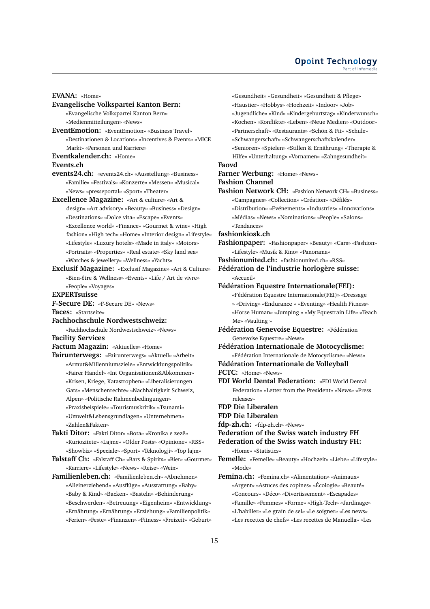#### **Opoint Technology** Part of Infomed

**Evangelische Volkspartei Kanton Bern:** «Evangelische Volkspartei Kanton Bern» «Medienmitteilungen» «News» **EventEmotion:** «EventEmotion» «Business Travel» «Destinationen & Locations» «Incentives & Events» «MICE Markt» «Personen und Karriere» **Eventkalender.ch:** «Home» **events24.ch:** «events24.ch» «Ausstellung» «Business» «Familie» «Festivals» «Konzerte» «Messen» «Musical» «News» «presseportal» «Sport» «Theater» **Excellence Magazine:** «Art & culture» «Art & design» «Art advisory» «Beauty» «Business» «Design» «Destinations» «Dolce vita» «Escape» «Events» «Excellence world» «Finance» «Gourmet & wine» «High «Gesundheit» «Gesundheit» «Gesundheit & Pflege» «Haustier» «Hobbys» «Hochzeit» «Indoor» «Job» «Jugendliche» «Kind» «Kindergeburtstag» «Kinderwunsch» «Kochen» «Konflikte» «Leben» «Neue Medien» «Outdoor» «Partnerschaft» «Restaurants» «Schön & Fit» «Schule» «Schwangerschaft» «Schwangerschaftskalender» «Senioren» «Spielen» «Stillen & Ernährung» «Therapie & Hilfe» «Unterhaltung» «Vornamen» «Zahngesundheit» **Faovd Farner Werbung:** «Home» «News» **Fashion Channel Fashion Network CH:** «Fashion Network CH» «Business» «Campagnes» «Collection» «Création» «Défilés» «Distribution» «Evénements» «Industries» «Innovations» «Médias» «News» «Nominations» «People» «Salons» «Tendances» **fashionkiosk.ch Fashionpaper:** «Fashionpaper» «Beauty» «Cars» «Fashion» «Lifestyle» «Musik & Kino» «Panorama» **Fashionunited.ch:** «fashionunited.ch» «RSS» **Fédération de l'industrie horlogère suisse:** «Accueil» **Fédération Equestre Internationale(FEI):** «Fédération Equestre Internationale(FEI)» «Dressage » «Driving» «Endurance » «Eventing» «Health Fitness» «Horse Human» «Jumping » «My Equestrain Life» «Teach Me» «Vaulting » **Fédération Genevoise Equestre:** «Fédération Genevoise Equestre» «News» **Fédération Internationale de Motocyclisme:** «Fédération Internationale de Motocyclisme» «News» **Fédération Internationale de Volleyball FCTC:** «Home» «News» **FDI World Dental Federation:** «FDI World Dental Federation» «Letter from the President» «News» «Press releases» **FDP Die Liberalen FDP Die Liberalen fdp-zh.ch:** «fdp-zh.ch» «News» **Federation of the Swiss watch industry FH Federation of the Swiss watch industry FH:** «Home» «Statistics» **Femelle:** «Femelle» «Beauty» «Hochzeit» «Liebe» «Lifestyle» «Mode» **Femina.ch:** «Femina.ch» «Alimentation» «Animaux» «Argent» «Astuces des copines» «Écologie» «Beauté» «Concours» «Déco» «Divertissement» «Escapades» «Famille» «Femmes» «Forme» «High-Tech» «Jardinage» «L'habiller» «Le grain de sel» «Le soigner» «Les news» «Les recettes de chefs» «Les recettes de Manuella» «Les

fashion» «High tech» «Home» «Interior design» «Lifestyle» «Lifestyle» «Luxury hotels» «Made in italy» «Motors» «Portraits» «Properties» «Real estate» «Sky land sea» «Watches & jewellery» «Wellness» «Yachts» **Exclusif Magazine:** «Exclusif Magazine» «Art & Culture» «Bien-être & Wellness» «Events» «Life / Art de vivre» «People» «Voyages» **EXPERTsuisse F-Secure DE:** «F-Secure DE» «News» **Faces:** «Startseite»

**Fachhochschule Nordwestschweiz:**

**EVANA:** «Home»

**Events.ch**

«Fachhochschule Nordwestschweiz» «News» **Facility Services**

**Factum Magazin:** «Aktuelles» «Home»

**Fairunterwegs:** «Fairunterwegs» «Aktuell» «Arbeit» «Armut&Millenniumsziele» «Entwicklungspolitik» «Fairer Handel» «Int Organisationen&Abkommen» «Krisen, Kriege, Katastrophen» «Liberalisierungen Gats» «Menschenrechte» «Nachhaltigkeit Schweiz, Alpen» «Politische Rahmenbedingungen» «Praxisbeispiele» «Tourismuskritik» «Tsunami» «Umwelt&Lebensgrundlagen» «Unternehmen» «Zahlen&Fakten»

**Fakti Ditor:** «Fakti Ditor» «Bota» «Kronika e zezë» «Kuriozitete» «Lajme» «Older Posts» «Opinione» «RSS» «Showbiz» «Speciale» «Sport» «Teknologji» «Top lajm»

**Falstaff Ch:** «Falstaff Ch» «Bars & Spirits» «Bier» «Gourmet» «Karriere» «Lifestyle» «News» «Reise» «Wein»

**Familienleben.ch:** «Familienleben.ch» «Abnehmen» «Alleinerziehend» «Ausflüge» «Ausstattung» «Baby» «Baby & Kind» «Backen» «Basteln» «Behinderung» «Beschwerden» «Betreuung» «Eigenheim» «Entwicklung» «Ernährung» «Ernährung» «Erziehung» «Familienpolitik» «Ferien» «Feste» «Finanzen» «Fitness» «Freizeit» «Geburt»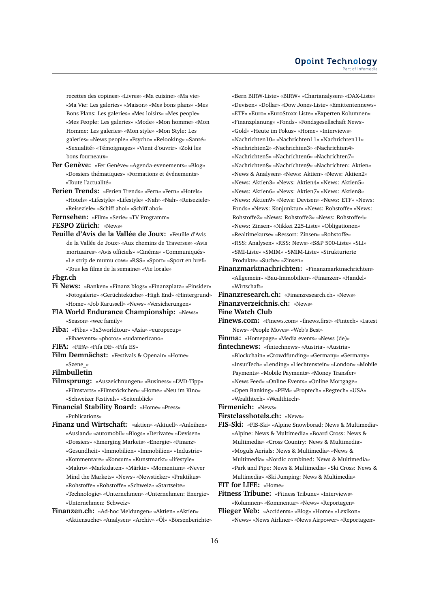recettes des copines» «Livres» «Ma cuisine» «Ma vie» «Ma Vie: Les galeries» «Maison» «Mes bons plans» «Mes Bons Plans: Les galeries» «Mes loisirs» «Mes people» «Mes People: Les galeries» «Mode» «Mon homme» «Mon Homme: Les galeries» «Mon style» «Mon Style: Les galeries» «News people» «Psycho» «Relooking» «Santé» «Sexualité» «Témoignages» «Vient d'ouvrir» «Zoki les bons fourneaux»

- **Fer Genève:** «Fer Genève» «Agenda-evenements» «Blog» «Dossiers thématiques» «Formations et événements» «Toute l'actualité»
- **Ferien Trends:** «Ferien Trends» «Fern» «Fern» «Hotels» «Hotels» «Lifestyle» «Lifestyle» «Nah» «Nah» «Reiseziele» «Reiseziele» «Schiff ahoi» «Schiff ahoi»
- **Fernsehen:** «Film» «Serie» «TV Programm»

**FESPO Zürich:** «News»

**Feuille d'Avis de la Vallée de Joux:** «Feuille d'Avis de la Vallée de Joux» «Aux chemins de Traverses» «Avis mortuaires» «Avis officiels» «Cinéma» «Communiqués» «Le strip de mumu cow» «RSS» «Sport» «Sport en bref» «Tous les films de la semaine» «Vie locale»

#### **Fhgr.ch**

- **Fi News:** «Banken» «Finanz blogs» «Finanzplatz» «Finsider» «Fotogalerie» «Gerüchteküche» «High End» «Hintergrund» «Home» «Job Karussell» «News» «Versicherungen»
- **FIA World Endurance Championship:** «News» «Season» «wec family»
- **Fiba:** «Fiba» «3x3worldtour» «Asia» «europecup» «Fibaevents» «photos» «sudamericano»
- **FIFA:** «FIFA» «Fifa DE» «Fifa ES»
- **Film Demnächst:** «Festivals & Openair» «Home» «Szene\_»

# **Filmbulletin**

- **Filmsprung:** «Auszeichnungen» «Business» «DVD-Tipp» «Filmstarts» «Filmstöckchen» «Home» «Neu im Kino» «Schweizer Festivals» «Seitenblick»
- **Financial Stability Board:** «Home» «Press» «Publications»
- **Finanz und Wirtschaft:** «aktien» «Aktuell» «Anleihen» «Ausland» «automobil» «Blogs» «Derivate» «Devisen» «Dossiers» «Emerging Markets» «Energie» «Finanz» «Gesundheit» «Immobilien» «Immobilien» «Industrie» «Kommentare» «Konsum» «Kunstmarkt» «lifestyle» «Makro» «Marktdaten» «Märkte» «Momentum» «Never Mind the Markets» «News» «Newsticker» «Praktikus» «Rohstoffe» «Rohstoffe» «Schweiz» «Startseite» «Technologie» «Unternehmen» «Unternehmen: Energie» «Unternehmen: Schweiz»
- **Finanzen.ch:** «Ad-hoc Meldungen» «Aktien» «Aktien» «Aktiensuche» «Analysen» «Archiv» «Öl» «Börsenberichte»

«Bern BIRW-Liste» «BIRW» «Chartanalysen» «DAX-Liste» «Devisen» «Dollar» «Dow Jones-Liste» «Emittentennews» «ETF» «Euro» «EuroStoxx-Liste» «Experten Kolumnen» «Finanzplanung» «Fonds» «Fondsgesellschaft News» «Gold» «Heute im Fokus» «Home» «Interviews» «Nachrichten10» «Nachrichten11» «Nachrichten11» «Nachrichten2» «Nachrichten3» «Nachrichten4» «Nachrichten5» «Nachrichten6» «Nachrichten7» «Nachrichten8» «Nachrichten9» «Nachrichten: Aktien» «News & Analysen» «News: Aktien» «News: Aktien2» «News: Aktien3» «News: Aktien4» «News: Aktien5» «News: Aktien6» «News: Aktien7» «News: Aktien8» «News: Aktien9» «News: Devisen» «News: ETF» «News: Fonds» «News: Konjunktur» «News: Rohstoffe» «News: Rohstoffe2» «News: Rohstoffe3» «News: Rohstoffe4» «News: Zinsen» «Nikkei 225-Liste» «Obligationen» «Realtimekurse» «Ressort: Zinsen» «Rohstoffe» «RSS: Analysen» «RSS: News» «S&P 500-Liste» «SLI» «SMI-Liste» «SMIM» «SMIM-Liste» «Strukturierte Produkte» «Suche» «Zinsen»

- **Finanzmarktnachrichten:** «Finanzmarktnachrichten» «Allgemein» «Bau-Immobilien» «Finanzen» «Handel» «Wirtschaft»
- **Finanzresearch.ch:** «Finanzresearch.ch» «News»
- **Finanzverzeichnis.ch:** «News»

**Fine Watch Club**

- **Finews.com:** «Finews.com» «finews.first» «Fintech» «Latest News» «People Moves» «Web's Best»
- **Finma:** «Homepage» «Media events» «News (de)»
- **fintechnews:** «fintechnews» «Austria» «Austria» «Blockchain» «Crowdfunding» «Germany» «Germany» «InsurTech» «Lending» «Liechtenstein» «London» «Mobile Payments» «Mobile Payments» «Money Transfer» «News Feed» «Online Events» «Online Mortgage» «Open Banking» «PFM» «Proptech» «Regtech» «USA» «Wealthtech» «Wealthtech»

**Firmenich:** «News»

- **Firstclasshotels.ch:** «News»
- **FIS-Ski:** «FIS-Ski» «Alpine Snowborad: News & Multimedia» «Alpine: News & Multimedia» «Board Cross: News & Multimedia» «Cross Country: News & Multimedia» «Moguls Aerials: News & Multimedia» «News & Multimedia» «Nordic combined: News & Multimedia» «Park and Pipe: News & Multimedia» «Ski Cross: News & Multimedia» «Ski Jumping: News & Multimedia»
- **FIT for LIFE:** «Home»
- **Fitness Tribune:** «Fitness Tribune» «Interviews» «Kolumnen» «Kommentar» «News» «Reportagen»
- **Flieger Web:** «Accidents» «Blog» «Home» «Lexikon» «News» «News Airliner» «News Airpower» «Reportagen»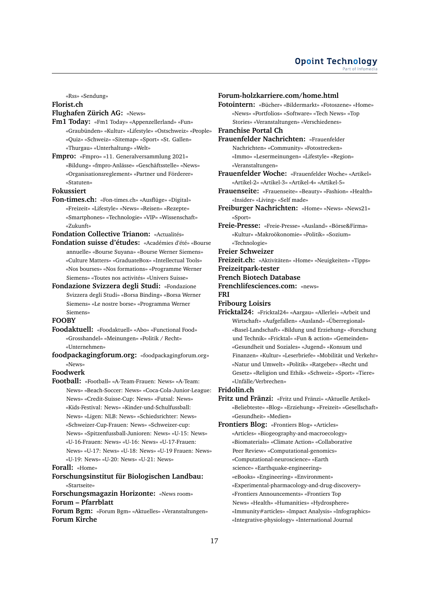#### **Opoint Technology** Part of Infomer

«Rss» «Sendung»

#### **Florist.ch**

#### **Flughafen Zürich AG:** «News»

- **Fm1 Today:** «Fm1 Today» «Appenzellerland» «Fun» «Graubünden» «Kultur» «Lifestyle» «Ostschweiz» «People» «Quiz» «Schweiz» «Sitemap» «Sport» «St. Gallen» «Thurgau» «Unterhaltung» «Welt»
- **Fmpro:** «Fmpro» «11. Generalversammlung 2021» «Bildung» «fmpro-Anlässe» «Geschäftsstelle» «News» «Organisationsreglement» «Partner und Förderer» «Statuten»

#### **Fokussiert**

**Fon-times.ch:** «Fon-times.ch» «Ausflüge» «Digital» «Freizeit» «Lifestyle» «News» «Reisen» «Rezepte» «Smartphones» «Technologie» «VIP» «Wissenschaft» «Zukunft»

**Fondation Collective Trianon:** «Actualités»

- **Fondation suisse d'études:** «Académies d'été» «Bourse annuelle» «Bourse Suyana» «Bourse Werner Siemens» «Culture Matters» «GraduateBox» «Intellectual Tools» «Nos bourses» «Nos formations» «Programme Werner Siemens» «Toutes nos activités» «Univers Suisse»
- **Fondazione Svizzera degli Studi:** «Fondazione Svizzera degli Studi» «Borsa Binding» «Borsa Werner Siemens» «Le nostre borse» «Programma Werner Siemens»

#### **FOOBY**

- **Foodaktuell:** «Foodaktuell» «Abo» «Functional Food» «Grosshandel» «Meinungen» «Politik / Recht» «Unternehmen»
- **foodpackagingforum.org:** «foodpackagingforum.org» «News»

#### **Foodwerk**

**Football:** «Football» «A-Team-Frauen: News» «A-Team: News» «Beach-Soccer: News» «Coca-Cola-Junior-League: News» «Credit-Suisse-Cup: News» «Futsal: News» «Kids-Festival: News» «Kinder-und-Schulfussball: News» «Ligen: NLB: News» «Schiedsrichter: News» «Schweizer-Cup-Frauen: News» «Schweizer-cup: News» «Spitzenfussball-Junioren: News» «U-15: News» «U-16-Frauen: News» «U-16: News» «U-17-Frauen: News» «U-17: News» «U-18: News» «U-19 Frauen: News» «U-19: News» «U-20: News» «U-21: News»

**Forall:** «Home»

**Forschungsinstitut für Biologischen Landbau:** «Startseite»

**Forschungsmagazin Horizonte:** «News room» **Forum – Pfarrblatt**

**Forum Bgm:** «Forum Bgm» «Aktuelles» «Veranstaltungen» **Forum Kirche**

#### **Forum-holzkarriere.com/home.html**

**Fotointern:** «Bücher» «Bildermarkt» «Fotoszene» «Home» «News» «Portfolios» «Software» «Tech News» «Top Stories» «Veranstaltungen» «Verschiedenes»

#### **Franchise Portal Ch**

**Frauenfelder Nachrichten:** «Frauenfelder Nachrichten» «Community» «Fotostrecken» «Immo» «Lesermeinungen» «Lifestyle» «Region» «Veranstaltungen»

- **Frauenfelder Woche:** «Frauenfelder Woche» «Artikel» «Artikel-2» «Artikel-3» «Artikel-4» «Artikel-5»
- **Frauenseite:** «Frauenseite» «Beauty» «Fashion» «Health» «Insider» «Living» «Self made»
- **Freiburger Nachrichten:** «Home» «News» «News21» «Sport»
- **Freie-Presse:** «Freie-Presse» «Ausland» «Börse&Firma» «Kultur» «Makroökonomie» «Politik» «Sozium» «Technologie»
- **Freier Schweizer**

**Freizeit.ch:** «Aktivitäten» «Home» «Neuigkeiten» «Tipps»

- **Freizeitpark-tester**
- **French Biotech Database**
- **Frenchlifesciences.com:** «news»
- **FRI**
- **Fribourg Loisirs**
- **Fricktal24:** «Fricktal24» «Aargau» «Allerlei» «Arbeit und Wirtschaft» «Aufgefallen» «Ausland» «Überregional» «Basel-Landschaft» «Bildung und Erziehung» «Forschung und Technik» «Fricktal» «Fun & action» «Gemeinden» «Gesundheit und Soziales» «Jugend» «Konsum und Finanzen» «Kultur» «Leserbriefe» «Mobilität und Verkehr» «Natur und Umwelt» «Politik» «Ratgeber» «Recht und Gesetz» «Religion und Ethik» «Schweiz» «Sport» «Tiere» «Unfälle/Verbrechen»

#### **Fridolin.ch**

**Fritz und Fränzi:** «Fritz und Fränzi» «Aktuelle Artikel» «Beliebteste» «Blog» «Erziehung» «Freizeit» «Gesellschaft» «Gesundheit» «Medien»

**Frontiers Blog:** «Frontiers Blog» «Articles» «Articles» «Biogeography-and-macroecology» «Biomaterials» «Climate Action» «Collaborative Peer Review» «Computational-genomics» «Computational-neuroscience» «Earth science» «Earthquake-engineering» «eBooks» «Engineering» «Environment» «Experimental-pharmacology-and-drug-discovery» «Frontiers Announcements» «Frontiers Top News» «Health» «Humanities» «Hydrosphere» «Immunity#articles» «Impact Analysis» «Infographics» «Integrative-physiology» «International Journal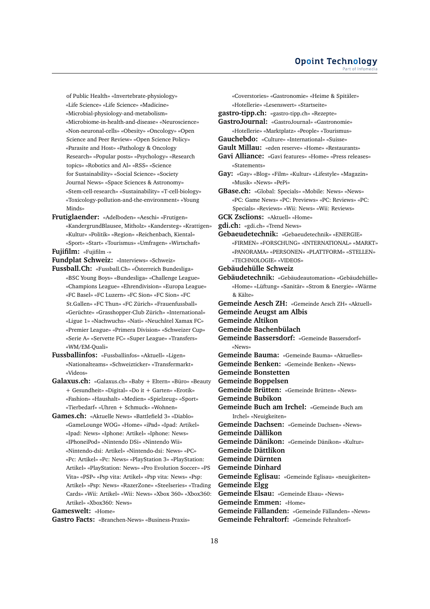of Public Health» «Invertebrate-physiology» «Life Science» «Life Science» «Madicine» «Microbial-physiology-and-metabolism» «Microbiome-in-health-and-disease» «Neuroscience» «Non-neuronal-cells» «Obesity» «Oncology» «Open Science and Peer Review» «Open Science Policy» «Parasite and Host» «Pathology & Oncology Research» «Popular posts» «Psychology» «Research topics» «Robotics and AI» «RSS» «Science for Sustainability» «Social Science» «Society Journal News» «Space Sciences & Astronomy» «Stem-cell-research» «Sustainability» «T-cell-biology» «Toxicology-pollution-and-the-environment» «Young Minds»

**Frutiglaender:** «Adelboden» «Aeschi» «Frutigen» «KandergrundBlausee, Mitholz» «Kandersteg» «Krattigen» «Kultur» «Politik» «Region» «Reichenbach, Kiental» «Sport» «Start» «Tourismus» «Umfragen» «Wirtschaft»

**Fujifilm:** «Fujifilm -»

**Fundplat Schweiz:** «Interviews» «Schweiz»

**Fussball.Ch:** «Fussball.Ch» «Österreich Bundesliga» «BSC Young Boys» «Bundesliga» «Challenge League» «Champions League» «Ehrendivision» «Europa League» «FC Basel» «FC Luzern» «FC Sion» «FC Sion» «FC St.Gallen» «FC Thun» «FC Zürich» «Frauenfussball» «Gerüchte» «Grasshopper-Club Zürich» «International» «Ligue 1» «Nachwuchs» «Nati» «Neuchâtel Xamax FC» «Premier League» «Primera Division» «Schweizer Cup» «Serie A» «Servette FC» «Super League» «Transfers» «WM/EM-Quali»

**Fussballinfos:** «Fussballinfos» «Aktuell» «Ligen» «Nationalteams» «Schweizticker» «Transfermarkt» «Videos»

- **Galaxus.ch:** «Galaxus.ch» «Baby + Eltern» «Büro» «Beauty + Gesundheit» «Digital» «Do it + Garten» «Erotik» «Fashion» «Haushalt» «Medien» «Spielzeug» «Sport» «Tierbedarf» «Uhren + Schmuck» «Wohnen»
- **Games.ch:** «Aktuelle News» «Battlefield 3» «Diablo» «GameLounge WOG» «Home» «iPad» «Ipad: Artikel» «Ipad: News» «Iphone: Artikel» «Iphone: News» «IPhoneiPod» «Nintendo DSi» «Nintendo Wii» «Nintendo-dsi: Artikel» «Nintendo-dsi: News» «PC» «Pc: Artikel» «Pc: News» «PlayStation 3» «PlayStation: Artikel» «PlayStation: News» «Pro Evolution Soccer» «PS Vita» «PSP» «Psp vita: Artikel» «Psp vita: News» «Psp: Artikel» «Psp: News» «RazerZone» «Steelseries» «Trading Cards» «Wii: Artikel» «Wii: News» «Xbox 360» «Xbox360: Artikel» «Xbox360: News»

**Gameswelt:** «Home»

**Gastro Facts:** «Branchen-News» «Business-Praxis»

«Coverstories» «Gastronomie» «Heime & Spitäler» «Hotellerie» «Lesenswert» «Startseite» **gastro-tipp.ch:** «gastro-tipp.ch» «Rezepte» **GastroJournal:** «GastroJournal» «Gastronomie» «Hotellerie» «Marktplatz» «People» «Tourismus» **Gauchebdo:** «Culture» «International» «Suisse» **Gault Millau:** «eden reserve» «Home» «Restaurants» **Gavi Alliance:** «Gavi features» «Home» «Press releases» «Statements» **Gay:** «Gay» «Blog» «Film» «Kultur» «Lifestyle» «Magazin» «Musik» «News» «PePi» **GBase.ch:** «Global: Specials» «Mobile: News» «News» «PC: Game News» «PC: Previews» «PC: Reviews» «PC: Specials» «Reviews» «Wii: News» «Wii: Reviews» **GCK Zsclions:** «Aktuell» «Home» **gdi.ch:** «gdi.ch» «Trend News» **Gebaeudetechnik:** «Gebaeudetechnik» «ENERGIE» «FIRMEN» «FORSCHUNG» «INTERNATIONAL» «MARKT» «PANORAMA» «PERSONEN» «PLATTFORM» «STELLEN» «TECHNOLOGIE» «VIDEOS» **Gebäudehülle Schweiz Gebäudetechnik:** «Gebäudeautomation» «Gebäudehülle» «Home» «Lüftung» «Sanitär» «Strom & Energie» «Wärme & Kälte» **Gemeinde Aesch ZH:** «Gemeinde Aesch ZH» «Aktuell» **Gemeinde Aeugst am Albis Gemeinde Altikon Gemeinde Bachenbülach Gemeinde Bassersdorf:** «Gemeinde Bassersdorf» «News» **Gemeinde Bauma:** «Gemeinde Bauma» «Aktuelles» **Gemeinde Benken:** «Gemeinde Benken» «News» **Gemeinde Bonstetten Gemeinde Boppelsen Gemeinde Brütten:** «Gemeinde Brütten» «News» **Gemeinde Bubikon Gemeinde Buch am Irchel:** «Gemeinde Buch am Irchel» «Neuigkeiten» **Gemeinde Dachsen:** «Gemeinde Dachsen» «News» **Gemeinde Dällikon Gemeinde Dänikon:** «Gemeinde Dänikon» «Kultur» **Gemeinde Dättlikon Gemeinde Dürnten Gemeinde Dinhard Gemeinde Eglisau:** «Gemeinde Eglisau» «neuigkeiten» **Gemeinde Elgg Gemeinde Elsau:** «Gemeinde Elsau» «News» **Gemeinde Emmen:** «Home» **Gemeinde Fällanden:** «Gemeinde Fällanden» «News» **Gemeinde Fehraltorf:** «Gemeinde Fehraltorf»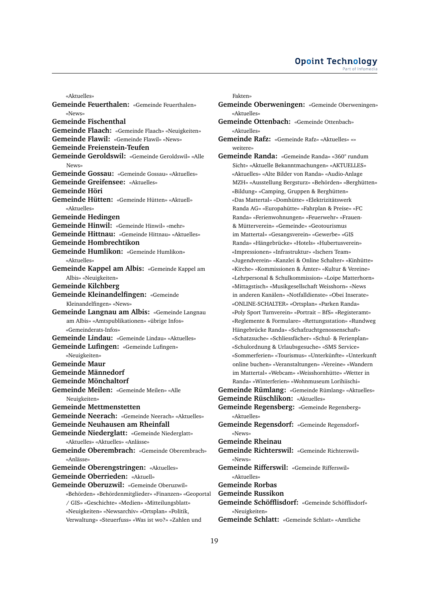«Aktuelles» **Gemeinde Feuerthalen:** «Gemeinde Feuerthalen» «News» **Gemeinde Fischenthal Gemeinde Flaach:** «Gemeinde Flaach» «Neuigkeiten» **Gemeinde Flawil:** «Gemeinde Flawil» «News» **Gemeinde Freienstein-Teufen Gemeinde Geroldswil:** «Gemeinde Geroldswil» «Alle News» **Gemeinde Gossau:** «Gemeinde Gossau» «Aktuelles» **Gemeinde Greifensee:** «Aktuelles» **Gemeinde Höri Gemeinde Hütten:** «Gemeinde Hütten» «Aktuell» «Aktuelles» **Gemeinde Hedingen Gemeinde Hinwil:** «Gemeinde Hinwil» «mehr» **Gemeinde Hittnau:** «Gemeinde Hittnau» «Aktuelles» **Gemeinde Hombrechtikon Gemeinde Humlikon:** «Gemeinde Humlikon» «Aktuelles» **Gemeinde Kappel am Albis:** «Gemeinde Kappel am Albis» «Neuigkeiten» **Gemeinde Kilchberg Gemeinde Kleinandelfingen:** «Gemeinde Kleinandelfingen» «News» **Gemeinde Langnau am Albis:** «Gemeinde Langnau am Albis» «Amtspublikationen» «übrige Infos» «Gemeinderats-Infos» **Gemeinde Lindau:** «Gemeinde Lindau» «Aktuelles» **Gemeinde Lufingen:** «Gemeinde Lufingen» «Neuigkeiten» **Gemeinde Maur Gemeinde Männedorf Gemeinde Mönchaltorf Gemeinde Meilen:** «Gemeinde Meilen» «Alle Neuigkeiten» **Gemeinde Mettmenstetten Gemeinde Neerach:** «Gemeinde Neerach» «Aktuelles» **Gemeinde Neuhausen am Rheinfall Gemeinde Niederglatt:** «Gemeinde Niederglatt» «Aktuelles» «Aktuelles» «Anlässe» **Gemeinde Oberembrach:** «Gemeinde Oberembrach» «Anlässe» **Gemeinde Oberengstringen:** «Aktuelles» **Gemeinde Oberrieden:** «Aktuell» **Gemeinde Oberuzwil:** «Gemeinde Oberuzwil» «Behörden» «Behördenmitglieder» «Finanzen» «Geoportal / GIS» «Geschichte» «Medien» «Mitteilungsblatt» «Neuigkeiten» «Newsarchiv» «Ortsplan» «Politik, Verwaltung» «Steuerfuss» «Was ist wo?» «Zahlen und

Fakten»

- **Gemeinde Oberweningen:** «Gemeinde Oberweningen» «Aktuelles»
- **Gemeinde Ottenbach:** «Gemeinde Ottenbach» «Aktuelles»
- **Gemeinde Rafz:** «Gemeinde Rafz» «Aktuelles» «» weitere»
- **Gemeinde Randa:** «Gemeinde Randa» «360° rundum Sicht» «Aktuelle Bekanntmachungen» «AKTUELLES» «Aktuelles» «Alte Bilder von Randa» «Audio-Anlage MZH» «Ausstellung Bergsturz» «Behörden» «Berghütten» «Bildung» «Camping, Gruppen & Berghütten» «Das Mattertal» «Domhütte» «Elektrizitätswerk Randa AG» «Europahütte» «Fahrplan & Preise» «FC Randa» «Ferienwohnungen» «Feuerwehr» «Frauen- & Mütterverein» «Gemeinde» «Geotourismus im Mattertal» «Gesangsverein» «Gewerbe» «GIS Randa» «Hängebrücke» «Hotels» «Hubertusverein» «Impressionen» «Infrastruktur» «Ischers Team» «Jugendverein» «Kanzlei & Online Schalter» «Kinhütte» «Kirche» «Kommissionen & Ämter» «Kultur & Vereine» «Lehrpersonal & Schulkommission» «Loipe Matterhorn» «Mittagstisch» «Musikgesellschaft Weisshorn» «News in anderen Kanälen» «Notfalldienste» «Obei Inserate» «ONLINE-SCHALTER» «Ortsplan» «Parken Randa» «Poly Sport Turnverein» «Portrait – BfS» «Registeramt» «Reglemente & Formulare» «Rettungsstation» «Rundweg Hängebrücke Randa» «Schafzuchtgenossenschaft» «Schatzsuche» «Schliessfächer» «Schul- & Ferienplan» «Schulordnung & Urlaubsgesuche» «SMS Service» «Sommerferien» «Tourismus» «Unterkünfte» «Unterkunft online buchen» «Veranstaltungen» «Vereine» «Wandern im Mattertal» «Webcam» «Weisshornhütte» «Wetter in Randa» «Winterferien» «Wohnmuseum Lorihiischi» **Gemeinde Rümlang:** «Gemeinde Rümlang» «Aktuelles» **Gemeinde Rüschlikon:** «Aktuelles» **Gemeinde Regensberg:** «Gemeinde Regensberg» «Aktuelles» **Gemeinde Regensdorf:** «Gemeinde Regensdorf» «News» **Gemeinde Rheinau Gemeinde Richterswil:** «Gemeinde Richterswil» «News» **Gemeinde Rifferswil:** «Gemeinde Rifferswil» «Aktuelles» **Gemeinde Rorbas Gemeinde Russikon Gemeinde Schöfflisdorf:** «Gemeinde Schöfflisdorf» «Neuigkeiten» **Gemeinde Schlatt:** «Gemeinde Schlatt» «Amtliche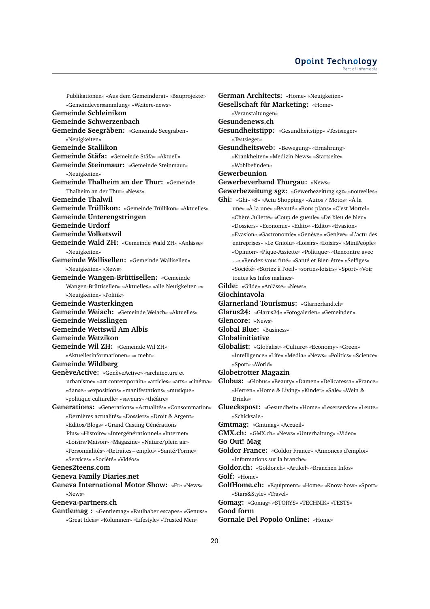Publikationen» «Aus dem Gemeinderat» «Bauprojekte» «Gemeindeversammlung» «Weitere-news» **Gemeinde Schleinikon Gemeinde Schwerzenbach Gemeinde Seegräben:** «Gemeinde Seegräben» «Neuigkeiten» **Gemeinde Stallikon Gemeinde Stäfa:** «Gemeinde Stäfa» «Aktuell» **Gemeinde Steinmaur:** «Gemeinde Steinmaur» «Neuigkeiten» **Gemeinde Thalheim an der Thur:** «Gemeinde Thalheim an der Thur» «News» **Gemeinde Thalwil Gemeinde Trüllikon:** «Gemeinde Trüllikon» «Aktuelles» **Gemeinde Unterengstringen Gemeinde Urdorf Gemeinde Volketswil Gemeinde Wald ZH:** «Gemeinde Wald ZH» «Anlässe» «Neuigkeiten» **Gemeinde Wallisellen:** «Gemeinde Wallisellen» «Neuigkeiten» «News» **Gemeinde Wangen-Brüttisellen:** «Gemeinde Wangen-Brüttisellen» «Aktuelles» «alle Neuigkeiten »» «Neuigkeiten» «Politik» **Gemeinde Wasterkingen Gemeinde Weiach:** «Gemeinde Weiach» «Aktuelles» **Gemeinde Weisslingen Gemeinde Wettswil Am Albis Gemeinde Wetzikon Gemeinde Wil ZH:** «Gemeinde Wil ZH» «Aktuellesinformationen» «» mehr» **Gemeinde Wildberg GenèveActive:** «GenèveActive» «architecture et urbanisme» «art contemporain» «articles» «arts» «cinéma» «danse» «expositions» «manifestations» «musique» «politique culturelle» «saveurs» «théâtre» **Generations:** «Generations» «Actualités» «Consommation» «Dernières actualités» «Dossiers» «Droit & Argent» «Editos/Blogs» «Grand Casting Générations Plus» «Histoire» «Intergénérationnel» «Internet» «Loisirs/Maison» «Magazine» «Nature/plein air» «Personnalités» «Retraites – emploi» «Santé/Forme» «Services» «Société» «Vidéos» **Genes2teens.com Geneva Family Diaries.net Geneva International Motor Show:** «Fr» «News» «News» **Geneva-partners.ch**

**Gentlemag :** «Gentlemag» «Faulhaber escapes» «Genuss» «Great Ideas» «Kolumnen» «Lifestyle» «Trusted Men»

**German Architects:** «Home» «Neuigkeiten» **Gesellschaft für Marketing:** «Home» «Veranstaltungen» **Gesundenews.ch Gesundheitstipp:** «Gesundheitstipp» «Testsieger» «Testsieger» **Gesundheitsweb:** «Bewegung» «Ernährung» «Krankheiten» «Medizin-News» «Startseite» «Wohlbefinden» **Gewerbeunion Gewerbeverband Thurgau:** «News» **Gewerbezeitung sgz:** «Gewerbezeitung sgz» «nouvelles» **Ghi:** «Ghi» «8» «Actu Shopping» «Autos / Motos» «À la une» «À la une» «Beauté» «Bons plans» «C'est Mortel» «Chère Juliette» «Coup de gueule» «De bleu de bleu» «Dossiers» «Economie» «Edito» «Edito» «Evasion» «Evasion» «Gastronomie» «Genève» «Genève» «L'actu des entreprises» «Le Gniolu» «Loisirs» «Loisirs» «MiniPeople» «Opinion» «Pique-Assiette» «Politique» «Rencontre avec ...» «Rendez-vous futé» «Santé et Bien-être» «Selfiges» «Société» «Sortez à l'oeil» «sorties-loisirs» «Sport» «Voir toutes les Infos malines» **Gilde:** «Gilde» «Anlässe» «News» **Giochintavola Glarnerland Tourismus:** «Glarnerland.ch» **Glarus24:** «Glarus24» «Fotogalerien» «Gemeinden» **Glencore:** «News» **Global Blue:** «Business» **Globalinitiative Globalist:** «Globalist» «Culture» «Economy» «Green» «Intelligence» «Life» «Media» «News» «Politics» «Science» «Sport» «World» **Globetrotter Magazin Globus:** «Globus» «Beauty» «Damen» «Delicatessa» «France» «Herren» «Home & Living» «Kinder» «Sale» «Wein & Drinks» **Glueckspost:** «Gesundheit» «Home» «Leserservice» «Leute» «Schicksale» **Gmtmag:** «Gmtmag» «Accueil» **GMX.ch:** «GMX.ch» «News» «Unterhaltung» «Video» **Go Out! Mag Goldor France:** «Goldor France» «Annonces d'emploi» «Informations sur la branche» **Goldor.ch:** «Goldor.ch» «Artikel» «Branchen Infos» **Golf:** «Home» **GolfHome.ch:** «Equipment» «Home» «Know-how» «Sport» «Stars&Style» «Travel» **Gomag:** «Gomag» «STORYS» «TECHNIK» «TESTS» **Good form Gornale Del Popolo Online:** «Home»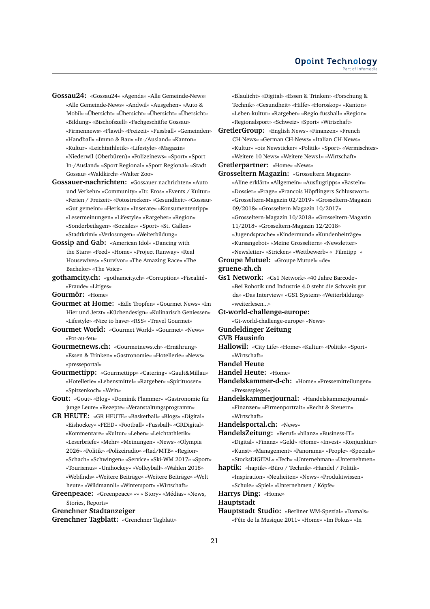- **Gossau24:** «Gossau24» «Agenda» «Alle Gemeinde-News» «Alle Gemeinde-News» «Andwil» «Ausgehen» «Auto & Mobil» «Übersicht» «Übersicht» «Übersicht» «Übersicht» «Bildung» «Bischofszell» «Fachgeschäfte Gossau» «Firmennews» «Flawil» «Freizeit» «Fussball» «Gemeinden» «Handball» «Immo & Bau» «In-/Ausland» «Kanton» «Kultur» «Leichtathletik» «Lifestyle» «Magazin» «Niederwil (Oberbüren)» «Polizeinews» «Sport» «Sport In-/Ausland» «Sport Regional» «Sport Regional» «Stadt Gossau» «Waldkirch» «Walter Zoo»
- **Gossauer-nachrichten:** «Gossauer-nachrichten» «Auto und Verkehr» «Community» «Dr. Eros» «Events / Kultur» «Ferien / Freizeit» «Fotostrecken» «Gesundheit» «Gossau» «Gut gemeint» «Herisau» «Inserate» «Konsumententipp» «Lesermeinungen» «Lifestyle» «Ratgeber» «Region» «Sonderbeilagen» «Soziales» «Sport» «St. Gallen» «Stadtkrimi» «Verlosungen» «Weiterbildung»
- **Gossip and Gab:** «American Idol» «Dancing with the Stars» «Feed» «Home» «Project Runway» «Real Housewives» «Survivor» «The Amazing Race» «The Bachelor» «The Voice»

**gothamcity.ch:** «gothamcity.ch» «Corruption» «Fiscalité» «Fraude» «Litiges»

**Gourmör:** «Home»

- **Gourmet at Home:** «Edle Tropfen» «Gourmet News» «Im Hier und Jetzt» «Küchendesign» «Kulinarisch Geniessen» «Lifestyle» «Nice to have» «RSS» «Travel Gourmet»
- **Gourmet World:** «Gourmet World» «Gourmet» «News» «Pot-au-feu»
- **Gourmetnews.ch:** «Gourmetnews.ch» «Ernährung» «Essen & Trinken» «Gastronomie» «Hotellerie» «News» «presseportal»
- **Gourmettipp:** «Gourmettipp» «Catering» «Gault&Millau» «Hotellerie» «Lebensmittel» «Ratgeber» «Spirituosen» «Spitzenkoch» «Wein»
- **Gout:** «Gout» «Blog» «Dominik Flammer» «Gastronomie für junge Leute» «Rezepte» «Veranstaltungsprogramm»
- **GR HEUTE:** «GR HEUTE» «Basketball» «Blogs» «Digital» «Eishockey» «FEED» «Football» «Fussball» «GRDigital» «Kommentare» «Kultur» «Leben» «Leichtathletik» «Leserbriefe» «Mehr» «Meinungen» «News» «Olympia 2026» «Politik» «Polizeiradio» «Rad/MTB» «Region» «Schach» «Schwingen» «Service» «Ski-WM 2017» «Sport» «Tourismus» «Unihockey» «Volleyball» «Wahlen 2018» «Webfinds» «Weitere Beiträge» «Weitere Beiträge» «Welt heute» «Wildmannli» «Wintersport» «Wirtschaft»

**Greenpeace:** «Greenpeace» «» « Story» «Médias» «News, Stories, Reports»

**Grenchner Stadtanzeiger**

**Grenchner Tagblatt:** «Grenchner Tagblatt»

«Blaulicht» «Digital» «Essen & Trinken» «Forschung & Technik» «Gesundheit» «Hilfe» «Horoskop» «Kanton» «Leben-kultur» «Ratgeber» «Regio-fussball» «Region» «Regionalsport» «Schweiz» «Sport» «Wirtschaft»

**GretlerGroup:** «English News» «Finanzen» «French CH-News» «German CH-News» «Italian CH-News» «Kultur» «ots Newsticker» «Politik» «Sport» «Vermischtes» «Weitere 10 News» «Weitere News1» «Wirtschaft»

**Gretlerpartner:** «Home» «News»

**Grosseltern Magazin:** «Grosseltern Magazin» «Aline erklärt» «Allgemein» «Ausflugtipps» «Basteln» «Dossier» «Frage» «Francois Höpflingers Schlusswort» «Grosseltern-Magazin 02/2019» «Grosseltern-Magazin 09/2018» «Grosseltern-Magazin 10/2017» «Grosseltern-Magazin 10/2018» «Grosseltern-Magazin 11/2018» «Grosseltern-Magazin 12/2018» «Jugendsprache» «Kindermund» «Kundenbeiträge» «Kursangebot» «Meine Grosseltern» «Newsletter» «Newsletter» «Stricken» «Wettbewerb» « Filmtipp »

**Groupe Mutuel:** «Groupe Mutuel» «de» **gruene-zh.ch**

**Gs1 Network:** «Gs1 Network» «40 Jahre Barcode» «Bei Robotik und Industrie 4.0 steht die Schweiz gut da» «Das Interview» «GS1 System» «Weiterbildung» «weiterlesen...»

**Gt-world-challenge-europe:**

«Gt-world-challenge-europe» «News»

**Gundeldinger Zeitung**

#### **GVB Hausinfo**

- **Hallowil:** «City Life» «Home» «Kultur» «Politik» «Sport» «Wirtschaft»
- **Handel Heute**
- **Handel Heute:** «Home»
- **Handelskammer-d-ch:** «Home» «Pressemitteilungen» «Pressespiegel»
- **Handelskammerjournal:** «Handelskammerjournal» «Finanzen» «Firmenportrait» «Recht & Steuern» «Wirtschaft»

**Handelsportal.ch:** «News»

- **HandelsZeitung:** «Beruf» «bilanz» «Business-IT» «Digital» «Finanz» «Geld» «Home» «Invest» «Konjunktur» «Kunst» «Management» «Panorama» «People» «Specials» «StocksDIGITAL» «Tech» «Unternehman» «Unternehmen»
- **haptik:** «haptik» «Büro / Technik» «Handel / Politik» «Inspiration» «Neuheiten» «News» «Produktwissen» «Schule» «Spiel» «Unternehmen / Köpfe»

**Harrys Ding:** «Home»

**Hauptstadt**

**Hauptstadt Studio:** «Berliner WM-Spezial» «Damals» «Fête de la Musique 2011» «Home» «Im Fokus» «In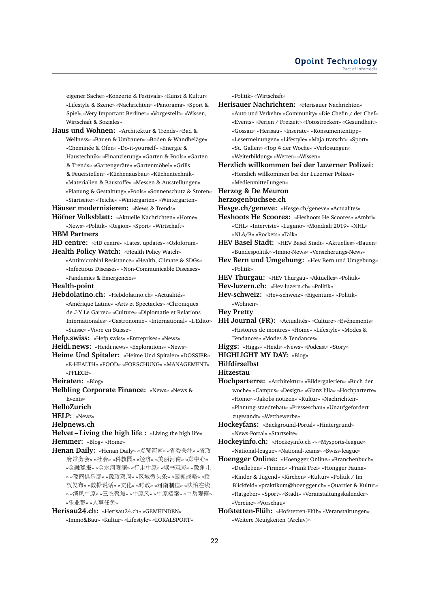eigener Sache» «Konzerte & Festivals» «Kunst & Kultur» «Lifestyle & Szene» «Nachrichten» «Panorama» «Sport & Spiel» «Very Important Berliner» «Vorgestellt» «Wissen, Wirtschaft & Soziales»

**Haus und Wohnen:** «Architektur & Trends» «Bad & Wellness» «Bauen & Umbauen» «Boden & Wandbeläge» «Cheminée & Öfen» «Do-it-yourself» «Energie & Haustechnik» «Finanzierung» «Garten & Pools» «Garten & Trends» «Gartengeräte» «Gartenmöbel» «Grills & Feuerstellen» «Küchenausbau» «Küchentechnik» «Materialien & Baustoffe» «Messen & Ausstellungen» «Planung & Gestaltung» «Pools» «Sonnenschutz & Storen» «Startseite» «Teiche» «Wintergarten» «Wintergarten»

**Häuser modernisieren:** «News & Trends»

**Höfner Volksblatt:** «Aktuelle Nachrichten» «Home» «News» «Politik» «Region» «Sport» «Wirtschaft»

#### **HBM Partners**

- **HD centre:** «HD centre» «Latest updates» «Osloforum»
- **Health Policy Watch:** «Health Policy Watch» «Antimicrobial Resistance» «Health, Climate & SDGs» «Infectious Diseases» «Non-Communicable Diseases» «Pandemics & Emergencies»

**Health-point**

- **Hebdolatino.ch:** «Hebdolatino.ch» «Actualités» «Amérique Latine» «Arts et Spectacles» «Chroniques de J-Y Le Garrec» «Culture» «Diplomatie et Relations Internationales» «Gastronomie» «International» «L'Edito» «Suisse» «Vivre en Suisse»
- **Hefp.swiss:** «Hefp.swiss» «Entreprises» «News»
- **Heidi.news:** «Heidi.news» «Explorations» «News»
- **Heime Und Spitaler:** «Heime Und Spitaler» «DOSSIER» «E-HEALTH» «FOOD» «FORSCHUNG» «MANAGEMENT» «PFLEGE»
- **Heiraten:** «Blog»
- **Helbling Corporate Finance:** «News» «News & Events»

#### **HelloZurich**

- **HELP:** «News»
- **Helpnews.ch**

**Helvet – Living the high life :** «Living the high life» **Hemmer:** «Blog» «Home»

**Henan Daily:** «Henan Daily» «点赞河南» «省委关注» «省<sup>政</sup> 府常务会» «社会» «科教园» «经济» «美丽河南» «郑中心» «金融豫报» «金水河观澜» «行走中原» «读书观影» «豫角<sup>儿</sup> » «豫商俱乐部» «豫政双周» «区域微头条» «国家战略» «<sup>授</sup> <sup>权</sup>发布» «数据说话» «文化» «时政» «河南制造» «法治在<sup>线</sup> » «清风中原» «三农聚焦» «中原风» «中原档案» «中岳观察» «乐业帮» «人事任免»

**Herisau24.ch:** «Herisau24.ch» «GEMEINDEN» «Immo&Bau» «Kultur» «Lifestyle» «LOKALSPORT» «Politik» «Wirtschaft»

**Herisauer Nachrichten:** «Herisauer Nachrichten» «Auto und Verkehr» «Community» «Die Chefin / der Chef» «Events» «Ferien / Freizeit» «Fotostrecken» «Gesundheit» «Gossau» «Herisau» «Inserate» «Konsumententipp» «Lesermeinungen» «Lifestyle» «Maja tratscht» «Sport» «St. Gallen» «Top 4 der Woche» «Verlosungen» «Weiterbildung» «Wetter» «Wissen»

**Herzlich willkommen bei der Luzerner Polizei:** «Herzlich willkommen bei der Luzerner Polizei» «Medienmitteilungen»

- **Herzog & De Meuron**
- **herzogenbuchsee.ch**
- **Hesge.ch/geneve:** «Hesge.ch/geneve» «Actualites»
- **Heshoots He Scoores:** «Heshoots He Scoores» «Ambrì» «CHL» «Interviste» «Lugano» «Mondiali 2019» «NHL» «NLA/B» «Rockets» «Talk»
- **HEV Basel Stadt:** «HEV Basel Stadt» «Aktuelles» «Bauen» «Bundespolitik» «Immo-News» «Versicherungs-News»
- **Hev Bern und Umgebung:** «Hev Bern und Umgebung» «Politik»
- **HEV Thurgau:** «HEV Thurgau» «Aktuelles» «Politik»
- **Hev-luzern.ch:** «Hev-luzern.ch» «Politik»
- **Hev-schweiz:** «Hev-schweiz» «Eigentum» «Politik» «Wohnen»
- **Hey Pretty**
- **HH Journal (FR):** «Actualités» «Culture» «Evénements» «Histoires de montres» «Home» «Lifestyle» «Modes & Tendances» «Modes & Tendances»
- **Higgs:** «Higgs» «Heidi» «News» «Podcast» «Story»
- **HIGHLIGHT MY DAY:** «Blog»
- **Hilfdirselbst**
- **Hitzestau**
- **Hochparterre:** «Architektur» «Bildergalerien» «Buch der woche» «Campus» «Design» «Glanz lilia» «Hochparterre» «Home» «Jakobs notizen» «Kultur» «Nachrichten» «Planung-staedtebau» «Presseschau» «Unaufgefordert zugesandt» «Wettbewerbe»
- **Hockeyfans:** «Background-Portal» «Hintergrund» «News-Portal» «Startseite»
- **Hockeyinfo.ch:** «Hockeyinfo.ch -» «Mysports-league» «National-league» «National-teams» «Swiss-league»
- **Hoengger Online:** «Hoengger Online» «Branchenbuch» «Dorfleben» «Firmen» «Frank Frei» «Höngger Fauna» «Kinder & Jugend» «Kirchen» «Kultur» «Politik / Im Blickfeld» «praktikum@hoengger.ch» «Quartier & Kultur» «Ratgeber» «Sport» «Stadt» «Veranstaltungskalender» «Vereine» «Vorschau»
- **Hofstetten-Flüh:** «Hofstetten-Flüh» «Veranstaltungen» «Weitere Neuigkeiten (Archiv)»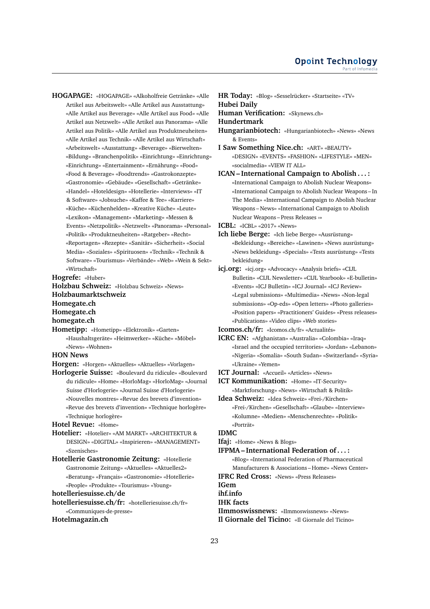**HOGAPAGE:** «HOGAPAGE» «Alkoholfreie Getränke» «Alle Artikel aus Arbeitswelt» «Alle Artikel aus Ausstattung» «Alle Artikel aus Beverage» «Alle Artikel aus Food» «Alle Artikel aus Netzwelt» «Alle Artikel aus Panorama» «Alle Artikel aus Politik» «Alle Artikel aus Produktneuheiten» «Alle Artikel aus Technik» «Alle Artikel aus Wirtschaft» «Arbeitswelt» «Ausstattung» «Beverage» «Bierwelten» «Bildung» «Branchenpolitik» «Einrichtung» «Einrichtung» «Einrichtung» «Entertainment» «Ernährung» «Food» «Food & Beverage» «Foodtrends» «Gastrokonzepte» «Gastronomie» «Gebäude» «Gesellschaft» «Getränke» «Handel» «Hoteldesign» «Hotellerie» «Interviews» «IT & Software» «Jobsuche» «Kaffee & Tee» «Karriere» «Küche» «Küchenhelden» «Kreative Küche» «Leute» «Lexikon» «Management» «Marketing» «Messen & Events» «Netzpolitik» «Netzwelt» «Panorama» «Personal» «Politik» «Produktneuheiten» «Ratgeber» «Recht» «Reportagen» «Rezepte» «Sanitär» «Sicherheit» «Social Media» «Soziales» «Spirituosen» «Technik» «Technik & Software» «Tourismus» «Verbände» «Web» «Wein & Sekt» «Wirtschaft»

**Hogrefe:** «Huber»

**Holzbau Schweiz:** «Holzbau Schweiz» «News» **Holzbaumarktschweiz Homegate.ch Homegate.ch homegate.ch**

**Hometipp:** «Hometipp» «Elektronik» «Garten»

«Haushaltsgeräte» «Heimwerker» «Küche» «Möbel» «News» «Wohnen»

### **HON News**

**Horgen:** «Horgen» «Aktuelles» «Aktuelles» «Vorlagen»

**Horlogerie Suisse:** «Boulevard du ridicule» «Boulevard du ridicule» «Home» «HorloMag» «HorloMag» «Journal Suisse d'Horlogerie» «Journal Suisse d'Horlogerie» «Nouvelles montres» «Revue des brevets d'invention» «Revue des brevets d'invention» «Technique horlogère» «Technique horlogère»

#### **Hotel Revue:** «Home»

- **Hotelier:** «Hotelier» «AM MARKT» «ARCHITEKTUR & DESIGN» «DIGITAL» «Inspirieren» «MANAGEMENT» «Szenisches»
- **Hotellerie Gastronomie Zeitung:** «Hotellerie Gastronomie Zeitung» «Aktuelles» «Aktuelles2» «Beratung» «Français» «Gastronomie» «Hotellerie» «People» «Produkte» «Tourismus» «Young»

**hotelleriesuisse.ch/de**

**hotelleriesuisse.ch/fr:** «hotelleriesuisse.ch/fr» «Communiques-de-presse»

#### **Hotelmagazin.ch**

**HR Today:** «Blog» «Sesselrücker» «Startseite» «TV» **Hubei Daily**

**Human Verification:** «Skynews.ch»

#### **Hundertmark**

- **Hungarianbiotech:** «Hungarianbiotech» «News» «News & Events»
- **I Saw Something Nice.ch:** «ART» «BEAUTY» «DESIGN» «EVENTS» «FASHION» «LIFESTYLE» «MEN» «socialmedia» «VIEW IT ALL»
- **ICAN International Campaign to Abolish . . . :** «International Campaign to Abolish Nuclear Weapons» «International Campaign to Abolish Nuclear Weapons – In The Media» «International Campaign to Abolish Nuclear Weapons – News» «International Campaign to Abolish Nuclear Weapons – Press Releases ›»
- **ICBL:** «ICBL» «2017» «News»
- **Ich liebe Berge:** «Ich liebe Berge» «Ausrüstung» «Bekleidung» «Bereiche» «Lawinen» «News ausrüstung» «News bekleidung» «Specials» «Tests ausrüstung» «Tests bekleidung»
- **icj.org:** «icj.org» «Advocacy» «Analysis briefs» «CIJL Bulletin» «CIJL Newsletter» «CIJL Yearbook» «E-bulletin» «Events» «ICJ Bulletin» «ICJ Journal» «ICJ Review» «Legal submissions» «Multimedia» «News» «Non-legal submissions» «Op-eds» «Open letters» «Photo galleries» «Position papers» «Practitioners' Guides» «Press releases» «Publications» «Video clips» «Web stories»

**Icomos.ch/fr:** «Icomos.ch/fr» «Actualités»

- **ICRC EN:** «Afghanistan» «Australia» «Colombia» «Iraq» «Israel and the occupied territories» «Jordan» «Lebanon» «Nigeria» «Somalia» «South Sudan» «Switzerland» «Syria» «Ukraine» «Yemen»
- **ICT Journal:** «Accueil» «Articles» «News»
- **ICT Kommunikation:** «Home» «IT-Security» «Marktforschung» «News» «Wirtschaft & Politik»
- **Idea Schweiz:** «Idea Schweiz» «Frei-/Kirchen» «Frei-/Kirchen» «Gesellschaft» «Glaube» «Interview» «Kolumne» «Medien» «Menschenrechte» «Politik» «Porträt»

#### **IDMC**

- **Ifaj:** «Home» «News & Blogs»
- **IFPMA International Federation of . . . :** «Blog» «International Federation of Pharmaceutical Manufacturers & Associations – Home» «News Center»

**IFRC Red Cross:** «News» «Press Releases»

**IGem**

# **ihf.info**

**IHK facts**

**IImmoswissnews:** «IImmoswissnews» «News» **Il Giornale del Ticino:** «Il Giornale del Ticino»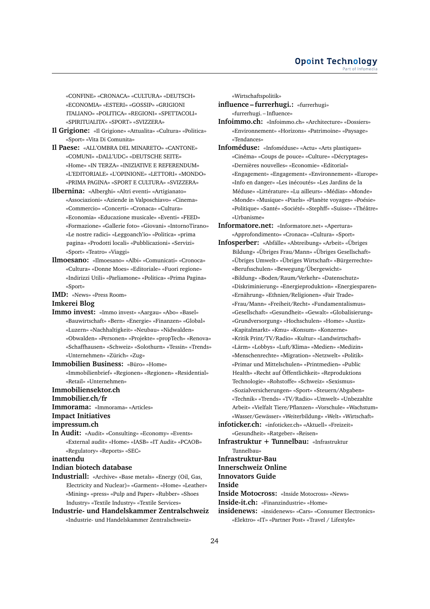«CONFINE» «CRONACA» «CULTURA» «DEUTSCH» «ECONOMIA» «ESTERI» «GOSSIP» «GRIGIONI ITALIANO» «POLITICA» «REGIONI» «SPETTACOLI» «SPIRITUALITA'» «SPORT» «SVIZZERA»

- **Il Grigione:** «Il Grigione» «Attualita» «Cultura» «Politica» «Sport» «Vita Di Comunita»
- **Il Paese:** «ALL'OMBRA DEL MINARETO» «CANTONE» «COMUNI» «DALL'UDC» «DEUTSCHE SEITE» «Home» «IN TERZA» «INIZIATIVE E REFERENDUM» «L'EDITORIALE» «L'OPINIONE» «LETTORI» «MONDO» «PRIMA PAGINA» «SPORT E CULTURA» «SVIZZERA»
- **Ilbernina:** «Alberghi» «Altri eventi» «Artigianato» «Associazioni» «Aziende in Valposchiavo» «Cinema» «Commercio» «Concerti» «Cronaca» «Cultura» «Economia» «Educazione musicale» «Eventi» «FEED» «Formazione» «Gallerie foto» «Giovani» «IntornoTirano» «Le nostre radici» «Leggoanch'io» «Politica» «prima pagina» «Prodotti locali» «Pubblicazioni» «Servizi» «Sport» «Teatro» «Viaggi»
- **Ilmoesano:** «Ilmoesano» «Albi» «Comunicati» «Cronoca» «Cultura» «Donne Moes» «Editoriale» «Fuori regione» «Indirizzi Utili» «Parliamone» «Politica» «Prima Pagina» «Sport»
- **IMD:** «News» «Press Room»

**Imkerei Blog**

- **Immo invest:** «Immo invest» «Aargau» «Abo» «Basel» «Bauwirtschaft» «Bern» «Energie» «Finanzen» «Global» «Luzern» «Nachhaltigkeit» «Neubau» «Nidwalden» «Obwalden» «Personen» «Projekte» «propTech» «Renova» «Schaffhausen» «Schweiz» «Solothurn» «Tessin» «Trends» «Unternehmen» «Zürich» «Zug»
- **Immobilien Business:** «Büro» «Home» «Immobilienbrief» «Regionen» «Regionen» «Residential» «Retail» «Unternehmen»

**Immobiliensektor.ch**

**Immobilier.ch/fr**

**Immorama:** «Immorama» «Articles»

#### **Impact Initiatives**

**impressum.ch**

**In Audit:** «Audit» «Consulting» «Economy» «Events» «External audit» «Home» «IASB» «IT Audit» «PCAOB» «Regulatory» «Reports» «SEC»

**inattendu**

#### **Indian biotech database**

- **Industriall:** «Archive» «Base metals» «Energy (Oil, Gas, Electricity and Nuclear)» «Garment» «Home» «Leather» «Mining» «press» «Pulp and Paper» «Rubber» «Shoes Industry» «Textile Industry» «Textile Services»
- **Industrie- und Handelskammer Zentralschweiz** «Industrie- und Handelskammer Zentralschweiz»

«Wirtschaftspolitik»

- **influence furrerhugi.:** «furrerhugi» «furrerhugi. – Influence»
- **Infoimmo.ch:** «Infoimmo.ch» «Architecture» «Dossiers» «Environnement» «Horizons» «Patrimoine» «Paysage» «Tendances»
- **Infoméduse:** «Infoméduse» «Actu» «Arts plastiques» «Cinéma» «Coups de pouce» «Culture» «Décryptages» «Dernières nouvelles» «Economie» «Editorial» «Engagement» «Engagement» «Environnement» «Europe» «Info en danger» «Les inécoutés» «Les Jardins de la Méduse» «Littérature» «Lu ailleurs» «Médias» «Monde» «Monde» «Musique» «Pixels» «Planète voyages» «Poésie» «Politique» «Santé» «Société» «Stephff» «Suisse» «Théâtre» «Urbanisme»
- **Informatore.net:** «Informatore.net» «Apertura» «Approfondimento» «Cronaca» «Cultura» «Sport»
- **Infosperber:** «Abfälle» «Abtreibung» «Arbeit» «Übriges Bildung» «Übriges Frau/Mann» «Übriges Gesellschaft» «Übriges Umwelt» «Übriges Wirtschaft» «Bürgerrechte» «Berufsschulen» «Bewegung/Übergewicht» «Bildung» «Boden/Raum/Verkehr» «Datenschutz» «Diskriminierung» «Energieproduktion» «Energiesparen» «Ernährung» «Ethnien/Religionen» «Fair Trade» «Frau/Mann» «Freiheit/Recht» «Fundamentalismus» «Gesellschaft» «Gesundheit» «Gewalt» «Globalisierung» «Grundversorgung» «Hochschulen» «Home» «Justiz» «Kapitalmarkt» «Kmu» «Konsum» «Konzerne» «Kritik Print/TV/Radio» «Kultur» «Landwirtschaft» «Lärm» «Lobbys» «Luft/Klima» «Medien» «Medizin» «Menschenrechte» «Migration» «Netzwelt» «Politik» «Primar und Mittelschulen» «Printmedien» «Public Health» «Recht auf Öffentlichkeit» «Reproduktions Technologie» «Rohstoffe» «Schweiz» «Sexismus» «Sozialversicherungen» «Sport» «Steuern/Abgaben» «Technik» «Trends» «TV/Radio» «Umwelt» «Unbezahlte Arbeit» «Vielfalt Tiere/Pflanzen» «Vorschule» «Wachstum» «Wasser/Gewässer» «Weiterbildung» «Welt» «Wirtschaft» **infoticker.ch:** «infoticker.ch» «Aktuell» «Freizeit»
- «Gesundheit» «Ratgeber» «Reisen»
- **Infrastruktur + Tunnelbau:** «Infrastruktur Tunnelbau»

**Infrastruktur-Bau**

# **Innerschweiz Online**

**Innovators Guide**

**Inside**

**Inside Motocross:** «Inside Motocross» «News»

**Inside-it.ch:** «Finanzindustrie» «Home»

**insidenews:** «insidenews» «Cars» «Consumer Electronics» «Elektro» «IT» «Partner Post» «Travel / Lifestyle»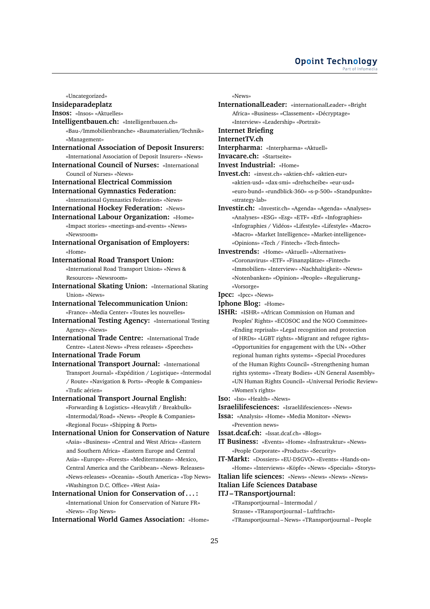#### **Opoint Technology** Part of Infome

«Uncategorized»

# **Insideparadeplatz**

#### **Insos:** «Insos» «Aktuelles»

- **Intelligentbauen.ch:** «Intelligentbauen.ch» «Bau-/Immobilienbranche» «Baumaterialien/Technik» «Management»
- **International Association of Deposit Insurers:**
- «International Association of Deposit Insurers» «News» **International Council of Nurses:** «International
	- Council of Nurses» «News»
- **International Electrical Commission International Gymnastics Federation:**
- «International Gymnastics Federation» «News»
- **International Hockey Federation:** «News»
- **International Labour Organization:** «Home»
	- «Impact stories» «meetings-and-events» «News» «Newsroom»
- **International Organisation of Employers:** «Home»

#### **International Road Transport Union:**

«International Road Transport Union» «News & Resources» «Newsroom»

- **International Skating Union:** «International Skating Union» «News»
- **International Telecommunication Union:** «France» «Media Center» «Toutes les nouvelles»
- **International Testing Agency:** «International Testing Agency» «News»
- **International Trade Centre:** «International Trade Centre» «Latest-News» «Press releases» «Speeches»
- **International Trade Forum**
- **International Transport Journal:** «International Transport Journal» «Expédition / Logistique» «Intermodal / Route» «Navigation & Ports» «People & Companies» «Trafic aérien»

# **International Transport Journal English:**

- «Forwarding & Logistics» «Heavylift / Breakbulk» «Intermodal/Road» «News» «People & Companies» «Regional Focus» «Shipping & Ports»
- **International Union for Conservation of Nature** «Asia» «Business» «Central and West Africa» «Eastern and Southern Africa» «Eastern Europe and Central Asia» «Europe» «Forests» «Mediterranean» «Mexico, Central America and the Caribbean» «News- Releases» «News-releases» «Oceania» «South America» «Top News» «Washington D.C. Office» «West Asia»
- **International Union for Conservation of . . . :** «International Union for Conservation of Nature FR» «News» «Top News»

**International World Games Association:** «Home»

«News»

- **InternationalLeader:** «internationalLeader» «Bright Africa» «Business» «Classement» «Décryptage» «Interview» «Leadership» «Portrait»
- **Internet Briefing**

#### **InternetTV.ch**

- **Interpharma:** «Interpharma» «Aktuell»
- **Invacare.ch:** «Startseite»
- **Invest Industrial:** «Home»
- **Invest.ch:** «invest.ch» «aktien-chf» «aktien-eur» «aktien-usd» «dax-smi» «drehscheibe» «eur-usd» «euro-bund» «rundblick-360» «s-p-500» «Standpunkte» «strategy-lab»
- **Investir.ch:** «Investir.ch» «Agenda» «Agenda» «Analyses» «Analyses» «ESG» «Esg» «ETF» «Etf» «Infographies» «Infographies / Vidéos» «Lifestyle» «Lifestyle» «Macro» «Macro» «Market Intelligence» «Market-intelligence» «Opinions» «Tech / Fintech» «Tech-fintech»
- **Investrends:** «Home» «Aktuell» «Alternatives» «Coronavirus» «ETF» «Finanzplätze» «Fintech» «Immobilien» «Interview» «Nachhaltigkeit» «News» «Notenbanken» «Opinion» «People» «Regulierung» «Vorsorge»
- **Ipcc:** «Ipcc» «News»
- **Iphone Blog:** «Home»
- **ISHR:** «ISHR» «African Commission on Human and Peoples' Rights» «ECOSOC and the NGO Committee» «Ending reprisals» «Legal recognition and protection of HRDs» «LGBT rights» «Migrant and refugee rights» «Opportunities for engagement with the UN» «Other regional human rights systems» «Special Procedures of the Human Rights Council» «Strengthening human rights systems» «Treaty Bodies» «UN General Assembly» «UN Human Rights Council» «Universal Periodic Review» «Women's rights»
- **Iso:** «Iso» «Health» «News»
- **Israelilifesciences:** «Israelilifesciences» «News»
- **Issa:** «Analysis» «Home» «Media Monitor» «News» «Prevention news»
- **Issat.dcaf.ch:** «Issat.dcaf.ch» «Blogs»
- **IT Business:** «Events» «Home» «Infrastruktur» «News» «People Corporate» «Products» «Security»
- **IT-Markt:** «Dossiers» «EU-DSGVO» «Events» «Hands-on» «Home» «Interviews» «Köpfe» «News» «Specials» «Storys»
- **Italian life sciences:** «News» «News» «News» «News»
- **Italian Life Sciences Database**

#### **ITJ – TRansportjournal:**

«TRansportjournal – Intermodal / Strasse» «TRansportjournal – Luftfracht» «TRansportjournal – News» «TRansportjournal – People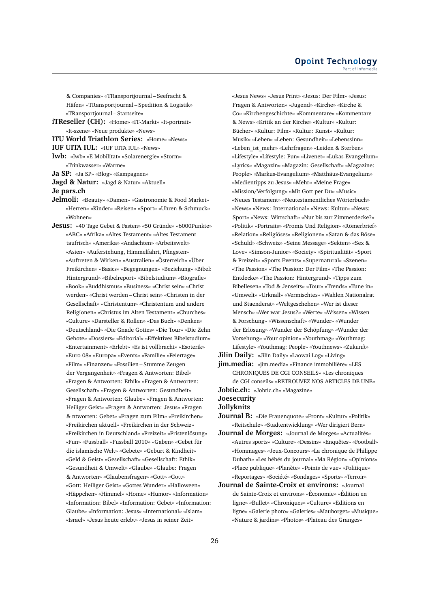& Companies» «TRansportjournal – Seefracht & Häfen» «TRansportjournal – Spedition & Logistik» «TRansportjournal – Startseite»

**iTReseller (CH):** «Home» «IT-Markt» «It-portrait» «It-szene» «Neue produkte» «News»

**ITU World Triathlon Series:** «Home» «News»

**IUF UITA IUL:** «IUF UITA IUL» «News»

**Iwb:** «Iwb» «E Mobilitat» «Solarenergie» «Storm» «Trinkwasser» «Warme»

**Ja SP:** «Ja SP» «Blog» «Kampagnen»

**Jagd & Natur:** «Jagd & Natur» «Aktuell»

**Je pars.ch**

**Jelmoli:** «Beauty» «Damen» «Gastronomie & Food Market» «Herren» «Kinder» «Reisen» «Sport» «Uhren & Schmuck» «Wohnen»

**Jesus:** «40 Tage Gebet & Fasten» «50 Gründe» «6000Punkte» «ABC» «Afrika» «Altes Testament» «Altes Testament taufrisch» «Amerika» «Andachten» «Arbeitswelt» «Asien» «Auferstehung, Himmelfahrt, Pfingsten» «Auftreten & Wirken» «Australien» «Österreich» «Über Freikirchen» «Basics» «Begegnungen» «Beziehung» «Bibel: Hintergrund» «Bibelreport» «Bibelstudium» «Biografie» «Book» «Buddhismus» «Business» «Christ sein» «Christ werden» «Christ werden – Christ sein» «Christen in der Gesellschaft» «Christentum» «Christentum und andere Religionen» «Christus im Alten Testament» «Churches» «Culture» «Darsteller & Rollen» «Das Buch» «Denken» «Deutschland» «Die Gnade Gottes» «Die Tour» «Die Zehn Gebote» «Dossiers» «Editorial» «Effektives Bibelstudium» «Entertainment» «Erlebt» «Es ist vollbracht» «Esoterik» «Euro 08» «Europa» «Events» «Familie» «Feiertage» «Film» «Finanzen» «Fossilien – Stumme Zeugen der Vergangenheit» «Fragen & Antworten: Bibel» «Fragen & Antworten: Ethik» «Fragen & Antworten: Gesellschaft» «Fragen & Antworten: Gesundheit» «Fragen & Antworten: Glaube» «Fragen & Antworten: Heiliger Geist» «Fragen & Antworten: Jesus» «Fragen & ntworten: Gebet» «Fragen zum Film» «Freikirchen» «Freikirchen aktuell» «Freikirchen in der Schweiz» «Freikirchen in Deutschland» «Freizeit» «Fristenlösung» «Fun» «Fussball» «Fussball 2010» «Gaben» «Gebet für die islamische Welt» «Gebete» «Geburt & Kindheit» «Geld & Geist» «Gesellschaft» «Gesellschaft: Ethik» «Gesundheit & Umwelt» «Glaube» «Glaube: Fragen & Antworten» «Glaubensfragen» «Gott» «Gott» «Gott: Heiliger Geist» «Gottes Wunder» «Halloween» «Häppchen» «Himmel» «Home» «Humor» «Information» «Information: Bibel» «Information: Gebet» «Information: Glaube» «Information: Jesus» «International» «Islam» «Israel» «Jesus heute erlebt» «Jesus in seiner Zeit»

«Jesus News» «Jesus Print» «Jesus: Der Film» «Jesus: Fragen & Antworten» «Jugend» «Kirche» «Kirche & Co» «Kirchengeschichte» «Kommentare» «Kommentare & News» «Kritik an der Kirche» «Kultur» «Kultur: Bücher» «Kultur: Film» «Kultur: Kunst» «Kultur: Musik» «Leben» «Leben: Gesundheit» «Lebenssinn» «Leben\_ist\_mehr» «Lehrfragen» «Leiden & Sterben» «Lifestyle» «Lifestyle: Fun» «Livenet» «Lukas-Evangelium» «Lyrics» «Magazin» «Magazin: Gesellschaft» «Magazine: People» «Markus-Evangelium» «Matthäus-Evangelium» «Medientipps zu Jesus» «Mehr» «Meine Frage» «Mission/Verfolgung» «Mit Gott per Du» «Music» «Neues Testament» «Neutestamentliches Wörterbuch» «News» «News: International» «News: Kultur» «News: Sport» «News: Wirtschaft» «Nur bis zur Zimmerdecke?» «Politik» «Portraits» «Promis Und Religion» «Römerbrief» «Relation» «Religiöses» «Religionen» «Satan & das Böse» «Schuld» «Schweiz» «Seine Message» «Sekten» «Sex & Love» «Simson-Junior» «Society» «Spiritualität» «Sport & Freizeit» «Sports Events» «Supernatural» «Szenen» «The Passion» «The Passion: Der Film» «The Passion: Entdecke» «The Passion: Hintergrund» «Tipps zum Bibellesen» «Tod & Jenseits» «Tour» «Trends» «Tune in» «Umwelt» «Urknall» «Vermischtes» «Wahlen Nationalrat und Staenderat» «Weltgeschehen» «Wer ist dieser Mensch» «Wer war Jesus?» «Werte» «Wissen» «Wissen & Forschung» «Wissenschaft» «Wunder» «Wunder der Erlösung» «Wunder der Schöpfung» «Wunder der Vorsehung» «Your opinion» «Youthmag» «Youthmag: Lifestyle» «Youthmag: People» «Youthnews» «Zukunft»

**Jilin Daily:** «Jilin Daily» «Laowai Log» «Living»

**jim.media:** «jim.media» «Finance immobilière» «LES CHRONIQUES DE CGI CONSEILS» «Les chroniques de CGI conseils» «RETROUVEZ NOS ARTICLES DE UNE» **Jobtic.ch:** «Jobtic.ch» «Magazine»

**Joesecurity**

**Jollyknits**

**Journal B:** «Die Frauenquote» «Front» «Kultur» «Politik» «Reitschule» «Stadtentwicklung» «Wer dirigiert Bern»

- **Journal de Morges:** «Journal de Morges» «Actualités» «Autres sports» «Culture» «Dessins» «Enquêtes» «Football» «Hommages» «Jeux-Concours» «La chronique de Philippe Dubath» «Les bébés du journal» «Ma Région» «Opinions» «Place publique» «Planète» «Points de vue» «Politique» «Reportages» «Société» «Sondages» «Sports» «Terroir»
- **Journal de Sainte-Croix et environs:** «Journal de Sainte-Croix et environs» «Économie» «Édition en ligne» «Bullet» «Chroniques» «Culture» «Editions en ligne» «Galerie photo» «Galeries» «Mauborget» «Musique» «Nature & jardins» «Photos» «Plateau des Granges»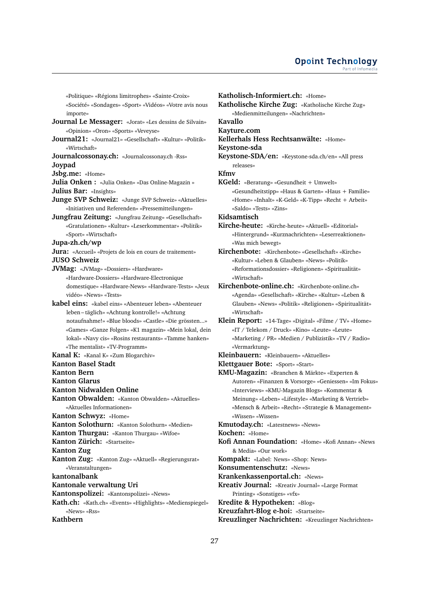«Politique» «Régions limitrophes» «Sainte-Croix»

«Société» «Sondages» «Sport» «Vidéos» «Votre avis nous importe»

- **Journal Le Messager:** «Jorat» «Les dessins de Silvain» «Opinion» «Oron» «Sports» «Veveyse»
- **Journal21:** «Journal21» «Gesellschaft» «Kultur» «Politik» «Wirtschaft»

**Journalcossonay.ch:** «Journalcossonay.ch -Rss» **Joypad**

**Jsbg.me:** «Home»

**Julia Onken :** «Julia Onken» «Das Online-Magazin »

**Julius Bar:** «Insights»

**Junge SVP Schweiz:** «Junge SVP Schweiz» «Aktuelles» «Initiativen und Referenden» «Pressemitteilungen»

**Jungfrau Zeitung:** «Jungfrau Zeitung» «Gesellschaft» «Gratulationen» «Kultur» «Leserkommentar» «Politik» «Sport» «Wirtschaft»

#### **Jupa-zh.ch/wp**

**Jura:** «Accueil» «Projets de lois en cours de traitement» **JUSO Schweiz**

**JVMag:** «JVMag» «Dossiers» «Hardware» «Hardware-Dossiers» «Hardware-Electronique domestique» «Hardware-News» «Hardware-Tests» «Jeux vidéo» «News» «Tests»

**kabel eins:** «kabel eins» «Abenteuer leben» «Abenteuer leben – täglich» «Achtung kontrolle!» «Achtung notaufnahme!» «Blue bloods» «Castle» «Die grössten...» «Games» «Ganze Folgen» «K1 magazin» «Mein lokal, dein lokal» «Navy cis» «Rosins restaurants» «Tamme hanken» «The mentalist» «TV-Programm»

#### **Kanal K:** «Kanal K» «Zum Blogarchiv»

**Kanton Basel Stadt**

**Kanton Bern**

**Kanton Glarus**

**Kanton Nidwalden Online**

**Kanton Obwalden:** «Kanton Obwalden» «Aktuelles» «Aktuelles Informationen»

**Kanton Schwyz:** «Home»

- **Kanton Solothurn:** «Kanton Solothurn» «Medien»
- **Kanton Thurgau:** «Kanton Thurgau» «Wifoe»
- **Kanton Zürich:** «Startseite»

**Kanton Zug**

**Kanton Zug:** «Kanton Zug» «Aktuell» «Regierungsrat» «Veranstaltungen»

**kantonalbank**

**Kantonale verwaltung Uri**

**Kantonspolizei:** «Kantonspolizei» «News»

**Kath.ch:** «Kath.ch» «Events» «Highlights» «Medienspiegel» «News» «Rss»

# **Kathbern**

**Katholisch-Informiert.ch:** «Home» **Katholische Kirche Zug:** «Katholische Kirche Zug» «Medienmitteilungen» «Nachrichten» **Kavallo Kayture.com Kellerhals Hess Rechtsanwälte:** «Home» **Keystone-sda Keystone-SDA/en:** «Keystone-sda.ch/en» «All press releases» **Kfmv KGeld:** «Beratung» «Gesundheit + Umwelt» «Gesundheitstipp» «Haus & Garten» «Haus + Familie» «Home» «Inhalt» «K-Geld» «K-Tipp» «Recht + Arbeit» «Saldo» «Tests» «Zins» **Kidsamtisch Kirche-heute:** «Kirche-heute» «Aktuell» «Editorial» «Hintergrund» «Kurznachrichten» «Leserreaktionen» «Was mich bewegt» **Kirchenbote:** «Kirchenbote» «Gesellschaft» «Kirche» «Kultur» «Leben & Glauben» «News» «Politik» «Reformationsdossier» «Religionen» «Spiritualität» «Wirtschaft» **Kirchenbote-online.ch:** «Kirchenbote-online.ch» «Agenda» «Gesellschaft» «Kirche» «Kultur» «Leben & Glauben» «News» «Politik» «Religionen» «Spiritualität»

**Klein Report:** «14-Tage» «Digital» «Filme / TV» «Home» «IT / Telekom / Druck» «Kino» «Leute» «Leute» «Marketing / PR» «Medien / Publizistik» «TV / Radio» «Vermarktung»

- **Kleinbauern:** «Kleinbauern» «Aktuelles»
- **Klettgauer Bote:** «Sport» «Start»
- **KMU-Magazin:** «Branchen & Märkte» «Experten & Autoren» «Finanzen & Vorsorge» «Geniessen» «Im Fokus» «Interviews» «KMU-Magazin Blogs» «Kommentar & Meinung» «Leben» «Lifestyle» «Marketing & Vertrieb» «Mensch & Arbeit» «Recht» «Strategie & Management» «Wissen» «Wissen»
- **Kmutoday.ch:** «Latestnews» «News»

**Kochen:** «Home»

«Wirtschaft»

- **Kofi Annan Foundation:** «Home» «Kofi Annan» «News & Media» «Our work»
- **Kompakt:** «Label: News» «Shop: News»

**Konsumentenschutz:** «News»

**Krankenkassenportal.ch:** «News»

**Kreativ Journal:** «Kreativ Journal» «Large Format Printing» «Sonstiges» «vfx»

**Kredite & Hypotheken:** «Blog»

**Kreuzfahrt-Blog e-hoi:** «Startseite»

**Kreuzlinger Nachrichten:** «Kreuzlinger Nachrichten»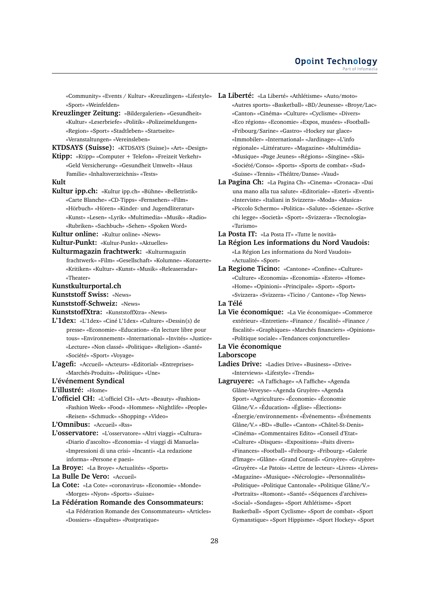«Community» «Events / Kultur» «Kreuzlingen» «Lifestyle» **La Liberté:** «La Liberté» «Athlétisme» «Auto/moto» «Sport» «Weinfelden»

**Kreuzlinger Zeitung:** «Bildergalerien» «Gesundheit» «Kultur» «Leserbriefe» «Politik» «Polizeimeldungen» «Region» «Sport» «Stadtleben» «Startseite» «Veranstaltungen» «Vereinsleben»

**KTDSAYS (Suisse):** «KTDSAYS (Suisse)» «Art» «Design»

**Ktipp:** «Ktipp» «Computer + Telefon» «Freizeit Verkehr» «Geld Versicherung» «Gesundheit Umwelt» «Haus Familie» «Inhaltsverzeichnis» «Tests»

#### **Kult**

**Kultur ipp.ch:** «Kultur ipp.ch» «Bühne» «Belletristik» «Carte Blanche» «CD-Tipps» «Fernsehen» «Film» «Hörbuch» «Hören» «Kinder- und Jugendliteratur» «Kunst» «Lesen» «Lyrik» «Multimedia» «Musik» «Radio» «Rubriken» «Sachbuch» «Sehen» «Spoken Word»

**Kultur online:** «Kultur online» «News»

**Kultur-Punkt:** «Kultur-Punkt» «Aktuelles»

- 
- **Kulturmagazin frachtwerk:** «Kulturmagazin frachtwerk» «Film» «Gesellschaft» «Kolumne» «Konzerte» «Kritiken» «Kultur» «Kunst» «Musik» «Releaseradar» «Theater»
- **Kunstkulturportal.ch**
- **Kunststoff Swiss:** «News»

**Kunststoff-Schweiz:** «News»

- **KunststoffXtra:** «KunststoffXtra» «News»
- **L'1dex:** «L'1dex» «Ciné L'1dex» «Culture» «Dessin(s) de presse» «Economie» «Education» «En lecture libre pour tous» «Environnement» «International» «Invités» «Justice» «Lecture» «Non classé» «Politique» «Religion» «Santé» «Société» «Sport» «Voyage»
- **L'agefi:** «Accueil» «Acteurs» «Editorial» «Entreprises» «Marchés-Produits» «Politique» «Une»
- **L'événement Syndical**

**L'illustré:** «Home»

**L'officiel CH:** «L'officiel CH» «Art» «Beauty» «Fashion» «Fashion Week» «Food» «Hommes» «Nightlife» «People» «Reisen» «Schmuck» «Shopping» «Video»

**L'Omnibus:** «Accueil» «Rss»

- **L'osservatore:** «L'osservatore» «Altri viaggi» «Cultura» «Diario d'ascolto» «Economia» «I viaggi di Manuela» «Impressioni di una crisi» «Incanti» «La redazione informa» «Persone e paesi»
- **La Broye:** «La Broye» «Actualités» «Sports»
- **La Bulle De Vero:** «Accueil»
- **La Cote:** «La Cote» «coronavirus» «Economie» «Monde» «Morges» «Nyon» «Sports» «Suisse»
- **La Fédération Romande des Consommateurs:** «La Fédération Romande des Consommateurs» «Articles» «Dossiers» «Enquêtes» «Postpratique»
- «Autres sports» «Basketball» «BD/Jeunesse» «Broye/Lac» «Canton» «Cinéma» «Culture» «Cyclisme» «Divers» «Eco régions» «Economie» «Expos, musées» «Football» «Fribourg/Sarine» «Gastro» «Hockey sur glace» «Immobiler» «International» «Jardinage» «L'info régionale» «Littérature» «Magazine» «Multimédia» «Musique» «Page Jeunes» «Régions» «Singine» «Ski» «Société/Conso» «Sports» «Sports de combat» «Sud» «Suisse» «Tennis» «Théâtre/Danse» «Vaud»
- **La Pagina Ch:** «La Pagina Ch» «Cinema» «Cronaca» «Dai una mano alla tua salute» «Editoriale» «Esteri» «Eventi» «Interviste» «Italiani in Svizzera» «Moda» «Musica» «Piccolo Schermo» «Politica» «Salute» «Scienze» «Scrive chi legge» «Società» «Sport» «Svizzera» «Tecnologia» «Turismo»

**La Posta IT:** «La Posta IT» «Tutte le novità»

- **La Région Les informations du Nord Vaudois:** «La Région Les informations du Nord Vaudois» «Actualité» «Sport»
- **La Regione Ticino:** «Cantone» «Confine» «Culture» «Culture» «Economia» «Economia» «Estero» «Home» «Home» «Opinioni» «Principale» «Sport» «Sport» «Svizzera» «Svizzera» «Ticino / Cantone» «Top News»

**La Télé**

**La Vie économique:** «La Vie économique» «Commerce extérieur» «Entretien» «Finance / fiscalité» «Finance / fiscalité» «Graphiques» «Marchés financiers» «Opinions» «Politique sociale» «Tendances conjoncturelles»

## **La Vie économique**

#### **Laborscope**

- **Ladies Drive:** «Ladies Drive» «Business» «Drive» «Interviews» «Lifestyle» «Trends»
- **Lagruyere:** «A l'affichage» «A l'affiche» «Agenda Glâne-Veveyse» «Agenda Gruyère» «Agenda Sport» «Agriculture» «Économie» «Économie Glâne/V.» «Éducation» «Église» «Élections» «Énergie/environnement» «Événements» «Événements Glâne/V.» «BD» «Bulle» «Canton» «Châtel-St-Denis» «Cinéma» «Commentaires Edito» «Conseil d'Etat» «Culture» «Disques» «Expositions» «Faits divers» «Finances» «Football» «Fribourg» «Fribourg» «Galerie d'Image» «Glâne» «Grand Conseil» «Gruyère» «Gruyère» «Gruyère» «Le Patois» «Lettre de lecteur» «Livres» «Livres» «Magazine» «Musique» «Nécrologie» «Personnalités» «Politique» «Politique Cantonale» «Politique Glâne/V.» «Portraits» «Romont» «Santé» «Séquences d'archives» «Social» «Sondages» «Sport Athlétisme» «Sport Basketball» «Sport Cyclisme» «Sport de combat» «Sport Gymanstique» «Sport Hippisme» «Sport Hockey» «Sport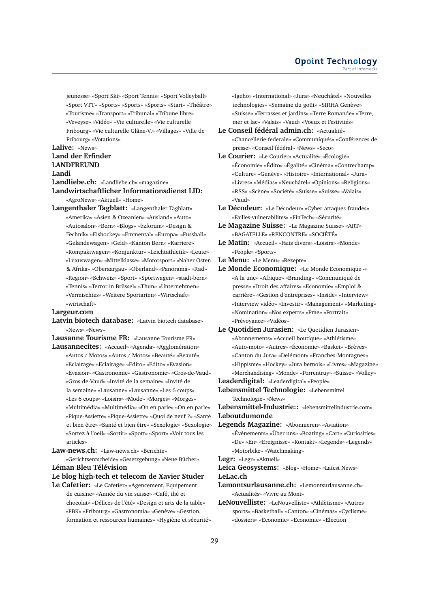jeunesse» «Sport Ski» «Sport Tennis» «Sport Volleyball» «Sport VTT» «Sports» «Sports» «Sports» «Start» «Théâtre» «Tourisme» «Transport» «Tribunal» «Tribune libre» «Veveyse» «Vidéo» «Vie culturelle» «Vie culturelle Fribourg» «Vie culturelle Glâne-V.» «Villages» «Ville de Fribourg» «Votations»

#### **Lalive:** «News»

# **Land der Erfinder LANDFREUND**

**Landi**

**Landliebe.ch:** «Landliebe.ch» «magazine»

### **Landwirtschaftlicher Informationsdienst LID:** «AgroNews» «Aktuell» «Home»

**Langenthaler Tagblatt:** «Langenthaler Tagblatt» «Amerika» «Asien & Ozeanien» «Ausland» «Auto» «Autosalon» «Bern» «Blogs» «bzforum» «Design & Technik» «Eishockey» «Emmental» «Europa» «Fussball» «Geländewagen» «Geld» «Kanton Bern» «Karriere» «Kompaktwagen» «Konjunktur» «Leichtathletik» «Leute» «Luxuswagen» «Mittelklasse» «Motorsport» «Naher Osten & Afrika» «Oberaargau» «Oberland» «Panorama» «Rad» «Region» «Schweiz» «Sport» «Sportwagen» «stadt-bern» «Tennis» «Terror in Brüssel» «Thun» «Unternehmen» «Vermischtes» «Weitere Sportarten» «Wirtschaft» «wirtschaft»

#### **Largeur.com**

**Latvin biotech database:** «Latvin biotech database» «News» «News»

**Lausanne Tourisme FR:** «Lausanne Tourisme FR»

- **Lausannecites:** «Accueil» «Agenda» «Agglomération» «Autos / Motos» «Autos / Motos» «Beauté» «Beauté» «Eclairage» «Eclairage» «Edito» «Edito» «Evasion» «Evasion» «Gastronomie» «Gastronomie» «Gros-de-Vaud» «Gros-de-Vaud» «Invité de la semaine» «Invité de la semaine» «Lausanne» «Lausanne» «Les 6 coups» «Les 6 coups» «Loisirs» «Mode» «Morges» «Morges» «Multimédia» «Multimédia» «On en parle» «On en parle» «Pique-Assiette» «Pique-Assiette» «Quoi de neuf ?» «Santé et bien être» «Santé et bien être» «Sexologie» «Sexologie» «Sortez à l'oeil» «Sortir» «Sport» «Sport» «Voir tous les articles»
- **Law-news.ch:** «Law-news.ch» «Berichte»

«Gerichtsentscheide» «Gesetzgebung» «Neue Bücher» **Léman Bleu Télévision**

**Le blog high-tech et telecom de Xavier Studer**

**Le Cafetier:** «Le Cafetier» «Agencement, Equipement de cuisine» «Année du vin suisse» «Café, thé et chocolat» «Délices de l'été» «Design et arts de la table» «FBK» «Fribourg» «Gastronomia» «Genève» «Gestion, formation et ressources humaines» «Hygiène et sécurité» «Igeho» «International» «Jura» «Neuchâtel» «Nouvelles technologies» «Semaine du goût» «SIRHA Genève» «Suisse» «Terrasses et jardins» «Terre Romande» «Terre, mer et lac» «Valais» «Vaud» «Voeux et Festivités»

- **Le Conseil fédéral admin.ch:** «Actualité» «Chancellerie-federale» «Communiqués» «Conférences de presse» «Conseil fédéral» «News» «Seco»
- **Le Courier:** «Le Courier» «Actualité» «Écologie» «Économie» «Édito» «Égalité» «Cinéma» «Contrechamp» «Culture» «Genève» «Histoire» «International» «Jura» «Livres» «Médias» «Neuchâtel» «Opinions» «Religions» «RSS» «Scène» «Société» «Suisse» «Suisse» «Valais» «Vaud»
- **Le Décodeur:** «Le Décodeur» «Cyber-attaques-fraudes» «Failles-vulnerabilites» «FinTech» «Sécurité»
- **Le Magazine Suisse:** «Le Magazine Suisse» «ART» «BAGATELLE» «RENCONTRE» «SOCIÉTÉ»
- **Le Matin:** «Accueil» «Faits divers» «Loisirs» «Monde» «People» «Sports»
- **Le Menu:** «Le Menu» «Rezepte»
- **Le Monde Economique:** «Le Monde Economique -» «A la une» «Afrique» «Branding» «Communiqué de presse» «Droit des affaires» «Economie» «Emploi & carrière» «Gestion d'entreprises» «Inside» «Interview» «Interview vidéo» «Investir» «Management» «Marketing» «Nomination» «Nos experts» «Pme» «Portrait» «Prévoyance» «Vidéos»
- **Le Quotidien Jurasien:** «Le Quotidien Jurasien» «Abonnements» «Accueil boutique» «Athlétisme» «Auto-moto» «Autres» «Économie» «Basket» «Brèves» «Canton du Jura» «Delémont» «Franches-Montagnes» «Hippisme» «Hockey» «Jura bernois» «Livres» «Magazine» «Merchandising» «Monde» «Porrentruy» «Suisse» «Volley» **Leaderdigital:** «Leaderdigital» «People»
- **Lebensmittel Technologie:** «Lebensmittel Technologie» «News»

**Lebensmittel-Industrie::** «lebensmittelindustrie.com» **Leboutdumonde**

**Legends Magazine:** «Abonnieren» «Aviation» «Événements» «Über uns» «Boating» «Cart» «Curiosities» «De» «En» «Ereignisse» «Kontakt» «Legends» «Legends» «Motorbike» «Watchmaking»

**Leica Geosystems:** «Blog» «Home» «Latest News» **LeLac.ch**

- **Lemontsurlausanne.ch:** «Lemontsurlausanne.ch» «Actualités» «Vivre au Mont»
- **LeNouvelliste:** «LeNouvelliste» «Athlètisme» «Autres sports» «Basketball» «Canton» «Cinémas» «Cyclisme» «dossiers» «Economie» «Economie» «Election

**Legr:** «Legr» «Aktuell»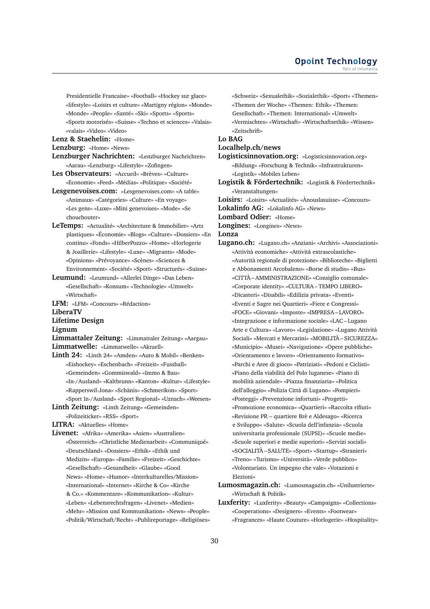Presidentielle Francaise» «Football» «Hockey sur glace» «lifestyle» «Loisirs et culture» «Martigny région» «Monde» «Monde» «People» «Santé» «Ski» «Sports» «Sports» «Sports motorisés» «Suisse» «Techno et sciences» «Valais»

«valais» «Video» «Video»

# **Lenz & Staehelin:** «Home»

# **Lenzburg:** «Home» «News»

- **Lenzburger Nachrichten:** «Lenzburger Nachrichten» «Aarau» «Lenzburg» «Lifestyle» «Zofingen»
- **Les Observateurs:** «Accueil» «Brèves» «Culture» «Economie» «Feed» «Médias» «Politique» «Société»
- **Lesgenevoises.com:** «Lesgenevoises.com» «A table» «Animaux» «Catégories» «Culture» «En voyage» «Les gens» «Luxe» «Mini genevoises» «Mode» «Se chouchouter»
- **LeTemps:** «Actualité» «Architecture & Immobilier» «Arts plastiques» «Économie» «Blogs» «Culture» «Dossiers» «En continu» «Fonds» «HilberPozzo» «Home» «Horlogerie & Joaillerie» «Lifestyle» «Luxe» «Migrants» «Mode» «Opinions» «Prévoyance» «Scènes» «Sciences & Environnement» «Société» «Sport» «Structurés» «Suisse»
- **Leumund:** «Leumund» «Allerlei Dinge» «Das Leben» «Gesellschaft» «Konsum» «Technologie» «Umwelt» «Wirtschaft»
- **LFM:** «LFM» «Concours» «Rédaction»

#### **LiberaTV**

- **Lifetime Design**
- **Lignum**
- **Limmattaler Zeitung:** «Limmattaler Zeitung» «Aargau» **Limmatwelle:** «Limmatwelle» «Aktuell»
- **Linth 24:** «Linth 24» «Amden» «Auto & Mobil» «Benken» «Eishockey» «Eschenbach» «Freizeit» «Fussball» «Gemeinden» «Gommiswald» «Immo & Bau» «In-/Ausland» «Kaltbrunn» «Kanton» «Kultur» «Lifestyle» «Rapperswil-Jona» «Schänis» «Schmerikon» «Sport» «Sport In-/Ausland» «Sport Regional» «Uznach» «Weesen»
- **Linth Zeitung:** «Linth Zeitung» «Gemeinden» «Polizeiticker» «RSS» «Sport»
- **LITRA:** «Aktuelles» «Home»
- **Livenet:** «Afrika» «Amerika» «Asien» «Australien» «Österreich» «Christliche Medienarbeit» «Communiqué» «Deutschland» «Dossiers» «Ethik» «Ethik und Medizin» «Europa» «Familie» «Freizeit» «Geschichte» «Gesellschaft» «Gesundheit» «Glaube» «Good News» «Home» «Humor» «Interkulturelles/Mission» «International» «Internet» «Kirche & Co» «Kirche & Co.» «Kommentare» «Kommunikation» «Kultur» «Leben» «Lebensrechtsfragen» «Livenet» «Medien» «Mehr» «Mission und Kommunikation» «News» «People» «Politik/Wirtschaft/Recht» «Publireportage» «Religiöses»

«Schweiz» «Sexualethik» «Sozialethik» «Sport» «Themen» «Themen der Woche» «Themen: Ethik» «Themen: Gesellschaft» «Themen: International» «Umwelt» «Vermischtes» «Wirtschaft» «Wirtschaftsethik» «Wissen» «Zeitschrift»

# **Lo BAG**

# **Localhelp.ch/news**

- **Logisticsinnovation.org:** «Logisticsinnovation.org» «Bildung» «Forschung & Technik» «Infrastrukturen» «Logistik» «Mobiles Leben»
- **Logistik & Fördertechnik:** «Logistik & Fördertechnik» «Veranstaltungen»
- **Loisirs:** «Loisirs» «Actualités» «Ànouslasuisse» «Concours»
- **Lokalinfo AG:** «Lokalinfo AG» «News»
- **Lombard Odier:** «Home»
- **Longines:** «Longines» «News»

# **Lonza**

- **Lugano.ch:** «Lugano.ch» «Anziani» «Archivi» «Associazioni» «Attività economiche» «Attività extrascolastiche» «Autorità regionale di protezione» «Biblioteche» «Biglietti e Abbonamenti Arcobaleno» «Borse di studio» «Bus» «CITTÀ – AMMINISTRAZIONE» «Consiglio comunale» «Corporate identity» «CULTURA – TEMPO LIBERO» «Dicasteri» «Disabili» «Edilizia privata» «Eventi» «Eventi e Sagre nei Quartieri» «Fiere e Congressi» «FOCE» «Giovani» «Imposte» «IMPRESA – LAVORO» «Integrazione e informazione sociale» «LAC – Lugano Arte e Cultura» «Lavoro» «Legislazione» «Lugano Attività Sociali» «Mercati e Mercatini» «MOBILITÀ – SICUREZZA» «Municipio» «Musei» «Navigazione» «Opere pubbliche» «Orientamento e lavoro» «Orientamento formativo» «Parchi e Aree di gioco» «Patriziati» «Pedoni e Ciclisti» «Piano della viabilità del Polo luganese» «Piano di mobilità aziendale» «Piazza finanziaria» «Politica dell'alloggio» «Polizia Città di Lugano» «Pompieri» «Posteggi» «Prevenzione infortuni» «Progetti» «Promozione economica» «Quartieri» «Raccolta rifiuti» «Revisione PR – quartiere Brè e Aldesago» «Ricerca e Sviluppo» «Salute» «Scuola dell'infanzia» «Scuola universitaria professionale (SUPSI)» «Scuole medie» «Scuole superiori e medie superiori» «Servizi sociali» «SOCIALITÀ – SALUTE» «Sport» «Startup» «Stranieri» «Treno» «Turismo» «Università» «Verde pubblico» «Volontariato. Un impegno che vale» «Votazioni e Elezioni»
- **Lumosmagazin.ch:** «Lumosmagazin.ch» «Unilustrierte» «Wirtschaft & Politik»
- **Luxferity:** «Luxferity» «Beauty» «Campaigns» «Collections» «Cooperations» «Designers» «Events» «Footwear» «Fragrances» «Haute Couture» «Horlogerie» «Hospitality»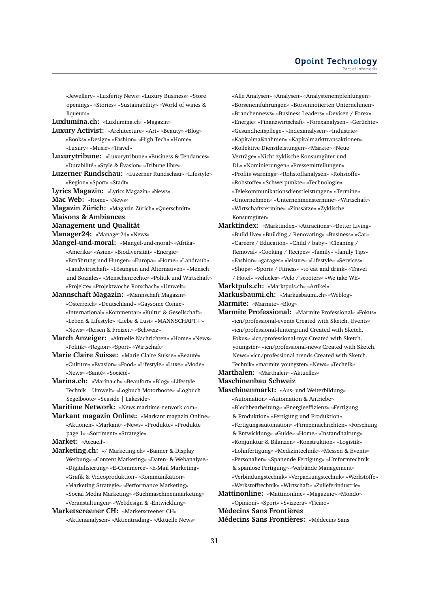«Jewellery» «Luxferity News» «Luxury Business» «Store openings» «Stories» «Sustainability» «World of wines & liqueurs»

**Luxlumina.ch:** «Luxlumina.ch» «Magazin»

- **Luxury Activist:** «Architecture» «Art» «Beauty» «Blog» «Books» «Design» «Fashion» «High Tech» «Home» «Luxury» «Music» «Travel»
- **Luxurytribune:** «Luxurytribune» «Business & Tendances» «Durabilité» «Style & Évasion» «Tribune libre»
- **Luzerner Rundschau:** «Luzerner Rundschau» «Lifestyle» «Region» «Sport» «Stadt»
- **Lyrics Magazin:** «Lyrics Magazin» «News»
- **Mac Web:** «Home» «News»
- **Magazin Zürich:** «Magazin Zürich» «Querschnitt»
- **Maisons & Ambiances**
- **Management und Qualität**
- **Manager24:** «Manager24» «News»
- **Mangel-und-moral:** «Mangel-und-moral» «Afrika» «Amerika» «Asien» «Biodiversität» «Energie» «Ernährung und Hunger» «Europa» «Home» «Landraub» «Landwirtschaft» «Lösungen und Alternativen» «Mensch und Soziales» «Menschenrechte» «Politik und Wirtschaft» «Projekte» «Projektwoche Rorschach» «Umwelt»
- **Mannschaft Magazin:** «Mannschaft Magazin» «Österreich» «Deutschland» «Gaysome Comic» «International» «Kommentar» «Kultur & Gesellschaft» «Leben & Lifestyle» «Liebe & Lust» «MANNSCHAFT+» «News» «Reisen & Freizeit» «Schweiz»
- **March Anzeiger:** «Aktuelle Nachrichten» «Home» «News» «Politik» «Region» «Sport» «Wirtschaft»
- **Marie Claire Suisse:** «Marie Claire Suisse» «Beauté» «Culture» «Evasion» «Food» «Lifestyle» «Luxe» «Mode» «News» «Santé» «Société»
- **Marina.ch:** «Marina.ch» «Beaufort» «Blog» «Lifestyle | Technik | Umwelt» «Logbuch Motorboote» «Logbuch Segelboote» «Seaside | Lakeside»

**Maritime Network:** «News.maritime-network.com»

**Markant magazin Online:** «Markant magazin Online» «Aktionen» «Markant» «News» «Produkte» «Produkte page 1» «Sortiment» «Strategie»

**Market:** «Accueil»

- **Marketing.ch:** «/ Marketing.ch» «Banner & Display Werbung» «Content Marketing» «Daten- & Webanalyse» «Digitalisierung» «E-Commerce» «E-Mail Marketing» «Grafik & Videoproduktion» «Kommunikation» «Marketing Strategie» «Performance Marketing» «Social Media Marketing» «Suchmaschinenmarketing» «Veranstaltungen» «Webdesign & -Entwicklung»
- **Marketscreener CH:** «Marketscreener CH» «Aktienanalysen» «Aktientrading» «Aktuelle News»

«Alle Analysen» «Analysen» «Analystenempfehlungen» «Börseneinführungen» «Börsennotierten Unternehmen» «Branchennews» «Business Leaders» «Devisen / Forex» «Energie» «Finanzwirtschaft» «Forexanalysen» «Gerüchte» «Gesundheitspflege» «Indexanalysen» «Industrie» «Kapitalmaßnahmen» «Kapitalmarkttransaktionen» «Kollektive Dienstleistungen» «Märkte» «Neue Verträge» «Nicht-zyklische Konsumgüter und DL» «Nominierungen» «Pressemitteilungen» «Profits warnings» «Rohstoffanalysen» «Rohstoffe» «Rohstoffe» «Schwerpunkte» «Technologie» «Telekommunikationsdienstleistungen» «Termine» «Unternehmen» «Unternehmenstermine» «Wirtschaft» «Wirtschaftstermine» «Zinssätze» «Zyklische Konsumgüter»

**Marktindex:** «Marktindex» «Attractions» «Better Living» «Build live» «Building / Renovating» «Business» «Car» «Careers / Education» «Child / baby» «Cleaning / Removal» «Cooking / Recipes» «family» «family Tips» «Fashion» «garages» «leisure» «Lifestyle» «Services» «Shops» «Sports / Fitness» «to eat and drink» «Travel / Hotel» «vehicles» «Velo / scooters» «We take WE»

**Marktpuls.ch:** «Marktpuls.ch» «Artikel»

**Markusbaumi.ch:** «Markusbaumi.ch» «Weblog»

**Marmite:** «Marmite» «Blog»

**Marmite Professional:** «Marmite Professional» «Fokus» «icn/professional-events Created with Sketch. Events» «icn/professional-hintergrund Created with Sketch. Fokus» «icn/professional-mys Created with Sketch. youngster» «icn/professional-news Created with Sketch. News» «icn/professional-trends Created with Sketch. Technik» «marmite youngster» «News» «Technik»

**Marthalen:** «Marthalen» «Aktuelles»

**Maschinenbau Schweiz**

**Maschinenmarkt:** «Aus- und Weiterbildung» «Automation» «Automation & Antriebe» «Blechbearbeitung» «Energieeffizienz» «Fertigung & Produktion» «Fertigung und Produktion» «Fertigungsautomation» «Firmennachrichten» «Forschung & Entwicklung» «Guide» «Home» «Instandhaltung» «Konjunktur & Bilanzen» «Konstruktion» «Logistik» «Lohnfertigung» «Medizintechnik» «Messen & Events» «Personalien» «Spanende Fertigung» «Umformtechnik & spanlose Fertigung» «Verbände Management» «Verbindungstechnik» «Verpackungstechnik» «Werkstoffe» «Werkstofftechnik» «Wirtschaft» «Zulieferindustrie» **Mattinonline:** «Mattinonline» «Magazine» «Mondo» «Opinioni» «Sport» «Svizzera» «Ticino»

**Médecins Sans Frontières**

**Médecins Sans Frontières:** «Médecins Sans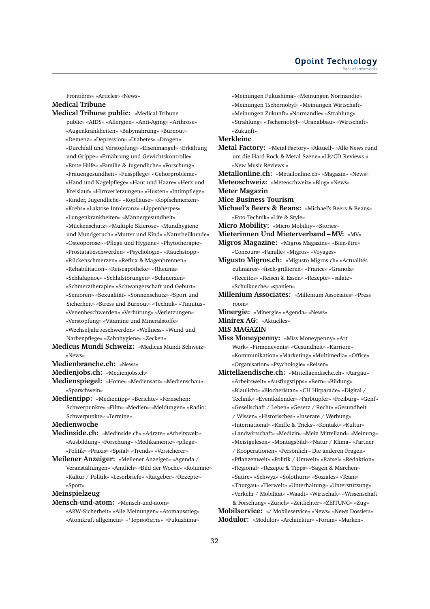Frontières» «Articles» «News» **Medical Tribune**

- **Medical Tribune public:** «Medical Tribune public» «AIDS» «Allergien» «Anti-Aging» «Arthrose» «Augenkrankheiten» «Babynahrung» «Burnout» «Demenz» «Depression» «Diabetes» «Drogen» «Durchfall und Verstopfung» «Eisenmangel» «Erkältung und Grippe» «Ernährung und Gewichtskontrolle» «Erste Hilfe» «Familie & Jugendliche» «Forschung» «Frauengesundheit» «Fusspflege» «Gehörprobleme» «Hand und Nagelpflege» «Haut und Haare» «Herz und Kreislauf» «Hirnverletzungen» «Husten» «Intimpflege» «Kinder, Jugendliche» «Kopfläuse» «Kopfschmerzen» «Krebs» «Laktose-Intoleranz» «Lippenherpes» «Lungenkrankheiten» «Männergesundheit» «Mückenschutz» «Multiple Sklerose» «Mundhygiene und Mundgeruch» «Mutter und Kind» «Naturheilkunde» «Osteoporose» «Pflege und Hygiene» «Phytotherapie» «Prostatabeschwerden» «Psychologie» «Rauchstopp» «Rückenschmerzen» «Reflux & Magenbrennen» «Rehabilitation» «Reiseapotheke» «Rheuma» «Schlafapnoe» «Schlafstörungen» «Schmerzen» «Schmerztherapie» «Schwangerschaft und Geburt» «Senioren» «Sexualität» «Sonnenschutz» «Sport und Sicherheit» «Stress und Burnout» «Technik» «Tinnitus» «Venenbeschwerden» «Verhütung» «Verletzungen» «Verstopfung» «Vitamine und Mineralstoffe» «Wechseljahrbeschwerden» «Wellness» «Wund und Narbenpflege» «Zahnhygiene» «Zecken»
- **Medicus Mundi Schweiz:** «Medicus Mundi Schweiz» «News»

**Medienbranche.ch:** «News»

- **Medienjobs.ch:** «Medienjobs.ch»
- **Medienspiegel:** «Home» «Mediensatz» «Medienschau» «Sparschwein»
- **Medientipp:** «Medientipp» «Berichte» «Fernsehen: Schwerpunkte» «Film» «Medien» «Meldungen» «Radio: Schwerpunkte» «Termine»

**Medienwoche**

- **Medinside.ch:** «Medinside.ch» «A4rzte» «Arbeitswelt» «Ausbildung» «Forschung» «Medikamente» «pflege» «Politik» «Praxis» «Spital» «Trends» «Versicherer»
- **Meilener Anzeiger:** «Meilener Anzeiger» «Agenda / Veranstaltungen» «Amtlich» «Bild der Woche» «Kolumne» «Kultur / Politik» «Leserbriefe» «Ratgeber» «Rezepte» «Sport»

# **Meinspielzeug**

**Mensch-und-atom:** «Mensch-und-atom» «AKW-Sicherheit» «Alle Meinungen» «Atomausstieg» «Atomkraft allgemein» «Чернобыль» «Fukushima»

«Meinungen Fukushima» «Meinungen Normandie» «Meinungen Tschernobyl» «Meinungen Wirtschaft» «Meinungen Zukunft» «Normandie» «Strahlung» «Strahlung» «Tschernobyl» «Uranabbau» «Wirtschaft» «Zukunft» **Merkleinc Metal Factory:** «Metal Factory» «Aktuell» «Alle News rund um die Hard Rock & Metal-Szene» «LP/CD-Reviews » «New Music Reviews » **Metallonline.ch:** «Metallonline.ch» «Magazin» «News» **Meteoschweiz:** «Meteoschweiz» «Blog» «News» **Meter Magazin Mice Business Tourism Michael's Beers & Beans:** «Michael's Beers & Beans» «Foto-Technik» «Life & Style» **Micro Mobility:** «Micro Mobility» «Stories» **Mieterinnen Und Mieterverband – MV:** «MV» **Migros Magazine:** «Migros Magazine» «Bien-être» «Concours» «Famille» «Migros» «Voyages» **Migusto Migros.ch:** «Migusto Migros.ch» «Actualités culinaires» «fisch-grillieren» «France» «Granola» «Recettes» «Reisen & Essen» «Rezepte» «salate» «Schulkueche» «spanien» **Millenium Associates:** «Millenium Associates» «Press room» **Minergie:** «Minergie» «Agenda» «News» **Minirex AG:** «Aktuelles» **MIS MAGAZIN Miss Moneypenny:** «Miss Moneypenny» «Art Work» «Firmenevents» «Gesundheit» «Karriere» «Kommunikation» «Marketing» «Multimedia» «Office» «Organisation» «Psychologie» «Reisen» **Mittellaendische.ch:** «Mittellaendische.ch» «Aargau» «Arbeitswelt» «Ausflugstipps» «Bern» «Bildung» «Blaulicht» «Blocheristan» «CH Hitparade» «Digital / Technik» «Eventkalender» «Farbtupfer» «Freiburg» «Genf» «Gesellschaft / Leben» «Gesetz / Recht» «Gesundheit / Wissen» «Historisches» «Inserate / Werbung» «International» «Kniffe & Tricks» «Kontakt» «Kultur» «Landwirtschaft» «Medizin» «Mein Mittelland» «Meinung» «Meistgelesen» «Montagsbild» «Natur / Klima» «Partner / Kooperationen» «Persönlich – Die anderen Fragen» «Pflanzenwelt» «Politik / Umwelt» «Rätsel» «Redaktion» «Regional» «Rezepte & Tipps» «Sagen & Märchen» «Satire» «Schwyz» «Solothurn» «Soziales» «Team» «Thurgau» «Tierwelt» «Unterhaltung» «Unterstützung» «Verkehr / Mobilität» «Waadt» «Wirtschaft» «Wissenschaft & Forschung» «Zürich» «Zeitlichter» «ZEITUNG» «Zug» **Mobilservice:** «/ Mobileservice» «News» «News Dossiers» **Modulor:** «Modulor» «Architektur» «Forum» «Marken»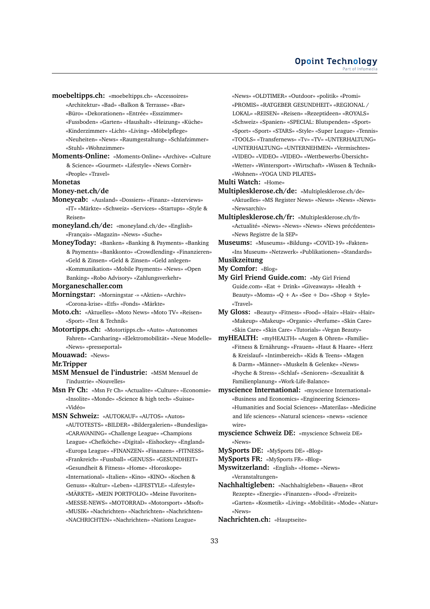**moebeltipps.ch:** «moebeltipps.ch» «Accessoires»

- «Architektur» «Bad» «Balkon & Terrasse» «Bar»
- «Büro» «Dekorationen» «Entrée» «Esszimmer»
- «Fussboden» «Garten» «Haushalt» «Heizung» «Küche»
- «Kinderzimmer» «Licht» «Living» «Möbelpflege»
- «Neuheiten» «News» «Raumgestaltung» «Schlafzimmer» «Stuhl» «Wohnzimmer»
- **Moments-Online:** «Moments-Online» «Archive» «Culture & Science» «Gourmet» «Lifestyle» «News Cornèr» «People» «Travel»

#### **Monetas**

#### **Money-net.ch/de**

- **Moneycab:** «Ausland» «Dossiers» «Finanz» «Interviews» «IT» «Märkte» «Schweiz» «Services» «Startups» «Style & Reisen»
- **moneyland.ch/de:** «moneyland.ch/de» «English» «Français» «Magazin» «News» «Suche»
- **MoneyToday:** «Banken» «Banking & Payments» «Banking & Payments» «Bankkonto» «Crowdlending» «Finanzieren» «Geld & Zinsen» «Geld & Zinsen» «Geld anlegen» «Kommunikation» «Mobile Payments» «News» «Open Banking» «Robo Advisory» «Zahlungsverkehr»
- **Morganeschaller.com**
- **Morningstar:** «Morningstar -» «Aktien» «Archiv» «Corona-krise» «Etfs» «Fonds» «Märkte»
- **Moto.ch:** «Aktuelles» «Moto News» «Moto TV» «Reisen» «Sport» «Test & Technik»
- **Motortipps.ch:** «Motortipps.ch» «Auto» «Autonomes Fahren» «Carsharing» «Elektromobilität» «Neue Modelle» «News» «presseportal»
- **Mouawad:** «News»

#### **Mr.Tripper**

- **MSM Mensuel de l'industrie:** «MSM Mensuel de l'industrie» «Nouvelles»
- **Msn Fr Ch:** «Msn Fr Ch» «Actualite» «Culture» «Economie» «Insolite» «Monde» «Science & high tech» «Suisse» «Vidéo»
- **MSN Schweiz:** «AUTOKAUF» «AUTOS» «Autos» «AUTOTESTS» «BILDER» «Bildergalerien» «Bundesliga» «CARAVANING» «Challenge League» «Champions League» «Chefköche» «Digital» «Eishockey» «England» «Europa League» «FINANZEN» «Finanzen» «FITNESS» «Frankreich» «Fussball» «GENUSS» «GESUNDHEIT» «Gesundheit & Fitness» «Home» «Horoskope» «International» «Italien» «Kino» «KINO» «Kochen & Genuss» «Kultur» «Leben» «LIFESTYLE» «Lifestyle» «MÄRKTE» «MEIN PORTFOLIO» «Meine Favoriten» «MESSE-NEWS» «MOTORRAD» «Motorsport» «Msoft» «MUSIK» «Nachrichten» «Nachrichten» «Nachrichten» «NACHRICHTEN» «Nachrichten» «Nations League»

«News» «OLDTIMER» «Outdoor» «politik» «Promi» «PROMIS» «RATGEBER GESUNDHEIT» «REGIONAL / LOKAL» «REISEN» «Reisen» «Rezeptideen» «ROYALS» «Schweiz» «Spanien» «SPECIAL: Blutspenden» «Sport» «Sport» «Sport» «STARS» «Style» «Super League» «Tennis» «TOOLS» «Transfernews» «Tv» «TV» «UNTERHALTUNG» «UNTERHALTUNG» «UNTERNEHMEN» «Vermischtes» «VIDEO» «VIDEO» «VIDEO» «Wettbewerbs-Übersicht» «Wetter» «Wintersport» «Wirtschaft» «Wissen & Technik» «Wohnen» «YOGA UND PILATES»

**Multi Watch:** «Home»

- **Multiplesklerose.ch/de:** «Multiplesklerose.ch/de» «Aktuelles» «MS Register News» «News» «News» «News» «Newsarchiv»
- **Multiplesklerose.ch/fr:** «Multiplesklerose.ch/fr» «Actualité» «News» «News» «News» «News précédentes» «News Registre de la SEP»
- **Museums:** «Museums» «Bildung» «COVID-19» «Fakten» «Ins Museum» «Netzwerk» «Publikationen» «Standards»

#### **Musikzeitung My Comfor:** «Blog»

- **My Girl Friend Guide.com:** «My Girl Friend Guide.com» «Eat + Drink» «Giveaways» «Health + Beauty» «Moms» «Q + A» «See + Do» «Shop + Style» «Travel»
- **My Gloss:** «Beauty» «Fitness» «Food» «Hair» «Hair» «Hair» «Makeup» «Makeup» «Organic» «Perfume» «Skin Care» «Skin Care» «Skin Care» «Tutorials» «Vegan Beauty»
- **myHEALTH:** «myHEALTH» «Augen & Ohren» «Familie» «Fitness & Ernährung» «Frauen» «Haut & Haare» «Herz & Kreislauf» «Intimbereich» «Kids & Teens» «Magen & Darm» «Männer» «Muskeln & Gelenke» «News» «Psyche & Stress» «Schlaf» «Senioren» «Sexualität & Familienplanung» «Work-Life-Balance»
- **myscience International:** «myscience International» «Business and Economics» «Engineering Sciences» «Humanities and Social Sciences» «Materilas» «Medicine and life sciences» «Natural sciences» «news» «science wire»
- **myscience Schweiz DE:** «myscience Schweiz DE» «News»

**MySports DE:** «MySports DE» «Blog»

- **MySports FR:** «MySports FR» «Blog»
- **Myswitzerland:** «English» «Home» «News» «Veranstaltungen»
- **Nachhaltigleben:** «Nachhaltigleben» «Bauen» «Brot Rezepte» «Energie» «Finanzen» «Food» «Freizeit» «Garten» «Kosmetik» «Living» «Mobilität» «Mode» «Natur» «News»
- **Nachrichten.ch:** «Hauptseite»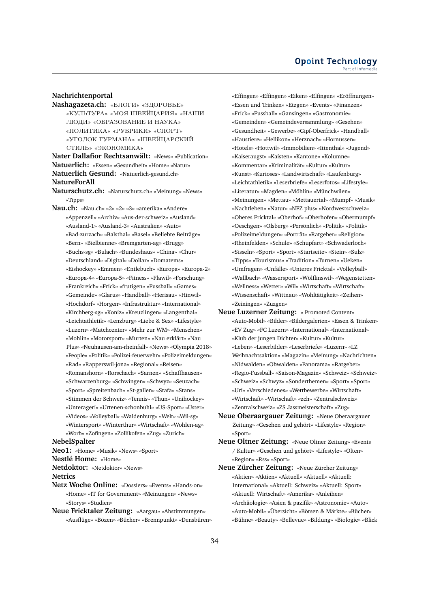#### **Nachrichtenportal**

**Nashagazeta.ch:** «БЛОГИ» «ЗДОРОВЬЕ» «КУЛЬТУРА» «МОЯ ШВЕЙЦАРИЯ» «НАШИ ЛЮДИ» «ОБРАЗОВАНИЕ И НАУКА» «ПОЛИТИКА» «РУБРИКИ» «СПОРТ» «УГОЛОК ГУРМАНА» «ШВЕЙЦАРСКИЙ СТИЛЬ» «ЭКОНОМИКА»

**Nater Dallafior Rechtsanwält:** «News» «Publication» **Natuerlich:** «Essen» «Gesundheit» «Home» «Natur» **Natuerlich Gesund:** «Natuerlich-gesund.ch» **NatureForAll**

- **Naturschutz.ch:** «Naturschutz.ch» «Meinung» «News» «Tipps»
- **Nau.ch:** «Nau.ch» «2» «2» «3» «amerika» «Andere» «Appenzell» «Archiv» «Aus-der-schweiz» «Ausland» «Ausland-1» «Ausland-3» «Australien» «Auto» «Bad-zurzach» «Balsthal» «Basel» «Beliebte Beiträge» «Bern» «Bielbienne» «Bremgarten-ag» «Brugg» «Buchs-sg» «Bulach» «Bundeshaus» «China» «Chur» «Deutschland» «Digital» «Dollar» «Domatems» «Eishockey» «Emmen» «Entlebuch» «Europa» «Europa-2» «Europa-4» «Europa-5» «Fitness» «Flawil» «Forschung» «Frankreich» «Frick» «frutigen» «Fussball» «Games» «Gemeinde» «Glarus» «Handball» «Herisau» «Hinwil» «Hochdorf» «Horgen» «Infrastruktur» «International» «Kirchberg-sg» «Koniz» «Kreuzlingen» «Langenthal» «Leichtathletik» «Lenzburg» «Liebe & Sex» «Lifestyle» «Luzern» «Matchcenter» «Mehr zur WM» «Menschen» «Mohlin» «Motorsport» «Murten» «Nau erklärt» «Nau Plus» «Neuhausen-am-rheinfall» «News» «Olympia 2018» «People» «Politik» «Polizei-feuerwehr» «Polizeimeldungen» «Rad» «Rapperswil-jona» «Regional» «Reisen» «Romanshorn» «Rorschach» «Sarnen» «Schaffhausen» «Schwarzenburg» «Schwingen» «Schwyz» «Seuzach» «Sport» «Spreitenbach» «St-gallen» «Stafa» «Stans» «Stimmen der Schweiz» «Tennis» «Thun» «Unihockey» «Unterageri» «Urtenen-schonbuhl» «US-Sport» «Uster» «Videos» «Volleyball» «Waldenburg» «Welt» «Wil-sg» «Wintersport» «Winterthur» «Wirtschaft» «Wohlen-ag» «Worb» «Zofingen» «Zollikofen» «Zug» «Zurich»

#### **NebelSpalter**

**Neo1:** «Home» «Musik» «News» «Sport»

**Nestlé Home:** «Home»

**Netdoktor:** «Netdoktor» «News»

#### **Netrics**

- **Netz Woche Online:** «Dossiers» «Events» «Hands-on» «Home» «IT for Government» «Meinungen» «News» «Storys» «Studien»
- **Neue Fricktaler Zeitung:** «Aargau» «Abstimmungen» «Ausflüge» «Bözen» «Bücher» «Brennpunkt» «Densbüren»

«Effingen» «Effingen» «Eiken» «Elfingen» «Eröffnungen» «Essen und Trinken» «Etzgen» «Events» «Finanzen» «Frick» «Fussball» «Gansingen» «Gastronomie» «Gemeinden» «Gemeindeversammlung» «Gesehen» «Gesundheit» «Gewerbe» «Gipf-Oberfrick» «Handball» «Haustiere» «Hellikon» «Herznach» «Hornussen» «Hotels» «Hottwil» «Immobilien» «Ittenthal» «Jugend» «Kaiseraugst» «Kaisten» «Kantone» «Kolumne» «Kommentar» «Kriminalität» «Kultur» «Kultur» «Kunst» «Kurioses» «Landwirtschaft» «Laufenburg» «Leichtathletik» «Leserbriefe» «Leserfotos» «Lifestyle» «Literatur» «Magden» «Möhlin» «Münchwilen» «Meinungen» «Mettau» «Mettauertal» «Mumpf» «Musik» «Nachtleben» «Natur» «NFZ plus» «Nordwestschweiz» «Oberes Fricktal» «Oberhof» «Oberhofen» «Obermumpf» «Oeschgen» «Olsberg» «Persönlich» «Politik» «Politik» «Polizeimeldungen» «Porträt» «Ratgeber» «Religion» «Rheinfelden» «Schule» «Schupfart» «Schwaderloch» «Sisseln» «Sport» «Sport» «Startseite» «Stein» «Sulz» «Tipps» «Tourismus» «Tradition» «Turnen» «Ueken» «Umfragen» «Unfälle» «Unteres Fricktal» «Volleyball» «Wallbach» «Wassersport» «Wölflinswil» «Wegenstetten» «Wellness» «Wetter» «Wil» «Wirtschaft» «Wirtschaft» «Wissenschaft» «Wittnau» «Wohltätigkeit» «Zeihen» «Zeiningen» «Zuzgen»

- **Neue Luzerner Zeitung:** « Promoted Content» «Auto-Mobil» «Bilder» «Bildergalerien» «Essen & Trinken» «EV Zug» «FC Luzern» «International» «International» «Klub der jungen Dichter» «Kultur» «Kultur» «Leben» «Leserbilder» «Leserbriefe» «Luzern» «LZ Weihnachtsaktion» «Magazin» «Meinung» «Nachrichten» «Nidwalden» «Obwalden» «Panorama» «Ratgeber» «Regio-Fussball» «Saison-Magazin» «Schweiz» «Schweiz» «Schweiz» «Schwyz» «Sonderthemen» «Sport» «Sport» «Uri» «Verschiedenes» «Wettbewerbe» «Wirtschaft» «Wirtschaft» «Wirtschaft» «zch» «Zentralschweiz» «Zentralschweiz» «ZS Jassmeisterschaft» «Zug»
- **Neue Oberaargauer Zeitung:** «Neue Oberaargauer Zeitung» «Gesehen und gehört» «Lifestyle» «Region» «Sport»
- **Neue Oltner Zeitung:** «Neue Oltner Zeitung» «Events / Kultur» «Gesehen und gehört» «Lifestyle» «Olten» «Region» «Rss» «Sport»
- **Neue Zürcher Zeitung:** «Neue Zürcher Zeitung» «Aktien» «Aktien» «Aktuell» «Aktuell» «Aktuell: International» «Aktuell: Schweiz» «Aktuell: Sport» «Aktuell: Wirtschaft» «Amerika» «Anleihen» «Archäologie» «Asien & pazifik» «Astronomie» «Auto» «Auto-Mobil» «Übersicht» «Börsen & Märkte» «Bücher» «Bühne» «Beauty» «Bellevue» «Bildung» «Biologie» «Blick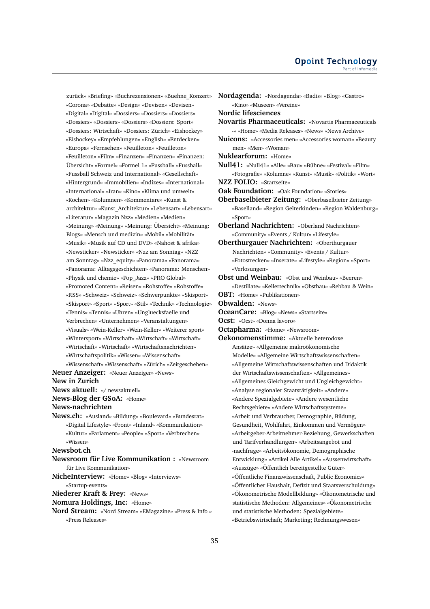zurück» «Briefing» «Buchrezensionen» «Buehne\_Konzert» «Corona» «Debatte» «Design» «Devisen» «Devisen» «Digital» «Digital» «Dossiers» «Dossiers» «Dossiers» «Dossiers» «Dossiers» «Dossiers» «Dossiers: Sport» «Dossiers: Wirtschaft» «Dossiers: Zürich» «Eishockey» «Eishockey» «Empfehlungen» «English» «Entdecken» «Europa» «Fernsehen» «Feuilleton» «Feuilleton» «Feuilleton» «Film» «Finanzen» «Finanzen» «Finanzen: Übersicht» «Formel» «Formel 1» «Fussball» «Fussball» «Fussball Schweiz und International» «Gesellschaft» «Hintergrund» «Immobilien» «Indizes» «International» «International» «Iran» «Kino» «Klima und umwelt» «Kochen» «Kolumnen» «Kommentare» «Kunst & architektur» «Kunst\_Architektur» «Lebensart» «Lebensart» «Literatur» «Magazin Nzz» «Medien» «Medien» «Meinung» «Meinung» «Meinung: Übersicht» «Meinung: Blogs» «Mensch und medizin» «Mobil» «Mobilität» «Musik» «Musik auf CD und DVD» «Nahost & afrika» «Newsticker» «Newsticker» «Nzz am Sonntag» «NZZ am Sonntag» «Nzz\_equity» «Panorama» «Panorama» «Panorama: Alltagsgeschichten» «Panorama: Menschen» «Physik und chemie» «Pop\_Jazz» «PRO Global» «Promoted Content» «Reisen» «Rohstoffe» «Rohstoffe» «RSS» «Schweiz» «Schweiz» «Schwerpunkte» «Skisport» «Skisport» «Sport» «Sport» «Stil» «Technik» «Technologie» «Tennis» «Tennis» «Uhren» «Ungluecksfaelle und Verbrechen» «Unternehmen» «Veranstaltungen» «Visuals» «Wein-Keller» «Wein-Keller» «Weiterer sport» «Wintersport» «Wirtschaft» «Wirtschaft» «Wirtschaft» «Wirtschaft» «Wirtschaft» «Wirtschaftsnachrichten» «Wirtschaftspolitik» «Wissen» «Wissenschaft» «Wissenschaft» «Wissenschaft» «Zürich» «Zeitgeschehen»

**Neuer Anzeiger:** «Neuer Anzeiger» «News» **New in Zurich**

**News aktuell:** «/ newsaktuell»

**News-Blog der GSoA:** «Home»

**News-nachrichten**

**News.ch:** «Ausland» «Bildung» «Boulevard» «Bundesrat» «Digital Lifestyle» «Front» «Inland» «Kommunikation» «Kultur» «Parlament» «People» «Sport» «Verbrechen» «Wissen»

**Newsbot.ch**

- **Newsroom für Live Kommunikation :** «Newsroom für Live Kommunikation»
- **NicheInterview:** «Home» «Blog» «Interviews» «Startup-events»
- **Niederer Kraft & Frey:** «News»
- **Nomura Holdings, Inc:** «Home»
- **Nord Stream:** «Nord Stream» «EMagazine» «Press & Info » «Press Releases»
- **Nordagenda:** «Nordagenda» «Badis» «Blog» «Gastro» «Kino» «Museen» «Vereine» **Nordic lifesciences Novartis Pharmaceuticals:** «Novartis Pharmaceuticals -» «Home» «Media Releases» «News» «News Archive» **Nuicons:** «Accessories men» «Accessories woman» «Beauty men» «Men» «Woman» **Nuklearforum:** «Home» **Null41:** «Null41» «Alle» «Bau» «Bühne» «Festival» «Film» «Fotografie» «Kolumne» «Kunst» «Musik» «Politik» «Wort» **NZZ FOLIO:** «Startseite» **Oak Foundation:** «Oak Foundation» «Stories» **Oberbaselbieter Zeitung:** «Oberbaselbieter Zeitung» «Baselland» «Region Gelterkinden» «Region Waldenburg» «Sport» **Oberland Nachrichten:** «Oberland Nachrichten» «Community» «Events / Kultur» «Lifestyle» **Oberthurgauer Nachrichten:** «Oberthurgauer Nachrichten» «Community» «Events / Kultur» «Fotostrecken» «Inserate» «Lifestyle» «Region» «Sport» «Verlosungen» **Obst und Weinbau:** «Obst und Weinbau» «Beeren» «Destillate» «Kellertechnik» «Obstbau» «Rebbau & Wein» **OBT:** «Home» «Publikationen» **Obwalden:** «News» **OceanCare:** «Blog» «News» «Startseite» **Ocst:** «Ocst» «Donna lavoro» **Octapharma:** «Home» «Newsroom» **Oekonomenstimme:** «Aktuelle heterodoxe Ansätze» «Allgemeine makroökonomische Modelle» «Allgemeine Wirtschaftswissenschaften» «Allgemeine Wirtschaftswissenschaften und Didaktik der Wirtschaftswissenschaften» «Allgemeines» «Allgemeines Gleichgewicht und Ungleichgewicht» «Analyse regionaler Staatstätigkeit» «Andere» «Andere Spezialgebiete» «Andere wesentliche
	- Rechtsgebiete» «Andere Wirtschaftssysteme» «Arbeit und Verbraucher, Demographie, Bildung, Gesundheit, Wohlfahrt, Einkommen und Vermögen» «Arbeitgeber-Arbeitnehmer-Beziehung, Gewerkschaften und Tarifverhandlungen» «Arbeitsangebot und -nachfrage» «Arbeitsökonomie, Demographische Entwicklung» «Artikel Alle Artikel» «Aussenwirtschaft» «Auszüge» «Öffentlich bereitgestellte Güter» «Öffentliche Finanzwissenschaft, Public Economics» «Öffentlicher Haushalt, Defizit und Staatsverschuldung» «Ökonometrische Modellbildung» «Ökonometrische und statistische Methoden: Allgemeines» «Ökonometrische und statistische Methoden: Spezialgebiete» «Betriebswirtschaft; Marketing; Rechnungswesen»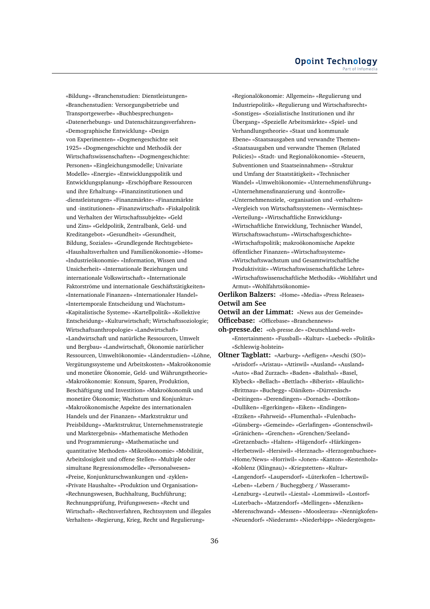«Bildung» «Branchenstudien: Dienstleistungen» «Branchenstudien: Versorgungsbetriebe und Transportgewerbe» «Buchbesprechungen» «Datenerhebungs- und Datenschätzungsverfahren» «Demographische Entwicklung» «Design von Experimenten» «Dogmengeschichte seit 1925» «Dogmengeschichte und Methodik der Wirtschaftswissenschaften» «Dogmengeschichte: Personen» «Eingleichungsmodelle; Univariate Modelle» «Energie» «Entwicklungspolitik und Entwicklungsplanung» «Erschöpfbare Ressourcen und ihre Erhaltung» «Finanzinstitutionen und -dienstleistungen» «Finanzmärkte» «Finanzmärkte und -institutionen» «Finanzwirtschaft» «Fiskalpolitik und Verhalten der Wirtschaftssubjekte» «Geld und Zins» «Geldpolitik, Zentralbank, Geld- und Kreditangebot» «Gesundheit» «Gesundheit, Bildung, Soziales» «Grundlegende Rechtsgebiete» «Haushaltsverhalten und Familienökonomie» «Home» «Industrieökonomie» «Information, Wissen und Unsicherheit» «Internationale Beziehungen und internationale Volkswirtschaft» «Internationale Faktorströme und internationale Geschäftstätigkeiten» «Internationale Finanzen» «Internationaler Handel» «Intertemporale Entscheidung und Wachstum» «Kapitalistische Systeme» «Kartellpolitik» «Kollektive Entscheidung» «Kulturwirtschaft; Wirtschaftssoziologie; Wirtschaftsanthropologie» «Landwirtschaft» «Landwirtschaft und natürliche Ressourcen, Umwelt und Bergbau» «Landwirtschaft, Ökonomie natürlicher Ressourcen, Umweltökonomie» «Länderstudien» «Löhne, Vergütungssysteme und Arbeitskosten» «Makroökonomie und monetäre Ökonomie, Geld- und Währungstheorie» «Makroökonomie: Konsum, Sparen, Produktion, Beschäftigung und Investition» «Makroökonomik und monetäre Ökonomie; Wachstum und Konjunktur» «Makroökonomische Aspekte des internationalen Handels und der Finanzen» «Marktstruktur und Preisbildung» «Marktstruktur, Unternehmensstrategie und Marktergebnis» «Mathematische Methoden und Programmierung» «Mathematische und quantitative Methoden» «Mikroökonomie» «Mobilität, Arbeitslosigkeit und offene Stellen» «Multiple oder simultane Regressionsmodelle» «Personalwesen» «Preise, Konjunkturschwankungen und -zyklen» «Private Haushalte» «Produktion und Organisation» «Rechnungswesen, Buchhaltung, Buchführung; Rechnungsprüfung, Prüfungswesen» «Recht und Wirtschaft» «Rechtsverfahren, Rechtssystem und illegales Verhalten» «Regierung, Krieg, Recht und Regulierung»

«Regionalökonomie: Allgemein» «Regulierung und Industriepolitik» «Regulierung und Wirtschaftsrecht» «Sonstiges» «Sozialistische Institutionen und ihr Übergang» «Spezielle Arbeitsmärkte» «Spiel- und Verhandlungstheorie» «Staat und kommunale Ebene» «Staatsausgaben und verwandte Themen» «Staatsausgaben und verwandte Themen (Related Policies)» «Stadt- und Regionalökonomie» «Steuern, Subventionen und Staatseinnahmen» «Struktur und Umfang der Staatstätigkeit» «Technischer Wandel» «Umweltökonomie» «Unternehmensführung» «Unternehmensfinanzierung und -kontrolle» «Unternehmensziele, -organisation und -verhalten» «Vergleich von Wirtschaftssystemen» «Vermischtes» «Verteilung» «Wirtschaftliche Entwicklung» «Wirtschaftliche Entwicklung, Technischer Wandel, Wirtschaftswachstum» «Wirtschaftsgeschichte» «Wirtschaftspolitik; makroökonomische Aspekte öffentlicher Finanzen» «Wirtschaftssysteme» «Wirtschaftswachstum und Gesamtwirtschaftliche Produktivität» «Wirtschaftswissenschaftliche Lehre» «Wirtschaftswissenschaftliche Methodik» «Wohlfahrt und Armut» «Wohlfahrtsökonomie»

**Oerlikon Balzers:** «Home» «Media» «Press Releases» **Oetwil am See**

**Oetwil an der Limmat:** «News aus der Gemeinde» **Officebase:** «Officebase» «Branchennews»

**oh-presse.de:** «oh-presse.de» «Deutschland-welt» «Entertainment» «Fussball» «Kultur» «Luebeck» «Politik» «Schleswig-holstein»

**Oltner Tagblatt:** «Aarburg» «Aefligen» «Aeschi (SO)» «Arisdorf» «Aristau» «Attiswil» «Ausland» «Ausland» «Auto» «Bad Zurzach» «Baden» «Balsthal» «Basel, Klybeck» «Bellach» «Bettlach» «Biberist» «Blaulicht» «Brittnau» «Buchegg» «Däniken» «Dürrenäsch» «Deitingen» «Derendingen» «Dornach» «Dottikon» «Dulliken» «Egerkingen» «Eiken» «Endingen» «Etziken» «Fahrweid» «Flumenthal» «Fulenbach» «Günsberg» «Gemeinde» «Gerlafingen» «Gontenschwil» «Gränichen» «Grenchen» «Grenchen/Seeland» «Gretzenbach» «Halten» «Hägendorf» «Härkingen» «Herbetswil» «Hersiwil» «Herznach» «Herzogenbuchsee» «Home/News» «Horriwil» «Jonen» «Kanton» «Kestenholz» «Koblenz (Klingnau)» «Kriegstetten» «Kultur» «Langendorf» «Laupersdorf» «Lüterkofen – Ichertswil» «Leben» «Lebern / Bucheggberg / Wasseramt» «Lenzburg» «Leutwil» «Liestal» «Lommiswil» «Lostorf» «Luterbach» «Matzendorf» «Mellingen» «Menziken» «Merenschwand» «Messen» «Moosleerau» «Nennigkofen» «Neuendorf» «Niederamt» «Niederbipp» «Niedergösgen»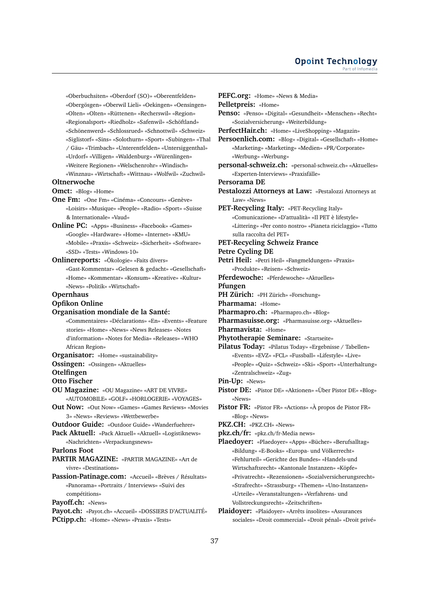«Oberbuchsiten» «Oberdorf (SO)» «Oberentfelden» «Obergösgen» «Oberwil Lieli» «Oekingen» «Oensingen» «Olten» «Olten» «Rüttenen» «Recherswil» «Region» «Regionalsport» «Riedholz» «Safenwil» «Schöftland» «Schönenwerd» «Schlossrued» «Schnottwil» «Schweiz» «Siglistorf» «Sins» «Solothurn» «Sport» «Subingen» «Thal / Gäu» «Trimbach» «Unterentfelden» «Untersiggenthal» «Urdorf» «Villigen» «Waldenburg» «Würenlingen» «Weitere Regionen» «Welschenrohr» «Windisch» «Winznau» «Wirtschaft» «Wittnau» «Wolfwil» «Zuchwil» **Oltnerwoche Omct:** «Blog» «Home» **One Fm:** «One Fm» «Cinéma» «Concours» «Genève» «Loisirs» «Musique» «People» «Radio» «Sport» «Suisse & Internationale» «Vaud» **Online PC:** «Apps» «Business» «Facebook» «Games» «Google» «Hardware» «Home» «Internet» «KMU» «Mobile» «Praxis» «Schweiz» «Sicherheit» «Software»

«SSD» «Tests» «Windows-10» **Onlinereports:** «Ökologie» «Faits divers» «Gast-Kommentar» «Gelesen & gedacht» «Gesellschaft» «Home» «Kommentar» «Konsum» «Kreative» «Kultur»

«News» «Politik» «Wirtschaft» **Opernhaus**

# **Opfikon Online**

#### **Organisation mondiale de la Santé:**

- «Commentaires» «Déclarations» «En» «Events» «Feature stories» «Home» «News» «News Releases» «Notes d'information» «Notes for Media» «Releases» «WHO African Region»
- **Organisator:** «Home» «sustainability»
- **Ossingen:** «Ossingen» «Aktuelles»

**Otelfingen**

- **Otto Fischer**
- **OU Magazine:** «OU Magazine» «ART DE VIVRE» «AUTOMOBILE» «GOLF» «HORLOGERIE» «VOYAGES»
- **Out Now:** «Out Now» «Games» «Games Reviews» «Movies 3» «News» «Reviews» «Wettbewerbe»
- **Outdoor Guide:** «Outdoor Guide» «Wanderfuehrer»
- **Pack Aktuell:** «Pack Aktuell» «Aktuell» «Logistiknews» «Nachrichten» «Verpackungsnews»

**Parlons Foot**

- **PARTIR MAGAZINE:** «PARTIR MAGAZINE» «Art de vivre» «Destinations»
- **Passion-Patinage.com:** «Accueil» «Brèves / Résultats» «Panorama» «Portraits / Interviews» «Suivi des compétitions»

**Payoff.ch:** «News»

**Payot.ch:** «Payot.ch» «Accueil» «DOSSIERS D'ACTUALITÉ» **PCtipp.ch:** «Home» «News» «Praxis» «Tests»

**PEFC.org:** «Home» «News & Media» **Pelletpreis:** «Home» **Penso:** «Penso» «Digital» «Gesundheit» «Menschen» «Recht» «Sozialversicherung» «Weiterbildung» **PerfectHair.ch:** «Home» «LiveShopping» «Magazin» **Persoenlich.com:** «Blog» «Digital» «Gesellschaft» «Home» «Marketing» «Marketing» «Medien» «PR/Corporate» «Werbung» «Werbung» **personal-schweiz.ch:** «personal-schweiz.ch» «Aktuelles» «Experten-Interviews» «Praxisfälle» **Persorama DE Pestalozzi Attorneys at Law:** «Pestalozzi Attorneys at Law» «News» **PET-Recycling Italy:** «PET-Recycling Italy» «Comunicazione» «D'attualità» «Il PET è lifestyle» «Littering» «Per conto nostro» «Pianeta riciclaggio» «Tutto sulla raccolta del PET» **PET-Recycling Schweiz France Petre Cycling DE Petri Heil:** «Petri Heil» «Fangmeldungen» «Praxis» «Produkte» «Reisen» «Schweiz» **Pferdewoche:** «Pferdewoche» «Aktuelles» **Pfungen PH Zürich:** «PH Zürich» «Forschung» **Pharmama:** «Home» **Pharmapro.ch:** «Pharmapro.ch» «Blog» **Pharmasuisse.org:** «Pharmasuisse.org» «Aktuelles» **Pharmavista:** «Home» **Phytotherapie Seminare:** «Startseite» **Pilatus Today:** «Pilatus Today» «Ergebnisse / Tabellen» «Events» «EVZ» «FCL» «Fussball» «Lifestyle» «Live» «People» «Quiz» «Schweiz» «Ski» «Sport» «Unterhaltung» «Zentralschweiz» «Zug» **Pin-Up:** «News» **Pistor DE:** «Pistor DE» «Aktionen» «Über Pistor DE» «Blog» «News» **Pistor FR:** «Pistor FR» «Actions» «À propos de Pistor FR» «Blog» «News» **PKZ.CH:** «PKZ.CH» «News» **pkz.ch/fr:** «pkz.ch/fr-Media news» **Plaedoyer:** «Plaedoyer» «Apps» «Bücher» «Berufsalltag» «Bildung» «E-Books» «Europa- und Völkerrecht» «Fehlurteil» «Gerichte des Bundes» «Handels-und Wirtschaftsrecht» «Kantonale Instanzen» «Köpfe» «Privatrecht» «Rezensionen» «Sozialversicherungsrecht» «Strafrecht» «Strassburg» «Themen» «Uno-Instanzen» «Urteile» «Veranstaltungen» «Verfahrens- und Vollstreckungsrecht» «Zeitschriften»

**Plaidoyer:** «Plaidoyer» «Arrêts insolites» «Assurances sociales» «Droit commercial» «Droit pénal» «Droit privé»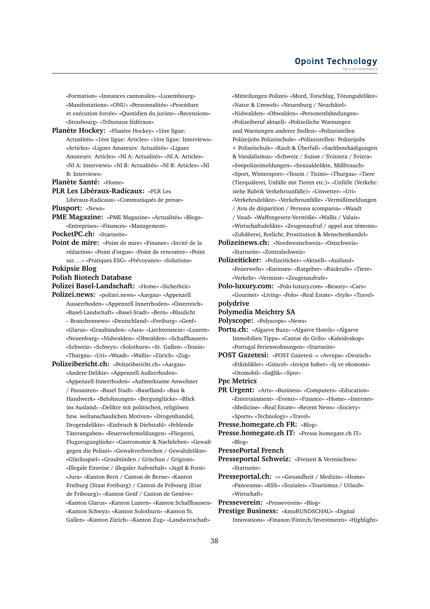«Formation» «Instances cantonales» «Luxembourg» «Manifestations» «ONU» «Personnalités» «Procédure et exécution forcée» «Quotidien du juriste» «Recensions» «Strasbourg» «Tribunaux fédéraux»

**Planète Hockey:** «Planète Hockey» «1ère ligue: Actualités» «1ère ligue: Articles» «1ère ligue: Interviews» «Articles» «Ligues Amateurs: Actualités» «Ligues Amateurs: Articles» «Nl A: Actualités» «Nl A: Articles» «Nl A: Interviews» «Nl B: Actualités» «Nl B: Articles» «Nl B: Interviews»

**Planète Santé:** «Home»

**PLR Les Libéraux-Radicaux:** «PLR Les Libéraux-Radicaux» «Communiqués de presse»

**Plusport:** «News»

**PME Magazine:** «PME Magazine» «Actualités» «Blogs» «Entreprises» «Finances» «Management»

**PocketPC.ch:** «Startseite»

**Point de mire:** «Point de mire» «Finance» «Invité de la rédaction» «Point d'orgue» «Point de rencontre» «Point sur. . . » «Pratiques ESG» «Prévoyance» «Solutions»

# **Pokipsie Blog**

**Polish Biotech Database**

**Polizei Basel-Landschaft:** «Home» «Sicherheit»

- **Polizei.news:** «polizei.news» «Aargau» «Appenzell Ausserrhoden» «Appenzell Innerrhoden» «Österreich» «Basel-Landschaft» «Basel-Stadt» «Bern» «Blaulicht – Branchennews» «Deutschland» «Freiburg» «Genf» «Glarus» «Graubünden» «Jura» «Liechtenstein» «Luzern» «Neuenburg» «Nidwalden» «Obwalden» «Schaffhausen» «Schweiz» «Schwyz» «Solothurn» «St. Gallen» «Tessin» «Thurgau» «Uri» «Waadt» «Wallis» «Zürich» «Zug»
- **Polizeibericht.ch:** «Polizeibericht.ch» «Aargau» «Andere Delikte» «Appenzell-Außerrhoden» «Appenzell-Innerrhoden» «Aufmerksame Anwohner / Passanten» «Basel Stadt» «Baselland» «Bau & Handwerk» «Belohnungen» «Bergunglücke» «Blick ins Ausland» «Delikte mit politischen, religiösen bzw. weltanschaulichen Motiven» «Drogenhandel, Drogendelikte» «Einbruch & Diebstahl» «Fehlende Täterangaben» «Feuerwehrmeldungen» «Fliegerei, Flugzeugunglücke» «Gastronomie & Nachtleben» «Gewalt gegen die Polizei» «Gewaltverbrechen / Gewaltdelikte» «Glücksspiel» «Graubünden / Grischun / Grigioni» «Illegale Einreise / illegaler Aufenthalt» «Jagd & Forst» «Jura» «Kanton Bern / Canton de Berne» «Kanton Freiburg (Staat Freiburg) / Canton de Fribourg (Etat de Fribourg)» «Kanton Genf / Canton de Genève» «Kanton Glarus» «Kanton Luzern» «Kanton Schaffhausen» «Kanton Schwyz» «Kanton Solothurn» «Kanton St. Gallen» «Kanton Zürich» «Kanton Zug» «Landwirtschaft»

«Mitteilungen Polizei» «Mord, Totschlag, Tötungsdelikte» «Natur & Umwelt» «Neuenburg / Neuchâtel» «Nidwalden» «Obwalden» «Personenfahndungen» «Polizeiberuf aktuell» «Polizeiliche Warnungen und Warnungen anderer Stellen» «Polizeistellen Polizeijobs Polizeischule» «Polizeistellen: Polizeijobs + Polizeischule» «Raub & Überfall» «Sachbeschädigungen & Vandalismus» «Schweiz / Suisse / Svizzera / Svizra» «Seepolizeimeldungen» «Sexualdelikte, Mißbrauch» «Sport, Wintersport» «Tessin / Ticino» «Thurgau» «Tiere (Tierquälerei, Unfälle mit Tieren etc.)» «Unfälle (Verkehr: siehe Rubrik Verkehrsunfälle)» «Unwetter» «Uri» «Verkehrsdelikte» «Verkehrsunfälle» «Vermißtmeldungen / Avis de disparition / Persona scomparsa» «Waadt / Vaud» «Waffengesetz-Verstöße» «Wallis / Valais» «Wirtschaftsdelikte» «Zeugenaufruf / appel aux témoins» «Zuhälterei, Rotlicht, Prostitution & Menschenhandel»

**Polizeinews.ch:** «Nordwestschweiz» «Ostschweiz» «Startseite» «Zentralschweiz»

**Polizeiticker:** «Polizeiticker» «Aktuell» «Ausland» «Feuerwehr» «Kurioses» «Ratgeber» «Rückrufe» «Tiere» «Verkehr» «Vermisst» «Zeugenaufrufe»

**Polo-luxury.com:** «Polo-luxury.com» «Beauty» «Cars» «Gourmet» «Living» «Polo» «Real Estate» «Style» «Travel» **polydrive**

#### **Polymedia Meichtry SA**

**Polyscope:** «Polyscope» «News»

**Portu.ch:** «Algarve Buzz» «Algarve Hotels» «Algarve Immobilien Tipps» «Cantar do Grilo» «Kaleidoskop» «Portugal Ferienwohnungen» «Startseite»

- **POST Gazetesi:** «POST Gazetesi -» «Avrupa» «Deutsch» «Etkinlikler» «Güncel» «Isviçre haber» «I¸s ve ekonomi» «Otomobil» «Sağlik» «Spor»
- **Ppc Metrics**

**PR Urgent:** «Arts» «Business» «Computers» «Education» «Entertainment» «Events» «Finance» «Home» «Internet» «Medicine» «Real Estate» «Recent News» «Society» «Sports» «Technology» «Travel»

**Presse.homegate.ch FR:** «Blog»

**Presse.homegate.ch IT:** «Presse.homegate.ch IT» «Blog»

#### **PressePortal French**

- **Presseportal Schweiz:** «Freizeit & Vermischtes» «Startseite»
- **Presseportal.ch:** «» «Gesundheit / Medizin» «Home» «Panorama» «RSS» «Soziales» «Tourismus / Urlaub» «Wirtschaft»

**Presseverein:** «Presseverein» «Blog»

**Prestige Business:** «kmuRUNDSCHAU» «Digital Innovations» «Finance/Fintech/Investments» «Highlight»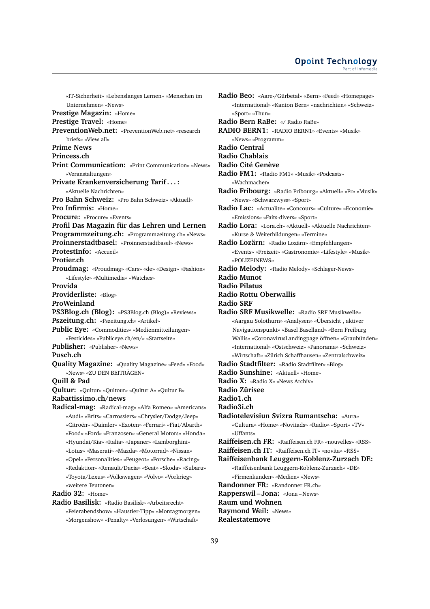«IT-Sicherheit» «Lebenslanges Lernen» «Menschen im Unternehmen» «News» **Prestige Magazin:** «Home» **Prestige Travel:** «Home» **PreventionWeb.net:** «PreventionWeb.net» «research briefs» «View all» **Prime News Princess.ch Print Communication:** «Print Communication» «News» «Veranstaltungen» **Private Krankenversicherung Tarif . . . :** «Aktuelle Nachrichten» **Pro Bahn Schweiz:** «Pro Bahn Schweiz» «Aktuell» **Pro Infirmis:** «Home» **Procure:** «Procure» «Events» **Profil Das Magazin für das Lehren und Lernen Programmzeitung.ch:** «Programmzeitung.ch» «News» **Proinnerstadtbasel:** «Proinnerstadtbasel» «News» **ProtestInfo:** «Accueil» **Protier.ch Proudmag:** «Proudmag» «Cars» «de» «Design» «Fashion» «Lifestyle» «Multimedia» «Watches» **Provida Providerliste:** «Blog» **ProWeinland PS3Blog.ch (Blog):** «PS3Blog.ch (Blog)» «Reviews» **Pszeitung.ch:** «Pszeitung.ch» «Artikel» **Public Eye:** «Commodities» «Medienmitteilungen» «Pesticides» «Publiceye.ch/en/» «Startseite» **Publisher:** «Publisher» «News» **Pusch.ch Quality Magazine:** «Quality Magazine» «Feed» «Food» «News» «ZU DEN BEITRÄGEN» **Quill & Pad Qultur:** «Qultur» «Qultour» «Qultur A» «Qultur B» **Rabattissimo.ch/news Radical-mag:** «Radical-mag» «Alfa Romeo» «Americans» «Audi» «Brits» «Carrossiers» «Chrysler/Dodge/Jeep» «Citroën» «Daimler» «Exoten» «Ferrari» «Fiat/Abarth» «Food» «Ford» «Franzosen» «General Motors» «Honda» «Hyundai/Kia» «Italia» «Japaner» «Lamborghini» «Lotus» «Maserati» «Mazda» «Motorrad» «Nissan» «Opel» «Personalities» «Peugeot» «Porsche» «Racing» «Redaktion» «Renault/Dacia» «Seat» «Skoda» «Subaru» «Toyota/Lexus» «Volkswagen» «Volvo» «Vorkrieg» «weitere Teutonen» **Radio 32:** «Home»

**Radio Basilisk:** «Radio Basilisk» «Arbeitsrecht» «Feierabendshow» «Haustier-Tipp» «Montagmorgen» «Morgenshow» «Penalty» «Verlosungen» «Wirtschaft»

**Radio Beo:** «Aare-/Gürbetal» «Bern» «Feed» «Homepage» «International» «Kanton Bern» «nachrichten» «Schweiz» «Sport» «Thun» **Radio Bern RaBe:** «/ Radio RaBe» **RADIO BERN1:** «RADIO BERN1» «Events» «Musik» «News» «Programm» **Radio Central Radio Chablais Radio Cité Genève Radio FM1:** «Radio FM1» «Musik» «Podcasts» «Wachmacher» **Radio Fribourg:** «Radio Fribourg» «Aktuell» «Fr» «Musik» «News» «Schwarzwyss» «Sport» **Radio Lac:** «Actualite» «Concours» «Culture» «Economie» «Emissions» «Faits-divers» «Sport» **Radio Lora:** «Lora.ch» «Aktuell» «Aktuelle Nachrichten» «Kurse & Weiterbildungen» «Termine» **Radio Lozärn:** «Radio Lozärn» «Empfehlungen» «Events» «Freizeit» «Gastronomie» «Lifestyle» «Musik» «POLIZEINEWS» **Radio Melody:** «Radio Melody» «Schlager-News» **Radio Munot Radio Pilatus Radio Rottu Oberwallis Radio SRF Radio SRF Musikwelle:** «Radio SRF Musikwelle» «Aargau Solothurn» «Analysen» «Übersicht , aktiver Navigationspunkt» «Basel Baselland» «Bern Freiburg Wallis» «CoronavirusLandingpage öffnen» «Graubünden» «International» «Ostschweiz» «Panorama» «Schweiz» «Wirtschaft» «Zürich Schaffhausen» «Zentralschweiz» **Radio Stadtfilter:** «Radio Stadtfilter» «Blog» **Radio Sunshine:** «Aktuell» «Home» **Radio X:** «Radio X» «News Archiv» **Radio Zürisee Radio1.ch Radio3i.ch Radiotelevisiun Svizra Rumantscha:** «Aura» «Cultura» «Home» «Novitads» «Radio» «Sport» «TV» «Uffants» **Raiffeisen.ch FR:** «Raiffeisen.ch FR» «nouvelles» «RSS» **Raiffeisen.ch IT:** «Raiffeisen.ch IT» «novita» «RSS» **Raiffeisenbank Leuggern-Koblenz-Zurzach DE:** «Raiffeisenbank Leuggern-Koblenz-Zurzach» «DE» «Firmenkunden» «Medien» «News» **Randonner FR:** «Randonner FR.ch» **Rapperswil – Jona:** «Jona – News» **Raum und Wohnen Raymond Weil:** «News» **Realestatemove**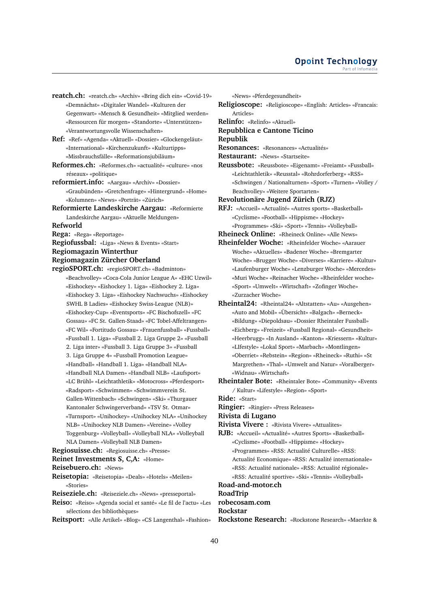**reatch.ch:** «reatch.ch» «Archiv» «Bring dich ein» «Covid-19» «Demnächst» «Digitaler Wandel» «Kulturen der Gegenwart» «Mensch & Gesundheit» «Mitglied werden» «Ressourcen für morgen» «Standorte» «Unterstützen» «Verantwortungsvolle Wissenschaften»

**Ref:** «Ref» «Agenda» «Aktuell» «Dossier» «Glockengeläut» «International» «Kirchenzukunft» «Kulturtipps» «Missbrauchsfälle» «Reformationsjubiläum»

**Reformes.ch:** «Reformes.ch» «actualité» «culture» «nos réseaux» «politique»

**reformiert.info:** «Aargau» «Archiv» «Dossier» «Graubünden» «Gretchenfrage» «Hintergrund» «Home» «Kolumnen» «News» «Porträt» «Zürich»

**Reformierte Landeskirche Aargau:** «Reformierte Landeskirche Aargau» «Aktuelle Meldungen»

**Refworld**

**Rega:** «Rega» «Reportage»

**Regiofussbal:** «Liga» «News & Events» «Start»

**Regiomagazin Winterthur**

#### **Regiomagazin Zürcher Oberland**

**regioSPORT.ch:** «regioSPORT.ch» «Badminton» «Beachvolley» «Coca-Cola Junior League A» «EHC Uzwil» «Eishockey» «Eishockey 1. Liga» «Eishockey 2. Liga» «Eishockey 3. Liga» «Eishockey Nachwuchs» «Eishockey SWHL B Ladies» «Eishockey Swiss-League (NLB)» «Eishockey-Cup» «Eventsports» «FC Bischofszell» «FC Gossau» «FC St. Gallen-Staad» «FC Tobel-Affeltrangen» «FC Wil» «Fortitudo Gossau» «Frauenfussball» «Fussball» «Fussball 1. Liga» «Fussball 2. Liga Gruppe 2» «Fussball 2. Liga inter» «Fussball 3. Liga Gruppe 3» «Fussball 3. Liga Gruppe 4» «Fussball Promotion League» «Handball» «Handball 1. Liga» «Handball NLA» «Handball NLA Damen» «Handball NLB» «Laufsport» «LC Brühl» «Leichtathletik» «Motocross» «Pferdesport» «Radsport» «Schwimmen» «Schwimmverein St. Gallen-Wittenbach» «Schwingen» «Ski» «Thurgauer Kantonaler Schwingerverband» «TSV St. Otmar» «Turnsport» «Unihockey» «Unihockey NLA» «Unihockey NLB» «Unihockey NLB Damen» «Vereine» «Volley Toggenburg» «Volleyball» «Volleyball NLA» «Volleyball NLA Damen» «Volleyball NLB Damen»

#### **Regiosuisse.ch:** «Regiosuisse.ch» «Presse»

**Reinet Investments S, C,A:** «Home»

**Reisebuero.ch:** «News»

**Reisetopia:** «Reisetopia» «Deals» «Hotels» «Meilen» «Stories»

**Reiseziele.ch:** «Reiseziele.ch» «News» «presseportal»

**Reiso:** «Reiso» «Agenda social et santé» «Le fil de l'actu» «Les sélections des bibliothèques»

**Reitsport:** «Alle Artikel» «Blog» «CS Langenthal» «Fashion»

«News» «Pferdegesundheit»

**Religioscope:** «Religioscope» «English: Articles» «Francais: Articles»

**Relinfo:** «Relinfo» «Aktuell»

# **Repubblica e Cantone Ticino**

**Republik**

**Resonances:** «Resonances» «Actualités»

**Restaurant:** «News» «Startseite»

**Reussbote:** «Reussbote» «Eigenamt» «Freiamt» «Fussball» «Leichtathletik» «Reusstal» «Rohrdorferberg» «RSS» «Schwingen / Nationalturnen» «Sport» «Turnen» «Volley / Beachvolley» «Weitere Sportarten»

**Revolutionäre Jugend Zürich (RJZ)**

**RFJ:** «Accueil» «Actualité» «Autres sports» «Basketball» «Cyclisme» «Football» «Hippisme» «Hockey» «Programmes» «Ski» «Sport» «Tennis» «Volleyball»

**Rheineck Online:** «Rheineck Online» «Alle News»

**Rheinfelder Woche:** «Rheinfelder Woche» «Aarauer Woche» «Aktuelles» «Badener Woche» «Bremgarter Woche» «Brugger Woche» «Diverses» «Karriere» «Kultur» «Laufenburger Woche» «Lenzburger Woche» «Mercedes» «Muri Woche» «Reinacher Woche» «Rheinfelder woche» «Sport» «Umwelt» «Wirtschaft» «Zofinger Woche» «Zurzacher Woche»

**Rheintal24:** «Rheintal24» «Altstatten» «Au» «Ausgehen» «Auto and Mobil» «Übersicht» «Balgach» «Berneck» «Bildung» «Diepoldsau» «Dossier Rheintaler Fussball» «Eichberg» «Freizeit» «Fussball Regional» «Gesundheit» «Heerbrugg» «In Ausland» «Kanton» «Kriessern» «Kultur» «LIfestyle» «Lokal Sport» «Marbach» «Montlingen» «Oberriet» «Rebstein» «Region» «Rheineck» «Ruthi» «St Margrethen» «Thal» «Umwelt and Natur» «Voralberger» «Widnau» «Wirtschaft»

**Rheintaler Bote:** «Rheintaler Bote» «Community» «Events / Kultur» «Lifestyle» «Region» «Sport»

**Ride:** «Start»

**Ringier:** «Ringier» «Press Releases»

**Rivista di Lugano**

**Rivista Vivere :** «Rivista Vivere» «Attualites»

**RJB:** «Accueil» «Actualité» «Autres Sports» «Basketball» «Cyclisme» «Football» «Hippisme» «Hockey» «Programmes» «RSS: Actualité Culturelle» «RSS: Actualité Economique» «RSS: Actualité internationale» «RSS: Actualité nationale» «RSS: Actualité régionale» «RSS: Actualité sportive» «Ski» «Tennis» «Volleyball»

**Road-and-motor.ch RoadTrip**

**robecosam.com**

**Rockstar**

**Rockstone Research:** «Rockstone Research» «Maerkte &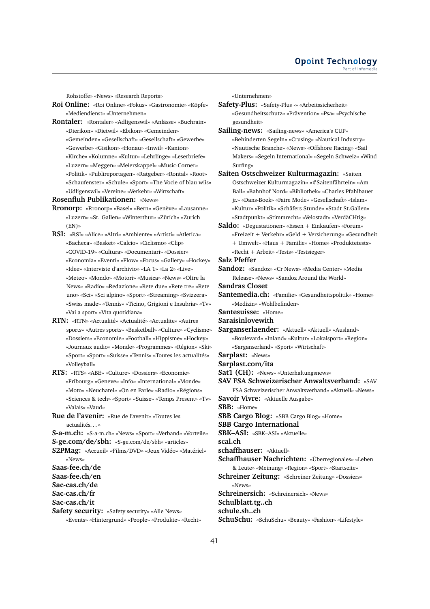Rohstoffe» «News» «Research Reports»

- **Roi Online:** «Roi Online» «Fokus» «Gastronomie» «Köpfe» «Mediendienst» «Unternehmen»
- **Rontaler:** «Rontaler» «Adligenswil» «Anlässe» «Buchrain» «Dierikon» «Dietwil» «Ebikon» «Gemeinden» «Gemeinden» «Gesellschaft» «Gesellschaft» «Gewerbe» «Gewerbe» «Gisikon» «Honau» «Inwil» «Kanton» «Kirche» «Kolumne» «Kultur» «Lehrlinge» «Leserbriefe» «Luzern» «Meggen» «Meierskappel» «Music-Corner» «Politik» «Publireportagen» «Ratgeber» «Rontal» «Root» «Schaufenster» «Schule» «Sport» «The Vocie of blau wiis» «Udligenswil» «Vereine» «Verkehr» «Wirtschaft»

#### **Rosenfluh Publikationen:** «News»

- **Rronorp:** «Rronorp» «Basel» «Bern» «Genève» «Lausanne» «Luzern» «St. Gallen» «Winterthur» «Zürich» «Zurich (EN)»
- **RSI:** «RSI» «Alice» «Altri» «Ambiente» «Artisti» «Atletica» «Bacheca» «Basket» «Calcio» «Ciclismo» «Clip» «COVID-19» «Cultura» «Documentari» «Dossier» «Economia» «Eventi» «Flow» «Focus» «Gallery» «Hockey» «Idee» «Interviste d'archivio» «LA 1» «La 2» «Live» «Meteo» «Mondo» «Motori» «Musica» «News» «Oltre la News» «Radio» «Redazione» «Rete due» «Rete tre» «Rete uno» «Sci» «Sci alpino» «Sport» «Streaming» «Svizzera» «Swiss made» «Tennis» «Ticino, Grigioni e Insubria» «Tv» «Vai a sport» «Vita quotidiana»
- **RTN:** «RTN» «Actualité» «Actualité» «Actualite» «Autres sports» «Autres sports» «Basketball» «Culture» «Cyclisme» «Dossiers» «Economie» «Football» «Hippisme» «Hockey» «Journaux audio» «Monde» «Programmes» «Région» «Ski» «Sport» «Sport» «Suisse» «Tennis» «Toutes les actualités» «Volleyball»
- **RTS:** «RTS» «ABE» «Culture» «Dossiers» «Economie» «Fribourg» «Geneve» «Info» «International» «Monde» «Moto» «Neuchatel» «On en Parle» «Radio» «Régions» «Sciences & tech» «Sport» «Suisse» «Temps Present» «Tv» «Valais» «Vaud»
- **Rue de l'avenir:** «Rue de l'avenir» «Toutes les actualités. . . »
- **S-a-m.ch:** «S-a-m.ch» «News» «Sport» «Verband» «Vorteile»
- **S-ge.com/de/sbh:** «S-ge.com/de/sbh» «articles»
- **S2PMag:** «Accueil» «Films/DVD» «Jeux Vidéo» «Matériel» «News»
- **Saas-fee.ch/de**
- **Saas-fee.ch/en**
- **Sac-cas.ch/de**
- **Sac-cas.ch/fr**
- **Sac-cas.ch/it**
- 

**Safety security:** «Safety security» «Alle News» «Events» «Hintergrund» «People» «Produkte» «Recht» «Unternehmen»

- **Safety-Plus:** «Safety-Plus -» «Arbeitssicherheit» «Gesundheitsschutz» «Prävention» «Psa» «Psychische gesundheit»
- **Sailing-news:** «Sailing-news» «America's CUP» «Behinderten Segeln» «Crusing» «Nautical Industry» «Nautische Branche» «News» «Offshore Racing» «Sail Makers» «Segeln International» «Segeln Schweiz» «Wind Surfing»
- **Saiten Ostschweizer Kulturmagazin:** «Saiten Ostschweizer Kulturmagazin» «#Saitenfährtein» «Am Ball» «Bahnhof Nord» «Bibliothek» «Charles Pfahlbauer jr.» «Dans-Boek» «Faire Mode» «Gesellschaft» «Islam» «Kultur» «Politik» «Schäfers Stunde» «Stadt St.Gallen» «Stadtpunkt» «Stimmrecht» «Velostadt» «VerdäCHtig»
- **Saldo:** «Degustationen» «Essen + Einkaufen» «Forum» «Freizeit + Verkehr» «Geld + Versicherung» «Gesundheit + Umwelt» «Haus + Familie» «Home» «Produktetests» «Recht + Arbeit» «Tests» «Testsieger»
- **Salz Pfeffer**
- **Sandoz:** «Sandoz» «Cr News» «Media Center» «Media Release» «News» «Sandoz Around the World»
- **Sandras Closet**
- **Santemedia.ch:** «Familie» «Gesundheitspolitik» «Home» «Medizin» «Wohlbefinden»
- **Santesuisse:** «Home»
- **Saraisinlovewith**

**Sarganserlaender:** «Aktuell» «Aktuell» «Ausland» «Boulevard» «Inland» «Kultur» «Lokalsport» «Region» «Sarganserland» «Sport» «Wirtschaft»

**Sarplast:** «News»

**Sarplast.com/ita**

- Sat1 (CH): «News» «Unterhaltungsnews»
- **SAV FSA Schweizerischer Anwaltsverband:** «SAV FSA Schweizerischer Anwaltsverband» «Aktuell» «News»
- **Savoir Vivre:** «Aktuelle Ausgabe»
- **SBB:** «Home»
- **SBB Cargo Blog:** «SBB Cargo Blog» «Home»
- **SBB Cargo International**

**SBK–ASI:** «SBK–ASI» «Aktuelle»

**scal.ch**

**schaffhauser:** «Aktuell»

- **Schaffhauser Nachrichten:** «Überregionales» «Leben & Leute» «Meinung» «Region» «Sport» «Startseite»
- **Schreiner Zeitung:** «Schreiner Zeitung» «Dossiers» «News»
- **Schreinersich:** «Schreinersich» «News»

**Schulblatt.tg..ch**

- **schule.sh..ch**
- **SchuSchu:** «SchuSchu» «Beauty» «Fashion» «Lifestyle»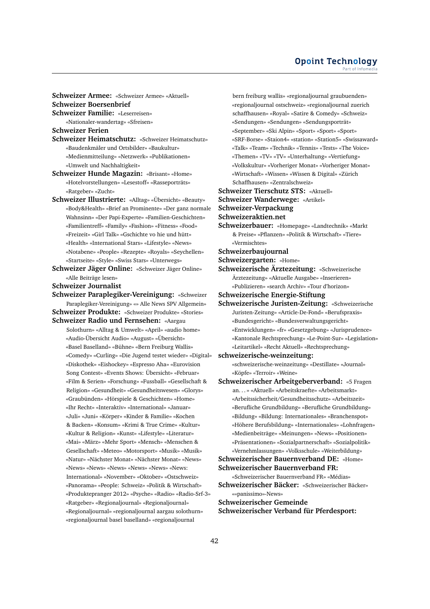**Schweizer Armee:** «Schweizer Armee» «Aktuell» **Schweizer Boersenbrief**

**Schweizer Familie:** «Leserreisen» «Nationaler-wandertag» «Sfreisen»

**Schweizer Ferien**

- **Schweizer Heimatschutz:** «Schweizer Heimatschutz» «Baudenkmäler und Ortsbilder» «Baukultur» «Medienmitteilung» «Netzwerk» «Publikationen» «Umwelt und Nachhaltigkeit»
- **Schweizer Hunde Magazin:** «Brisant» «Home» «Hotelvorstellungen» «Lesestoff» «Rasseporträts» «Ratgeber» «Zucht»
- **Schweizer Illustrierte:** «Alltag» «Übersicht» «Beauty» «Body&Health» «Brief an Prominente» «Der ganz normale Wahnsinn» «Der Papi-Experte» «Familien-Geschichten» «Familientreff» «Family» «Fashion» «Fitness» «Food» «Freizeit» «Girl Talk» «Gschichte vo hie und hütt» «Health» «International Stars» «Lifestyle» «News» «Notabene» «People» «Rezepte» «Royals» «Seychellen» «Startseite» «Style» «Swiss Stars» «Unterwegs»
- **Schweizer Jäger Online:** «Schweizer Jäger Online» «Alle Beiträge lesen»

**Schweizer Journalist**

**Schweizer Paraplegiker-Vereinigung:** «Schweizer Paraplegiker-Vereinigung» «» Alle News SPV Allgemein» **Schweizer Produkte:** «Schweizer Produkte» «Stories»

**Schweizer Radio und Fernsehen:** «Aargau Solothurn» «Alltag & Umwelt» «April» «audio home» «Audio-Übersicht Audio» «August» «Übersicht» «Basel Baselland» «Bühne» «Bern Freiburg Wallis» «Comedy» «Curling» «Die Jugend testet wieder» «Digital» «Diskothek» «Eishockey» «Espresso Aha» «Eurovision Song Contest» «Events Shows: Übersicht» «Februar» «Film & Serien» «Forschung» «Fussball» «Gesellschaft & Religion» «Gesundheit» «Gesundheitswesen» «Glorys» «Graubünden» «Hörspiele & Geschichten» «Home» «Ihr Recht» «Interaktiv» «International» «Januar» «Juli» «Juni» «Körper» «Kinder & Familie» «Kochen & Backen» «Konsum» «Krimi & True Crime» «Kultur» «Kultur & Religion» «Kunst» «Lifestyle» «Literatur» «Mai» «März» «Mehr Sport» «Mensch» «Menschen & Gesellschaft» «Meteo» «Motorsport» «Musik» «Musik» «Natur» «Nächster Monat» «Nächster Monat» «News» «News» «News» «News» «News» «News» «News: International» «November» «Oktober» «Ostschweiz» «Panorama» «People: Schweiz» «Politik & Wirtschaft» «Produktepranger 2012» «Psyche» «Radio» «Radio-Srf-3» «Ratgeber» «Regionaljournal» «Regionaljournal» «Regionaljournal» «regionaljournal aargau solothurn» «regionaljournal basel baselland» «regionaljournal

- bern freiburg wallis» «regionaljournal graubuenden» «regionaljournal ostschweiz» «regionaljournal zuerich schaffhausen» «Royal» «Satire & Comedy» «Schweiz» «Sendungen» «Sendungen» «Sendungsporträt» «September» «Ski Alpin» «Sport» «Sport» «Sport» «SRF-Borse» «Staion4» «station» «Station5» «Swissaward» «Talk» «Team» «Technik» «Tennis» «Tests» «The Voice» «Themen» «TV» «TV» «Unterhaltung» «Vertiefung» «Volkskultur» «Vorheriger Monat» «Vorheriger Monat» «Wirtschaft» «Wissen» «Wissen & Digital» «Zürich Schaffhausen» «Zentralschweiz»
- **Schweizer Tierschutz STS:** «Aktuell»

**Schweizer Wanderwege:** «Artikel»

**Schweizer-Verpackung**

**Schweizeraktien.net**

- **Schweizerbauer:** «Homepage» «Landtechnik» «Markt & Preise» «Pflanzen» «Politik & Wirtschaft» «Tiere» «Vermischtes»
- **Schweizerbaujournal**
- **Schweizergarten:** «Home»
- **Schweizerische Ärztezeitung:** «Schweizerische Ärztezeitung» «Aktuelle Ausgabe» «Inserieren» «Publizieren» «search Archiv» «Tour d'horizon»
- **Schweizerische Energie-Stiftung**
- **Schweizerische Juristen-Zeitung:** «Schweizerische Juristen-Zeitung» «Article-De-Fond» «Berufspraxis» «Bundesgericht» «Bundesverwaltungsgericht» «Entwicklungen» «fr» «Gesetzgebung» «Jurisprudence» «Kantonale Rechtsprechung» «Le-Point-Sur» «Legislation» «Leitartikel» «Recht Aktuell» «Rechtsprechung»
- **schweizerische-weinzeitung:**
	- «schweizerische-weinzeitung» «Destillate» «Journal» «Köpfe» «Terroir» «Weine»
- **Schweizerischer Arbeitgeberverband:** «5 Fragen an. . . » «Aktuell» «Arbeitskraefte» «Arbeitsmarkt» «Arbeitssicherheit/Gesundheitsschutz» «Arbeitszeit» «Berufliche Grundbildung» «Berufliche Grundbildung» «Bildung» «Bildung: Internationales» «Branchenspot» «Höhere Berufsbildung» «Internationales» «Lohnfragen» «Medienbeiträge» «Meinungen» «News» «Positionen» «Präsentationen» «Sozialpartnerschaft» «Sozialpolitik» «Vernehmlassungen» «Volksschule» «Weiterbildung»

# **Schweizerischer Bauernverband DE:** «Home» **Schweizerischer Bauernverband FR:**

«Schweizerischer Bauernverband FR» «Médias»

**Schweizerischer Bäcker:** «Schweizerischer Bäcker» ««panissimo»-News»

**Schweizerischer Gemeinde**

**Schweizerischer Verband für Pferdesport:**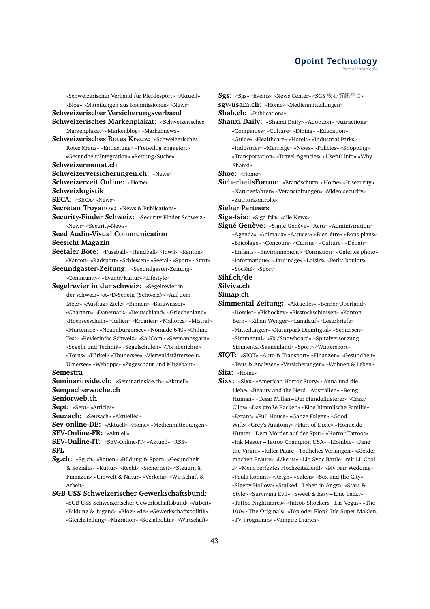«Schweizerischer Verband für Pferdesport» «Aktuell» «Blog» «Mitteilungen aus Kommissionen» «News» **Schweizerischer Versicherungsverband Schweizerisches Markenplakat:** «Schweizerisches Markenplakat» «Markenblog» «Markennews» **Schweizerisches Rotes Kreuz:** «Schweizerisches Rotes Kreuz» «Entlastung» «Freiwillig engagiert» «Gesundheit/Integration» «Rettung/Suche» **Schweizermonat.ch Schweizerversicherungen.ch:** «News» **Schweizerzeit Online:** «Home» **Schweizlogistik SECA:** «SECA» «News» **Secretan Troyanov:** «News & Publications» **Security-Finder Schweiz:** «Security-Finder Schweiz» «News» «Security-News» **Seed Audio-Visual Communication Seesicht Magazin Seetaler Bote:** «Fussball» «Handball» «Inwil» «Kanton» «Kanton» «Radsport» «Schiessen» «Seetal» «Sport» «Start» **Seeundgaster-Zeitung:** «Seeundgaster-Zeitung» «Community» «Events/Kultur» «Lifestyle» **Segelrevier in der schweiz:** «Segelrevier in der schweiz» «A-/D-Schein (Schweiz)» «Auf dem Meer» «Ausflugs-Ziele» «Binnen» «Blauwasser» «Chartern» «Dänemark» «Deutschland» «Griechenland» «Hochseeschein» «Italien» «Kroatien» «Mallorca» «Mistral» «Murtensee» «Neuenburgersee» «Nomade 640» «Online Test» «Revierinfos Schweiz» «SailCom» «Seemannsgarn» «Segeln und Technik» «Segelschulen» «Törnberichte» «Törns» «Türkei» «Thunersee» «Vierwaldstättersee u. Urnersee» «Webtipps» «Zugeschaut und Mitgebaut» **Semestra Seminarinside.ch:** «Seminarinside.ch» «Aktuell» **Sempacherwoche.ch Seniorweb.ch Sept:** «Sept» «Articles» **Seuzach:** «Seuzach» «Aktuelles» **Sev-online-DE:** «Aktuell» «Home» «Medienmitteilungen» **SEV-Online-FR:** «Aktuell» **SEV-Online-IT:** «SEV-Online-IT» «Aktuell» «RSS» **SFL Sg.ch:** «Sg.ch» «Bauen» «Bildung & Sport» «Gesundheit & Soziales» «Kultur» «Recht» «Sicherheit» «Steuern & Finanzen» «Umwelt & Natur» «Verkehr» «Wirtschaft & Arbeit»

**SGB USS Schweizerischer Gewerkschaftsbund:** «SGB USS Schweizerischer Gewerkschaftsbund» «Arbeit» «Bildung & Jugend» «Blog» «de» «Gewerkschaftspolitik» «Gleichstellung» «Migration» «Sozialpolitik» «Wirtschaft»

**Sgs:** «Sgs» «Events» «News Center» «SGS <sup>安</sup>心資訊平台» **sgv-usam.ch:** «Home» «Medienmitteilungen» **Shab.ch:** «Publications» **Shanxi Daily:** «Shanxi Daily» «Adoption» «Attractions» «Companies» «Culture» «Dining» «Education» «Guide» «Healthcare» «Hotels» «Industrial Parks» «Industries» «Marriage» «News» «Policies» «Shopping» «Transportation» «Travel Agencies» «Useful Info» «Why Shanxi» **Shoe:** «Home» **SicherheitsForum:** «Brandschutz» «Home» «It-security»

«Naturgefahren» «Veranstaltungen» «Video-security» «Zutrittskontrolle»

**Sieber Partners**

**Siga-fsia:** «Siga-fsia» «alle News»

**Signé Genève:** «Signé Genève» «Actu» «Administration» «Agenda» «Animaux» «Astuces» «Bien-être» «Bons plans» «Bricolage» «Concours» «Cuisine» «Culture» «Débats» «Enfants» «Environnement» «Formation» «Galeries photo» «Informatique» «Jardinage» «Loisirs» «Petits boulots» «Société» «Sport»

**Sihf.ch/de**

#### **Silviva.ch**

**Simap.ch**

**Simmental Zeitung:** «Aktuelles» «Berner Oberland» «Dossier» «Eishockey» «Eisstockschiessen» «Kanton Bern» «Kilian Wenger» «Langlauf» «Leserbriefe» «Mitteilungen» «Naturpark Diemtigtal» «Schiessen» «Simmental» «Ski/Snowboard» «Spitalversorgung Simmental-Saanenland» «Sport» «Wintersport»

**SIQT:** «SIQT» «Auto & Transport» «Finanzen» «Gesundheit» «Tests & Analysen» «Versicherungen» «Wohnen & Leben» **Sita:** «Home»

**Sixx:** «Sixx» «American Horror Story» «Anna und die Liebe» «Beauty and the Nerd – Australien» «Being Human» «Cesar Millan – Der Hundeflüsterer» «Crazy Clips» «Das große Backen» «Eine himmlische Familie» «Extant» «Full House» «Ganze Folgen» «Good Wife» «Grey's Anatomy» «Hart of Dixie» «Homicide Hunter – Dem Mörder auf der Spur» «Horror Tattoos» «Ink Master – Tattoo Champion USA» «IZombie» «Jane the Virgin» «Killer-Paare – Tödliches Verlangen» «Kleider machen Bräute» «Like us» «Lip Sync Battle – mit LL Cool J» «Mein perfektes Hochzeitskleid!» «My Fair Wedding» «Paula kommt» «Reign» «Salem» «Sex and the City» «Sleepy Hollow» «Stalked – Leben in Angst» «Stars & Style» «Surviving Evil» «Sweet & Easy – Enie backt» «Tattoo Nightmares» «Tattoo Shockers – Las Vegas» «The 100» «The Originals» «Top oder Flop? Die Super-Makler» «TV-Programm» «Vampire Diaries»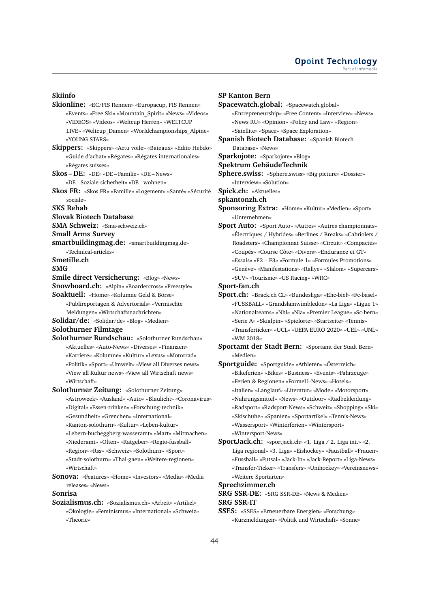#### **Skiinfo**

**Skionline:** «EC/FIS Rennen» «Europacup, FIS Rennen» «Events» «Free Ski» «Mountain\_Spirit» «News» «Videos» «VIDEOS» «Videos» «Weltcup Herren» «WELTCUP LIVE» «Weltcup\_Damen» «Worldchampionships\_Alpine» «YOUNG STARS» **Skippers:** «Skippers» «Actu voile» «Bateaux» «Edito Hebdo» «Guide d'achat» «Régates» «Régates internationales» «Régates suisses» **Skos – DE:** «DE» «DE – Familie» «DE – News» «DE – Soziale-sicherheit» «DE – wohnen» **Skos FR:** «Skos FR» «Famille» «Logement» «Santé» «Sécurité sociale» **SKS Rehab Slovak Biotech Database SMA Schweiz:** «Sma-schweiz.ch» **Small Arms Survey smartbuildingmag.de:** «smartbuildingmag.de» «Technical-articles» **Smetille.ch SMG Smile direct Versicherung:** «Blog» «News» **Snowboard.ch:** «Alpin» «Boardercross» «Freestyle» **Soaktuell:** «Home» «Kolumne Geld & Börse» «Publireportagen & Advertorials» «Vermischte Meldungen» «Wirtschaftsnachrichten» **Solidar/de:** «Solidar/de» «Blog» «Medien» **Solothurner Filmtage Solothurner Rundschau:** «Solothurner Rundschau» «Aktuelles» «Auto-News» «Diverses» «Finanzen» «Karriere» «Kolumne» «Kultur» «Lexus» «Motorrad» «Politik» «Sport» «Umwelt» «View all Diverses news» «View all Kultur news» «View all Wirtschaft news» «Wirtschaft» **Solothurner Zeitung:** «Solothurner Zeitung» «Astroweek» «Ausland» «Auto» «Blaulicht» «Coronavirus» «Digital» «Essen-trinken» «Forschung-technik» «Gesundheit» «Grenchen» «International» «Kanton-solothurn» «Kultur» «Leben-kultur» «Lebern-bucheggberg-wasseramt» «Mart» «Mitmachen» «Niederamt» «Olten» «Ratgeber» «Regio-fussball» «Region» «Rss» «Schweiz» «Solothurn» «Sport» «Stadt-solothurn» «Thal-gaeu» «Weitere-regionen» «Wirtschaft» **Sonova:** «Features» «Home» «Investors» «Media» «Media releases» «News»

# **Sonrisa**

**Sozialismus.ch:** «Sozialismus.ch» «Arbeit» «Artikel» «Ökologie» «Feminismus» «International» «Schweiz» «Theorie»

#### **SP Kanton Bern**

**Spacewatch.global:** «Spacewatch.global» «Entrepreneurship» «Free Content» «Interview» «News» «News RU» «Opinion» «Policy and Law» «Region» «Satellite» «Space» «Space Exploration» **Spanish Biotech Database:** «Spanish Biotech Database» «News» **Sparkojote:** «Sparkojote» «Blog» **Spektrum GebäudeTechnik Sphere.swiss:** «Sphere.swiss» «Big picture» «Dossier» «Interview» «Solution» **Spick.ch:** «Aktuelles» **spkantonzh.ch Sponsoring Extra:** «Home» «Kultur» «Medien» «Sport» «Unternehmen» **Sport Auto:** «Sport Auto» «Autres» «Autres championnats» «Électriques / Hybrides» «Berlines / Breaks» «Cabriolets / Roadsters» «Championnat Suisse» «Circuit» «Compactes» «Coupés» «Course Côte» «Divers» «Endurance et GT» «Essais» «F2 – F3» «Formule 1» «Formules Promotions» «Genève» «Manifestations» «Rallye» «Slalom» «Supercars» «SUV» «Tourisme» «US Racing» «WRC» **Sport-fan.ch Sport.ch:** «Brack.ch CL» «Bundesliga» «Ehc-biel» «Fc-basel»

- «FUSSBALL» «Grandslamwimbledon» «La Liga» «Ligue 1» «Nationalteams» «Nhl» «Nla» «Premier League» «Sc-bern» «Serie A» «Skialpin» «Spielorte» «Startseite» «Tennis» «Transferticker» «UCL» «UEFA EURO 2020» «UEL» «UNL» «WM 2018»
- **Sportamt der Stadt Bern:** «Sportamt der Stadt Bern» «Medien»
- **Sportguide:** «Sportguide» «Athleten» «Österreich» «Bikeferien» «Bikes» «Business» «Events» «Fahrzeuge» «Ferien & Regionen» «Formel1-News» «Hotels» «Italien» «Langlauf» «Literatur» «Mode» «Motorsport» «Nahrungsmittel» «News» «Outdoor» «Radbekleidung» «Radsport» «Radsport-News» «Schweiz» «Shopping» «Ski» «Skischuhe» «Spanien» «Sportartikel» «Tennis-News» «Wassersport» «Winterferien» «Wintersport» «Wintersport-News»
- **SportJack.ch:** «sportjack.ch» «1. Liga / 2. Liga int.» «2. Liga regional» «3. Liga» «Eishockey» «Faustball» «Frauen» «Fussball» «Futsal» «Jack-In» «Jack-Report» «Liga-News» «Transfer-Ticker» «Transfers» «Unihockey» «Vereinsnews» «Weitere Sportarten»

#### **Sprechzimmer.ch**

**SRG SSR-DE:** «SRG SSR-DE» «News & Medien»

**SRG SSR-IT**

**SSES:** «SSES» «Erneuerbare Energien» «Forschung» «Kurzmeldungen» «Politik und Wirtschaft» «Sonne»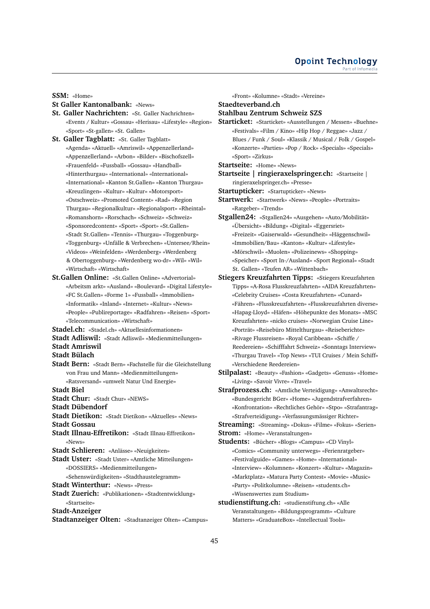**SSM:** «Home»

# **St Galler Kantonalbank:** «News»

- **St. Galler Nachrichten:** «St. Galler Nachrichten» «Events / Kultur» «Gossau» «Herisau» «Lifestyle» «Region» «Sport» «St-gallen» «St. Gallen»
- **St. Galler Tagblatt:** «St. Galler Tagblatt» «Agenda» «Aktuell» «Amriswil» «Appenzellerland» «Appenzellerland» «Arbon» «Bilder» «Bischofszell» «Frauenfeld» «Fussball» «Gossau» «Handball» «Hinterthurgau» «International» «International» «International» «Kanton St.Gallen» «Kanton Thurgau» «Kreuzlingen» «Kultur» «Kultur» «Motorsport» «Ostschweiz» «Promoted Content» «Rad» «Region Thurgau» «Regionalkultur» «Regionalsport» «Rheintal» «Romanshorn» «Rorschach» «Schweiz» «Schweiz» «Sponsoredcontent» «Sport» «Sport» «St.Gallen» «Stadt St.Gallen» «Tennis» «Thurgau» «Toggenburg» «Toggenburg» «Unfälle & Verbrechen» «Untersee/Rhein» «Videos» «Weinfelden» «Werdenberg» «Werdenberg & Obertoggenburg» «Werdenberg wo-dr» «Wil» «Wil» «Wirtschaft» «Wirtschaft»
- **St.Gallen Online:** «St.Gallen Online» «Advertorial» «Arbeitsm arkt» «Ausland» «Boulevard» «Digital Lifestyle» «FC St.Gallen» «Forme 1» «Fussball» «Immobilien» «Informatik» «Inland» «Internet» «Kultur» «News» «People» «Publireportage» «Radfahren» «Reisen» «Sport» «Telecommunication» «Wirtschaft»
- **Stadel.ch:** «Stadel.ch» «Aktuellesinformationen»
- **Stadt Adliswil:** «Stadt Adliswil» «Medienmitteilungen»
- **Stadt Amriswil**
- **Stadt Bülach**
- **Stadt Bern:** «Stadt Bern» «Fachstelle für die Gleichstellung von Frau und Mann» «Medienmitteilungen» «Ratsversand» «umwelt Natur Und Energie»

**Stadt Biel**

- **Stadt Chur:** «Stadt Chur» «NEWS»
- **Stadt Dübendorf**
- **Stadt Dietikon:** «Stadt Dietikon» «Aktuelles» «News» **Stadt Gossau**
- **Stadt Illnau-Effretikon:** «Stadt Illnau-Effretikon» «News»
- **Stadt Schlieren:** «Anlässe» «Neuigkeiten»
- **Stadt Uster:** «Stadt Uster» «Amtliche Mitteilungen» «DOSSIERS» «Medienmitteilungen»
	- «Sehenswürdigkeiten» «Stadthaustelegramm»
- **Stadt Winterthur:** «News» «Press»
- **Stadt Zuerich:** «Publikationen» «Stadtentwicklung» «Startseite»
- **Stadt-Anzeiger**
- **Stadtanzeiger Olten:** «Stadtanzeiger Olten» «Campus»

«Front» «Kolumne» «Stadt» «Vereine» **Staedteverband.ch Stahlbau Zentrum Schweiz SZS Starticket:** «Starticket» «Ausstellungen / Messen» «Buehne»

- «Festivals» «Film / Kino» «Hip Hop / Reggae» «Jazz / Blues / Funk / Soul» «Klassik / Musical / Folk / Gospel» «Konzerte» «Parties» «Pop / Rock» «Specials» «Specials» «Sport» «Zirkus»
- **Startseite:** «Home» «News»
- **Startseite | ringieraxelspringer.ch:** «Startseite | ringieraxelspringer.ch» «Presse»
- **Startupticker:** «Startupticker» «News»
- **Startwerk:** «Startwerk» «News» «People» «Portraits» «Ratgeber» «Trends»
- **Stgallen24:** «Stgallen24» «Ausgehen» «Auto/Mobilität» «Übersicht» «Bildung» «Digital» «Eggersriet» «Freizeit» «Gaiserwald» «Gesundheit» «Häggenschwil» «Immobilien/Bau» «Kanton» «Kultur» «Lifestyle» «Mörschwil» «Muolen» «Polizeinews» «Shopping» «Speicher» «Sport In-/Ausland» «Sport Regional» «Stadt St. Gallen» «Teufen AR» «Wittenbach»
- **Stiegers Kreuzfahrten Tipps:** «Stiegers Kreuzfahrten Tipps» «A-Rosa Flusskreuzfahrten» «AIDA Kreuzfahrten» «Celebrity Cruises» «Costa Kreuzfahrten» «Cunard» «Fähren» «Flusskreuzfahrten» «Flusskreuzfahrten diverse» «Hapag-Lloyd» «Häfen» «Höhepunkte des Monats» «MSC Kreuzfahrten» «nicko cruises» «Norwegian Cruise Line» «Porträt» «Reisebüro Mittelthurgau» «Reiseberichte» «Rivage Flussreisen» «Royal Caribbean» «Schiffe / Reedereien» «Schifffahrt Schweiz» «Sonntags Interview» «Thurgau Travel» «Top News» «TUI Cruises / Mein Schiff» «Verschiedene Reedereien»
- **Stilpalast:** «Beauty» «Fashion» «Gadgets» «Genuss» «Home» «Living» «Savoir Vivre» «Travel»
- **Strafprozess.ch:** «Amtliche Verteidigung» «Anwaltsrecht» «Bundesgericht BGer» «Home» «Jugendstrafverfahren» «Konfrontation» «Rechtliches Gehör» «Stpo» «Strafantrag» «Strafverteidigung» «Verfassungsmässiger Richter»
- **Streaming:** «Streaming» «Dokus» «Filme» «Fokus» «Serien» **Strom:** «Home» «Veranstaltungen»
- 
- **Students:** «Bücher» «Blogs» «Campus» «CD Vinyl» «Comics» «Community unterwegs» «Ferienratgeber» «Festivalguide» «Games» «Home» «International» «Interview» «Kolumnen» «Konzert» «Kultur» «Magazin» «Marktplatz» «Matura Party Contest» «Movie» «Music» «Party» «Politkolumne» «Reisen» «students.ch» «Wissenswertes zum Studium»
- **studienstiftung.ch:** «studienstiftung.ch» «Alle Veranstaltungen» «Bildungsprogramm» «Culture Matters» «GraduateBox» «Intellectual Tools»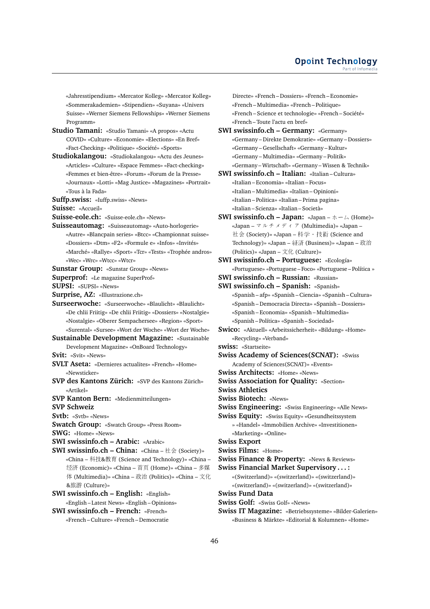«Jahresstipendium» «Mercator Kolleg» «Mercator Kolleg» «Sommerakademien» «Stipendien» «Suyana» «Univers Suisse» «Werner Siemens Fellowships» «Werner Siemens Programm»

- **Studio Tamani:** «Studio Tamani» «A propos» «Actu COVID» «Culture» «Economie» «Elections» «En Bref» «Fact-Checking» «Politique» «Société» «Sports»
- **Studiokalangou:** «Studiokalangou» «Actu des Jeunes» «Articles» «Culture» «Espace Femmes» «Fact-checking» «Femmes et bien-être» «Forum» «Forum de la Presse» «Journaux» «Lotti» «Mag Justice» «Magazines» «Portrait» «Tous à la Fada»
- **Suffp.swiss:** «Iuffp.swiss» «News»

**Suisse:** «Accueil»

- **Suisse-eole.ch:** «Suisse-eole.ch» «News»
- **Suisseautomag:** «Suisseautomag» «Auto-horlogerie» «Autre» «Blancpain series» «Btcc» «Championnat suisse» «Dossiers» «Dtm» «F2» «Formule e» «Infos» «Invités» «Marché» «Rallye» «Sport» «Tcr» «Tests» «Trophée andros» «Wec» «Wrc» «Wtcc» «Wtcr»
- **Sunstar Group:** «Sunstar Group» «News»
- **Superprof:** «Le magazine SuperProf»
- **SUPSI:** «SUPSI» «News»
- **Surprise, AZ:** «Illustrazione.ch»
- **Surseerwoche:** «Surseerwoche» «Blaulicht» «Blaulicht» «De chlii Friitig» «De chlii Friitig» «Dossiers» «Nostalgie» «Nostalgie» «Oberer Sempachersee» «Region» «Sport» «Surental» «Sursee» «Wort der Woche» «Wort der Woche»
- **Sustainable Development Magazine:** «Sustainable Development Magazine» «OnBoard Technology»
- **Svit:** «Svit» «News»
- **SVLT Aseta:** «Dernieres actualites» «French» «Home» «Newsticker»
- **SVP des Kantons Zürich:** «SVP des Kantons Zürich» «Artikel»
- **SVP Kanton Bern:** «Medienmitteilungen»
- **SVP Schweiz**
- **Svtb:** «Svtb» «News»
- **Swatch Group:** «Swatch Group» «Press Room»
- **SWG:** «Home» «News»
- **SWI swissinfo.ch Arabic:** «Arabic»
- **SWI swissinfo.ch China:** «China 社会 (Society)» «China – <sup>科</sup>技&教育 (Science and Technology)» «China – <sup>经</sup><sup>济</sup> (Economic)» «China – <sup>首</sup>页 (Home)» «China – 多<sup>媒</sup> 体 (Multimedia)» «China – <sup>政</sup><sup>治</sup> (Politics)» «China – <sup>文</sup>化 &旅游 (Culture)»
- **SWI swissinfo.ch English:** «English» «English – Latest News» «English – Opinions»
- **SWI swissinfo.ch French:** «French» «French – Culture» «French – Democratie

Directe» «French – Dossiers» «French – Economie» «French – Multimedia» «French – Politique» «French – Science et technologie» «French – Société» «French – Toute l'actu en bref»

- **SWI swissinfo.ch Germany:** «Germany» «Germany – Direkte Demokratie» «Germany – Dossiers» «Germany – Gesellschaft» «Germany – Kultur» «Germany – Multimedia» «Germany – Politik» «Germany – Wirtschaft» «Germany – Wissen & Technik»
- **SWI swissinfo.ch Italian:** «Italian Cultura» «Italian – Economia» «Italian – Focus» «Italian – Multimedia» «Italian – Opinioni» «Italian – Politica» «Italian – Prima pagina» «Italian – Scienza» «Italian – Società»
- **SWI swissinfo.ch Japan:** «Japan ホーム (Home)» «Japan – マルチメディア (Multimedia)» «Japan – 社会 (Society)» «Japan – 科学・技術 (Science and Technology)» «Japan – 経済 (Business)» «Japan – 政治 (Politics)» «Japan – <sup>文</sup>化 (Culture)»
- **SWI swissinfo.ch Portuguese:** «Ecología» «Portuguese» «Portuguese – Foco» «Portuguese – Política »
- **SWI swissinfo.ch Russian:** «Russian»
- **SWI swissinfo.ch Spanish:** «Spanish» «Spanish – afp» «Spanish – Ciencia» «Spanish – Cultura» «Spanish – Democracia Directa» «Spanish – Dossiers» «Spanish – Economia» «Spanish – Multimedia» «Spanish – Política» «Spanish – Sociedad»
- **Swico:** «Aktuell» «Arbeitssicherheit» «Bildung» «Home» «Recycling» «Verband»
- **swiss:** «Startseite»
- **Swiss Academy of Sciences(SCNAT):** «Swiss Academy of Sciences(SCNAT)» «Events»
- **Swiss Architects:** «Home» «News»
- **Swiss Association for Quality:** «Section»
- **Swiss Athletics**
- **Swiss Biotech:** «News»
- **Swiss Engineering:** «Swiss Engineering» «Alle News»
- **Swiss Equity:** «Swiss Equity» «Gesundheitssystem » «Handel» «Immobilien Archive» «Investitionen»

«Marketing» «Online»

- **Swiss Export**
- **Swiss Films:** «Home»
- **Swiss Finance & Property:** «News & Reviews»
- **Swiss Financial Market Supervisory . . . :** «(Switzerland)» «(switzerland)» «(switzerland)» «(switzerland)» «(switzerland)» «(switzerland)»
- **Swiss Fund Data**

**Swiss Golf:** «Swiss Golf» «News»

**Swiss IT Magazine:** «Betriebssysteme» «Bilder-Galerien» «Business & Märkte» «Editorial & Kolumnen» «Home»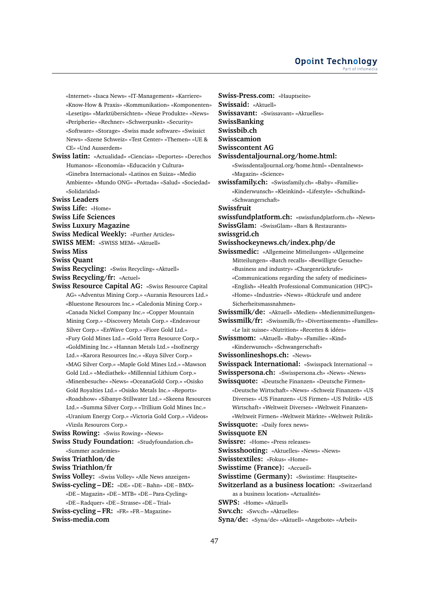«Internet» «Isaca News» «IT-Management» «Karriere» «Know-How & Praxis» «Kommunikation» «Komponenten» «Lesetips» «Marktübersichten» «Neue Produkte» «News» «Peripherie» «Rechner» «Schwerpunkt» «Security» «Software» «Storage» «Swiss made software» «Swissict News» «Szene Schweiz» «Test Center» «Themen» «UE & CE» «Und Ausserdem»

**Swiss latin:** «Actualidad» «Ciencias» «Deportes» «Derechos Humanos» «Economía» «Educación y Cultura» «Ginebra Internacional» «Latinos en Suiza» «Medio Ambiente» «Mundo ONG» «Portada» «Salud» «Sociedad» «Solidaridad»

- **Swiss Leaders**
- **Swiss Life:** «Home»
- **Swiss Life Sciences**
- **Swiss Luxury Magazine**
- **Swiss Medical Weekly:** «Further Articles»
- **SWISS MEM:** «SWISS MEM» «Aktuell»
- **Swiss Miss**
- 
- **Swiss Quant**
- **Swiss Recycling:** «Swiss Recycling» «Aktuell» **Swiss Recycling/fr:** «Actuel»
- **Swiss Resource Capital AG:** «Swiss Resource Capital AG» «Adventus Mining Corp.» «Aurania Resources Ltd.» «Bluestone Resources Inc.» «Caledonia Mining Corp.» «Canada Nickel Company Inc.» «Copper Mountain Mining Corp.» «Discovery Metals Corp.» «Endeavour Silver Corp.» «EnWave Corp.» «Fiore Gold Ltd.» «Fury Gold Mines Ltd.» «Gold Terra Resource Corp.» «GoldMining Inc.» «Hannan Metals Ltd.» «IsoEnergy Ltd.» «Karora Resources Inc.» «Kuya Silver Corp.» «MAG Silver Corp.» «Maple Gold Mines Ltd.» «Mawson Gold Ltd.» «Mediathek» «Millennial Lithium Corp.» «Minenbesuche» «News» «OceanaGold Corp.» «Osisko Gold Royalties Ltd.» «Osisko Metals Inc.» «Reports» «Roadshow» «Sibanye-Stillwater Ltd.» «Skeena Resources Ltd.» «Summa Silver Corp.» «Trillium Gold Mines Inc.» «Uranium Energy Corp.» «Victoria Gold Corp.» «Videos» «Vizsla Resources Corp.»
- **Swiss Rowing:** «Swiss Rowing» «News»
- **Swiss Study Foundation:** «Studyfoundation.ch» «Summer academies»
- **Swiss Triathlon/de**
- **Swiss Triathlon/fr**
- **Swiss Volley:** «Swiss Volley» «Alle News anzeigen»
- **Swiss-cycling DE:** «DE» «DE Bahn» «DE BMX» «DE – Magazin» «DE – MTB» «DE – Para-Cycling» «DE – Radquer» «DE – Strasse» «DE – Trial» **Swiss-cycling – FR:** «FR» «FR – Magazine»
- **Swiss-media.com**

**Swiss-Press.com:** «Hauptseite» **Swissaid:** «Aktuell» **Swissavant:** «Swissavant» «Aktuelles» **SwissBanking Swissbib.ch Swisscamion Swisscontent AG Swissdentaljournal.org/home.html:** «Swissdentaljournal.org/home.html» «Dentalnews» «Magazin» «Science» **swissfamily.ch:** «Swissfamily.ch» «Baby» «Familie» «Kinderwunsch» «Kleinkind» «Lifestyle» «Schulkind» «Schwangerschaft» **Swissfruit swissfundplatform.ch:** «swissfundplatform.ch» «News» **SwissGlam:** «SwissGlam» «Bars & Restaurants» **swissgrid.ch Swisshockeynews.ch/index.php/de Swissmedic:** «Allgemeine Mitteilungen» «Allgemeine Mitteilungen» «Batch recalls» «Bewilligte Gesuche» «Business and industry» «Chargenrückrufe» «Communications regarding the safety of medicines» «English» «Health Professional Communication (HPC)» «Home» «Industrie» «News» «Rückrufe und andere Sicherheitsmassnahmen» **Swissmilk/de:** «Aktuell» «Medien» «Medienmitteilungen» **Swissmilk/fr:** «Swissmilk/fr» «Divertissements» «Familles» «Le lait suisse» «Nutrition» «Recettes & idées» **Swissmom:** «Aktuell» «Baby» «Familie» «Kind» «Kinderwunsch» «Schwangerschaft» **Swissonlineshops.ch:** «News» **Swisspack International:** «Swisspack International -» **Swisspersona.ch:** «Swisspersona.ch» «News» «News» **Swissquote:** «Deutsche Finanzen» «Deutsche Firmen» «Deutsche Wirtschaft» «News» «Schweiz Finanzen» «US Diverses» «US Finanzen» «US Firmen» «US Politik» «US Wirtschaft» «Weltweit Diverses» «Weltweit Finanzen» «Weltweit Firmen» «Weltweit Märkte» «Weltweit Politik» **Swissquote:** «Daily forex news» **Swissquote EN Swissre:** «Home» «Press releases» **Swissshooting:** «Aktuelles» «News» «News» **Swisstextiles:** «Fokus» «Home» **Swisstime (France):** «Accueil» **Swisstime (Germany):** «Swisstime: Hauptseite» **Switzerland as a business location:** «Switzerland as a business location» «Actualités» **SWPS:** «Home» «Aktuell» **Swv.ch:** «Swv.ch» «Aktuelles» **Syna/de:** «Syna/de» «Aktuell» «Angebote» «Arbeit»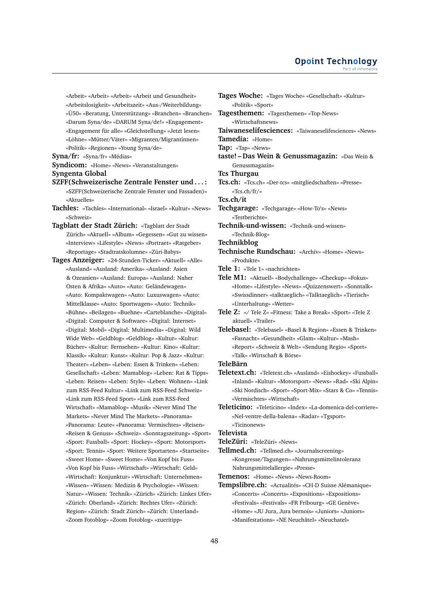«Arbeit» «Arbeit» «Arbeit» «Arbeit und Gesundheit» «Arbeitslosigkeit» «Arbeitszeit» «Aus-/Weiterbildung» «Ü50» «Beratung, Unterstützung» «Branchen» «Branchen» «Darum Syna/de» «DARUM Syna/de!» «Engagement» «Engagement für alle» «Gleichstellung» «Jetzt lesen» «Löhne» «Mütter/Väter» «Migranten/Migrantinnen» «Politik» «Regionen» «Young Syna/de»

**Syna/fr:** «Syna/fr» «Médias»

**Syndicom:** «Home» «News» «Veranstaltungen» **Syngenta Global**

- **SZFF(Schweizerische Zentrale Fenster und . . . :** «SZFF(Schweizerische Zentrale Fenster und Fassaden)» «Aktuelles»
- **Tachles:** «Tachles» «International» «Israel» «Kultur» «News» «Schweiz»
- **Tagblatt der Stadt Zürich:** «Tagblatt der Stadt Zürich» «Aktuell» «Album» «Gegessen» «Gut zu wissen» «Interview» «Lifestyle» «News» «Portraet» «Ratgeber» «Reportage» «Stadtratskolumne» «Züri-Babys»

**Tages Anzeiger:** «24-Stunden-Ticker» «Aktuell» «Alle» «Ausland» «Ausland: Amerika» «Ausland: Asien & Ozeanien» «Ausland: Europa» «Ausland: Naher Osten & Afrika» «Auto» «Auto: Geländewagen» «Auto: Kompaktwagen» «Auto: Luxuswagen» «Auto: Mittelklasse» «Auto: Sportwagen» «Auto: Technik» «Bühne» «Beilagen» «Buehne» «Carteblanche» «Digital» «Digital: Computer & Software» «Digital: Internet» «Digital: Mobil» «Digital: Multimedia» «Digital: Wild Wide Web» «Geldblog» «Geldblog» «Kultur» «Kultur: Bücher» «Kultur: Fernsehen» «Kultur: Kino» «Kultur: Klassik» «Kultur: Kunst» «Kultur: Pop & Jazz» «Kultur: Theater» «Leben» «Leben: Essen & Trinken» «Leben: Gesellschaft» «Leben: Mamablog» «Leben: Rat & Tipps» «Leben: Reisen» «Leben: Style» «Leben: Wohnen» «Link zum RSS-Feed Kultur» «Link zum RSS-Feed Schweiz» «Link zum RSS-Feed Sport» «Link zum RSS-Feed Wirtschaft» «Mamablog» «Musik» «Never Mind The Markets» «Never Mind The Markets» «Panorama» «Panorama: Leute» «Panorama: Vermischtes» «Reisen» «Reisen & Genuss» «Schweiz» «Sonntagszeitung» «Sport» «Sport: Fussball» «Sport: Hockey» «Sport: Motorsport» «Sport: Tennis» «Sport: Weitere Sportarten» «Startseite» «Sweet Home» «Sweet Home» «Von Kopf bis Fuss» «Von Kopf bis Fuss» «Wirtschaft» «Wirtschaft: Geld» «Wirtschaft: Konjunktur» «Wirtschaft: Unternehmen» «Wissen» «Wissen: Medizin & Psychologie» «Wissen: Natur» «Wissen: Technik» «Zürich» «Zürich: Linkes Ufer» «Zürich: Oberland» «Zürich: Rechtes Ufer» «Zürich: Region» «Zürich: Stadt Zürich» «Zürich: Unterland» «Zoom Fotoblog» «Zoom Fotoblog» «zueritipp»

**Tages Woche:** «Tages Woche» «Gesellschaft» «Kultur» «Politik» «Sport» **Tagesthemen:** «Tagesthemen» «Top-News» «Wirtschaftsnews» **Taiwaneselifesciences:** «Taiwaneselifesciences» «News» **Tamedia:** «Home» **Tap:** «Tap» «News» **taste! – Das Wein & Genussmagazin:** «Das Wein & Genussmagazin» **Tcs Thurgau Tcs.ch:** «Tcs.ch» «Der-tcs» «mitgliedschaften» «Presse» «Tcs.ch/fr/» **Tcs.ch/it Techgarage:** «Techgarage» «How-To's» «News» «Testberichte» **Technik-und-wissen:** «Technik-und-wissen» «Technik-Blog» **Technikblog Technische Rundschau:** «Archiv» «Home» «News» «Produkte» **Tele 1:** «Tele 1» «nachrichten» **Tele M1:** «Aktuell» «Bodychallenge» «Checkup» «Fokus» «Home» «Lifestyle» «News» «Quizzenswert» «Sonntalk» «Swissdinner» «talktaeglich» «Talktaeglich» «Tierisch» «Unterhaltung» «Wetter» **Tele Z:** «/ Tele Z» «Fitness: Take a Break» «Sport» «Tele Z aktuell» «Trailer» **Telebasel:** «Telebasel» «Basel & Region» «Essen & Trinken» «Fasnacht» «Gesundheit» «Glam» «Kultur» «Mash» «Report» «Schweiz & Welt» «Sendung Regio» «Sport» «Talk» «Wirtschaft & Börse» **TeleBärn Teletext.ch:** «Teletext.ch» «Ausland» «Eishockey» «Fussball» «Inland» «Kultur» «Motorsport» «News» «Rad» «Ski Alpin» «Ski Nordisch» «Sport» «Sport-Mix» «Stars & Co» «Tennis» «Vermischtes» «Wirtschaft» **Teleticino:** «Teleticino» «Index» «La-domenica-del-corriere» «Nel-ventre-della-balena» «Radar» «Tgsport» «Ticinonews» **Televista TeleZüri:** «TeleZüri» «News»

**Tellmed.ch:** «Tellmed.ch» «Journalscreening» «Kongresse/Tagungen» «Nahrungsmittelintoleranz Nahrungsmittelallergie» «Presse»

**Temenos:** «Home» «News» «News-Room»

**Tempslibre.ch:** «Actualités» «CH-D Suisse Alémanique» «Concerts» «Concerts» «Expositions» «Expositions» «Festivals» «Festivals» «FR Fribourg» «GE Genève» «Home» «JU Jura, Jura bernois» «Juniors» «Juniors» «Manifestations» «NE Neuchâtel» «Neuchatel»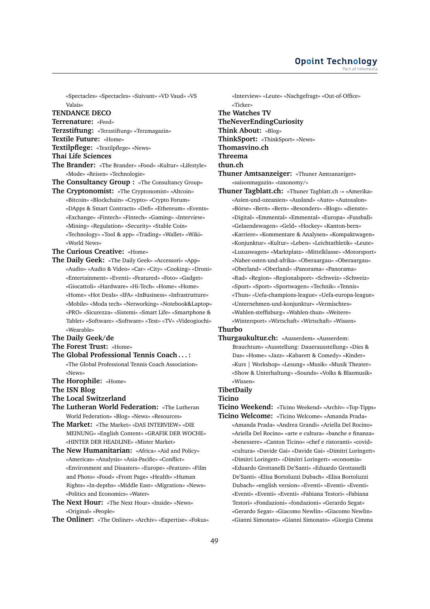«Spectacles» «Spectacles» «Suivant» «VD Vaud» «VS Valais»

#### **TENDANCE DECO**

**Terrenature:** «Feed»

**Terzstiftung:** «Terzstiftung» «Terzmagazin»

#### **Textile Future:** «Home»

**Textilpflege:** «Textilpflege» «News»

- **Thai Life Sciences**
- 
- **The Brander:** «The Brander» «Food» «Kultur» «Lifestyle» «Mode» «Reisen» «Technologie»
- **The Consultancy Group :** «The Consultancy Group»
- **The Cryptonomist:** «The Cryptonomist» «Altcoin» «Bitcoin» «Blockchain» «Crypto» «Crypto Forum» «DApps & Smart Contracts» «Defi» «Ethereum» «Events» «Exchange» «Fintech» «Fintech» «Gaming» «Interview» «Mining» «Regulation» «Security» «Stable Coin» «Technology» «Tool & app» «Trading» «Wallet» «Wiki» «World News»
- **The Curious Creative:** «Home»
- **The Daily Geek:** «The Daily Geek» «Accessori» «App» «Audio» «Audio & Video» «Car» «City» «Cooking» «Droni» «Entertainment» «Eventi» «Featured» «Foto» «Gadget» «Giocattoli» «Hardware» «Hi-Tech» «Home» «Home» «Home» «Hot Deals» «IFA» «InBusiness» «Infrastrutture» «Mobile» «Moda tech» «Networking» «Notebook&Laptop» «PRO» «Sicurezza» «Sistemi» «Smart Life» «Smartphone & Tablet» «Software» «Software» «Test» «TV» «Videogiochi» «Wearable»
- **The Daily Geek/de**
- **The Forest Trust:** «Home»
- **The Global Professional Tennis Coach . . . :** «The Global Professional Tennis Coach Association»  $\mathcal{N}_{\text{OMAC}}$
- **The Horophile:** «Home»
- **The ISN Blog**
- **The Local Switzerland**
- **The Lutheran World Federation:** «The Lutheran World Federation» «Blog» «News» «Resources»
- **The Market:** «The Market» «DAS INTERVIEW» «DIE MEINUNG» «English Content» «GRAFIK DER WOCHE» «HINTER DER HEADLINE» «Mister Market»
- **The New Humanitarian:** «Africa» «Aid and Policy» «Americas» «Analysis» «Asia-Pacific» «Conflict» «Environment and Disasters» «Europe» «Feature» «Film and Photo» «Food» «Front Page» «Health» «Human Rights» «In-depths» «Middle East» «Migration» «News» «Politics and Economics» «Water»
- **The Next Hour:** «The Next Hour» «Inside» «News» «Original» «People»
- **The Onliner:** «The Onliner» «Archiv» «Expertise» «Fokus»
- «Interview» «Leute» «Nachgefragt» «Out-of-Office» «Ticker» **The Watches TV TheNeverEndingCuriosity Think About:** «Blog» **ThinkSport:** «ThinkSport» «News» **Thomasvino.ch**
- **Threema**

**thun.ch**

**Thuner Amtsanzeiger:** «Thuner Amtsanzeiger» «saisonmagazin» «taxonomy/»

**Thuner Tagblatt.ch:** «Thuner Tagblatt.ch -» «Amerika» «Asien-und-ozeanien» «Ausland» «Auto» «Autosalon» «Börse» «Bern» «Bern» «Besonders» «Blogs» «dienste» «Digital» «Emmental» «Emmental» «Europa» «Fussball» «Gelaendewagen» «Geld» «Hockey» «Kanton-bern» «Karriere» «Kommentare & Analysen» «Kompaktwagen» «Konjunktur» «Kultur» «Leben» «Leichtathletik» «Leute» «Luxuswagen» «Marktplatz» «Mittelklasse» «Motorsport» «Naher-osten-und-afrika» «Oberaargau» «Oberaargau» «Oberland» «Oberland» «Panorama» «Panorama» «Rad» «Region» «Regionalsport» «Schweiz» «Schweiz» «Sport» «Sport» «Sportwagen» «Technik» «Tennis» «Thun» «Uefa-champions-league» «Uefa-europa-league» «Unternehmen-und-konjunktur» «Vermischtes» «Wahlen-steffisburg» «Wahlen-thun» «Weitere» «Wintersport» «Wirtschaft» «Wirtschaft» «Wissen»

# **Thurbo**

**Thurgaukultur.ch:** «Ausserdem» «Ausserdem: Brauchtum» «Ausstellung: Dauerausstellung» «Dies & Das» «Home» «Jazz» «Kabarett & Comedy» «Kinder» «Kurs | Workshop» «Lesung» «Musik» «Musik Theater» «Show & Unterhaltung» «Sounds» «Volks & Blasmusik» «Wissen»

#### **TibetDaily**

#### **Ticino**

- **Ticino Weekend:** «Ticino Weekend» «Archiv» «Top-Tipps»
- **Ticino Welcome:** «Ticino Welcome» «Amanda Prada» «Amanda Prada» «Andrea Grandi» «Ariella Del Rocino» «Ariella Del Rocino» «arte e cultura» «banche e finanza» «benessere» «Canton Ticino» «chef e ristoranti» «covid» «cultura» «Davide Gai» «Davide Gai» «Dimitri Loringett» «Dimitri Loringett» «Dimitri Loringett» «economia» «Eduardo Grottanelli De'Santi» «Eduardo Grottanelli De'Santi» «Elisa Bortoluzzi Dubach» «Elisa Bortoluzzi Dubach» «english version» «Eventi» «Eventi» «Eventi» «Eventi» «Eventi» «Eventi» «Fabiana Testori» «Fabiana Testori» «Fondazioni» «fondazioni» «Gerardo Segat» «Gerardo Segat» «Giacomo Newlin» «Giacomo Newlin» «Gianni Simonato» «Gianni Simonato» «Giorgia Cimma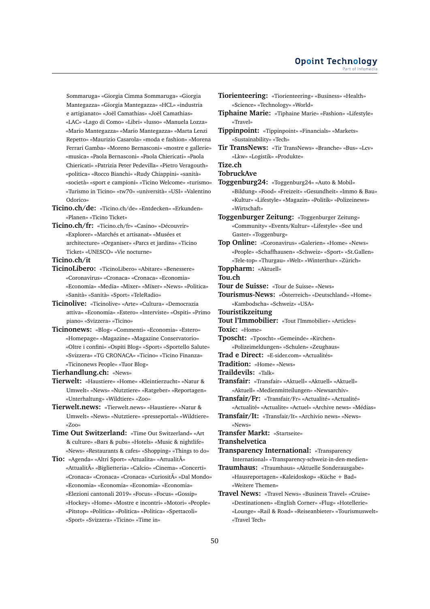Sommaruga» «Giorgia Cimma Sommaruga» «Giorgia Mantegazza» «Giorgia Mantegazza» «HCL» «industria e artigianato» «Joël Camathias» «Joël Camathias» «LAC» «Lago di Como» «Libri» «lusso» «Manuela Lozza» «Mario Mantegazza» «Mario Mantegazza» «Marta Lenzi Repetto» «Maurizio Casarola» «moda e fashion» «Morena Ferrari Gamba» «Moreno Bernasconi» «mostre e gallerie» «musica» «Paola Bernasconi» «Paola Chiericati» «Paola Chiericati» «Patrizia Peter Pedevilla» «Pietro Veragouth» «politica» «Rocco Bianchi» «Rudy Chiappini» «sanità» «società» «sport e campioni» «Ticino Welcome» «turismo» «Turismo in Ticino» «tw70» «università» «USI» «Valentino Odorico»

- **Ticino.ch/de:** «Ticino.ch/de» «Entdecken» «Erkunden» «Planen» «Ticino Ticket»
- **Ticino.ch/fr:** «Ticino.ch/fr» «Casino» «Découvrir» «Explorer» «Marchés et artisanat» «Musées et architecture» «Organiser» «Parcs et jardins» «Ticino Ticket» «UNESCO» «Vie nocturne»

**Ticino.ch/it**

- **TicinoLibero:** «TicinoLibero» «Abitare» «Benessere» «Coronavirus» «Cronaca» «Cronaca» «Economia» «Economia» «Media» «Mixer» «Mixer» «News» «Politica» «Sanità» «Sanità» «Sport» «TeleRadio»
- **Ticinolive:** «Ticinolive» «Arte» «Cultura» «Democrazia attiva» «Economia» «Estero» «Interviste» «Ospiti» «Primo piano» «Svizzera» «Ticino»
- **Ticinonews:** «Blog» «Commenti» «Economia» «Estero» «Homepage» «Magazine» «Magazine Conservatorio» «Oltre i confini» «Ospiti Blog» «Sport» «Sportello Salute» «Svizzera» «TG CRONACA» «Ticino» «Ticino Finanza» «Ticinonews People» «Tuor Blog»

**Tierhandlung.ch:** «News»

- **Tierwelt:** «Haustiere» «Home» «Kleintierzucht» «Natur & Umwelt» «News» «Nutztiere» «Ratgeber» «Reportagen» «Unterhaltung» «Wildtiere» «Zoo»
- **Tierwelt.news:** «Tierwelt.news» «Haustiere» «Natur & Umwelt» «News» «Nutztiere» «presseportal» «Wildtiere» «Zoo»

**Time Out Switzerland:** «Time Out Switzerland» «Art & culture» «Bars & pubs» «Hotels» «Music & nightlife» «News» «Restaurants & cafes» «Shopping» «Things to do»

**Tio:** «Agenda» «Altri Sport» «Attualita» «Attualitû «Attualitû «Biglietteria» «Calcio» «Cinema» «Concerti» «Cronaca» «Cronaca» «Cronaca» «Curiositû «Dal Mondo» «Economia» «Economia» «Economia» «Economia» «Elezioni cantonali 2019» «Focus» «Focus» «Gossip» «Hockey» «Home» «Mostre e incontri» «Motori» «People» «Pitstop» «Politica» «Politica» «Politica» «Spettacoli»

«Sport» «Svizzera» «Ticino» «Time in»

- **Tiorienteering:** «Tiorienteering» «Business» «Health» «Science» «Technology» «World»
- **Tiphaine Marie:** «Tiphaine Marie» «Fashion» «Lifestyle» «Travel»
- **Tippinpoint:** «Tippinpoint» «Financials» «Markets» «Sustainability» «Tech»
- **Tir TransNews:** «Tir TransNews» «Branche» «Bus» «Lcv» «Lkw» «Logistik» «Produkte»

# **Tize.ch**

**TobruckAve**

**Toggenburg24:** «Toggenburg24» «Auto & Mobil» «Bildung» «Food» «Freizeit» «Gesundheit» «Immo & Bau» «Kultur» «Lifestyle» «Magazin» «Politik» «Polizeinews» «Wirtschaft»

**Toggenburger Zeitung:** «Toggenburger Zeitung» «Community» «Events/Kultur» «Lifestyle» «See und Gaster» «Toggenburg»

**Top Online:** «Coronavirus» «Galerien» «Home» «News» «People» «Schaffhausen» «Schweiz» «Sport» «St.Gallen» «Tele-top» «Thurgau» «Welt» «Winterthur» «Zürich»

**Toppharm:** «Aktuell»

- **Tou.ch**
- **Tour de Suisse:** «Tour de Suisse» «News»
- **Tourismus-News:** «Österreich» «Deutschland» «Home» «Kambodscha» «Schweiz» «USA»
- **Touristikzeitung**
- **Tout l'Immobilier:** «Tout l'Immobilier» «Articles»

**Toxic:** «Home»

- **Tposcht:** «Tposcht» «Gemeinde» «Kirchen»
	- «Polizeimeldungen» «Schulen» «Zeughaus»
- **Trad e Direct:** «E-sider.com» «Actualités»
- **Tradition:** «Home» «News»
- **Traildevils:** «Talk»
- **Transfair:** «Transfair» «Aktuell» «Aktuell» «Aktuell» «Aktuell» «Medienmitteilungen» «Newsarchiv»
- **Transfair/Fr:** «Transfair/Fr» «Actualité» «Actualité» «Actualité» «Actualite» «Actuel» «Archive news» «Médias»
- **Transfair/It:** «Transfair/It» «Archivio news» «News» «News»

**Transfer Markt:** «Startseite»

**Transhelvetica**

**Transparency International:** «Transparency International» «Transparency-schweiz-in-den-medien»

- **Traumhaus:** «Traumhaus» «Aktuelle Sonderausgabe» «Hausreportagen» «Kaleidoskop» «Küche + Bad» «Weitere Themen»
- **Travel News:** «Travel News» «Business Travel» «Cruise» «Destinationen» «English Corner» «Flug» «Hotellerie» «Lounge» «Rail & Road» «Reiseanbieter» «Tourismuswelt» «Travel Tech»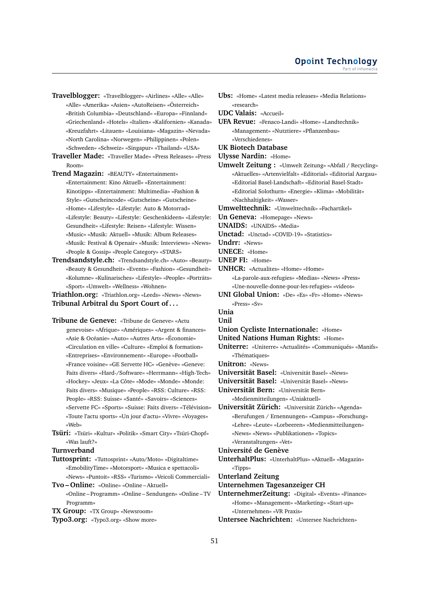**Travelblogger:** «Travelblogger» «Airlines» «Alle» «Alle» «Alle» «Amerika» «Asien» «AutoReisen» «Österreich» «British Columbia» «Deutschland» «Europa» «Finnland» «Griechenland» «Hotels» «Italien» «Kalifornien» «Kanada» «Kreuzfahrt» «Litauen» «Louisiana» «Magazin» «Nevada» «North Carolina» «Norwegen» «Philippinen» «Polen» «Schweden» «Schweiz» «Singapur» «Thailand» «USA»

**Traveller Made:** «Traveller Made» «Press Releases» «Press Room»

- **Trend Magazin:** «BEAUTY» «Entertainment» «Entertainment: Kino Aktuell» «Entertainment: Kinotipps» «Entertainment: Multimedia» «Fashion & Style» «Gutscheincode» «Gutscheine» «Gutscheine» «Home» «Lifestyle» «Lifestyle: Auto & Motorrad» «Lifestyle: Beauty» «Lifestyle: Geschenkideen» «Lifestyle: Gesundheit» «Lifestyle: Reisen» «Lifestyle: Wissen» «Music» «Musik: Aktuell» «Musik: Album Releases» «Musik: Festival & Openair» «Musik: Interviews» «News» «People & Gossip» «People Category» «STARS»
- **Trendsandstyle.ch:** «Trendsandstyle.ch» «Auto» «Beauty» «Beauty & Gesundheit» «Events» «Fashion» «Gesundheit» «Kolumne» «Kulinarisches» «Lifestyle» «People» «Porträts» «Sport» «Umwelt» «Wellness» «Wohnen»

**Triathlon.org:** «Triathlon.org» «Leeds» «News» «News» **Tribunal Arbitral du Sport Court of . . .**

- **Tribune de Geneve:** «Tribune de Geneve» «Actu genevoise» «Afrique» «Amériques» «Argent & finances» «Asie & Océanie» «Auto» «Autres Arts» «Économie» «Circulation en ville» «Culture» «Emploi & formation» «Entreprises» «Environnement» «Europe» «Football» «France voisine» «GE Servette HC» «Genève» «Geneve: Faits divers» «Hard-/Software» «Herrmann» «High-Tech» «Hockey» «Jeux» «La Côte» «Mode» «Monde» «Monde: Faits divers» «Musique» «People» «RSS: Culture» «RSS: People» «RSS: Suisse» «Santé» «Savoirs» «Sciences» «Servette FC» «Sports» «Suisse: Faits divers» «Télévision» «Toute l'actu sports» «Un jour d'actu» «Vivre» «Voyages» «Web»
- **Tsüri:** «Tsüri» «Kultur» «Politik» «Smart City» «Tsüri-Chopf» «Was lauft?»

**Turnverband**

- **Tuttosprint:** «Tuttosprint» «Auto/Moto» «Digitaltime» «EmobilityTime» «Motorsport» «Musica e spettacoli» «News» «Puntoit» «RSS» «Turismo» «Veicoli Commerciali»
- **Tvo Online:** «Online» «Online Aktuell» «Online – Programm» «Online – Sendungen» «Online – TV Programm»
- **TX Group:** «TX Group» «Newsroom»
- **Typo3.org:** «Typo3.org» «Show more»

«research» **UDC Valais:** «Accueil» **UFA Revue:** «Fenaco-Landi» «Home» «Landtechnik» «Management» «Nutztiere» «Pflanzenbau» «Verschiedenes»

**Ubs:** «Home» «Latest media releases» «Media Relations»

#### **UK Biotech Database**

**Ulysse Nardin:** «Home»

- **Umwelt Zeitung :** «Umwelt Zeitung» «Abfall / Recycling» «Aktuelles» «Artenvielfalt» «Editorial» «Editorial Aargau» «Editorial Basel-Landschaft» «Editorial Basel-Stadt» «Editorial Solothurn» «Energie» «Klima» «Mobilität» «Nachhaltigkeit» «Wasser»
- **Umwelttechnik:** «Umwelttechnik» «Fachartikel»
- **Un Geneva:** «Homepage» «News»
- **UNAIDS:** «UNAIDS» «Media»
- **Unctad:** «Unctad» «COVID-19» «Statistics»
- **Undrr:** «News»
- **UNECE:** «Home»
- **UNEP FI:** «Home»
- **UNHCR:** «Actualites» «Home» «Home»

«La-parole-aux-refugies» «Medias» «News» «Press» «Une-nouvelle-donne-pour-les-refugies» «videos»

- **UNI Global Union:** «De» «Es» «Fr» «Home» «News» «Press» «Sv»
- **Unia**

**Unil**

- **Union Cycliste Internationale:** «Home»
- **United Nations Human Rights:** «Home»
- **Uniterre:** «Uniterre» «Actualités» «Communiqués» «Manifs» «Thématiques»
- **Unitron:** «News»
- **Universität Basel:** «Universität Basel» «News»
- **Universität Basel:** «Universität Basel» «News»
- **Universität Bern:** «Universität Bern» «Medienmitteilungen» «Uniaktuell»
- **Universität Zürich:** «Universität Zürich» «Agenda» «Berufungen / Ernennungen» «Campus» «Forschung» «Lehre» «Leute» «Lorbeeren» «Medienmitteilungen» «News» «News» «Publikationen» «Topics» «Veranstaltungen» «Vet»

## **Université de Genève**

**UnterhaltPlus:** «UnterhaltPlus» «Aktuell» «Magazin» «Tipps»

**Unterland Zeitung**

- **Unternehmen Tagesanzeiger CH**
- **UnternehmerZeitung:** «Digital» «Events» «Finance» «Home» «Management» «Marketing» «Start-up» «Unternehmen» «VR Praxis»
- **Untersee Nachrichten:** «Untersee Nachrichten»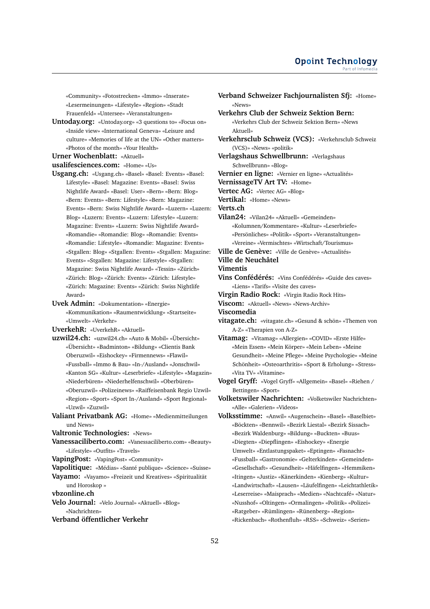«Community» «Fotostrecken» «Immo» «Inserate» «Lesermeinungen» «Lifestyle» «Region» «Stadt Frauenfeld» «Untersee» «Veranstaltungen»

- **Untoday.org:** «Untoday.org» «3 questions to» «Focus on» «Inside view» «International Geneva» «Leisure and culture» «Memories of life at the UN» «Other matters» «Photos of the month» «Your Health»
- **Urner Wochenblatt:** «Aktuell»

**usalifesciences.com:** «Home» «Us»

- **Usgang.ch:** «Usgang.ch» «Basel» «Basel: Events» «Basel: Lifestyle» «Basel: Magazine: Events» «Basel: Swiss Nightlife Award» «Basel: User» «Bern» «Bern: Blog» «Bern: Events» «Bern: Lifestyle» «Bern: Magazine: Events» «Bern: Swiss Nightlife Award» «Luzern» «Luzern: Blog» «Luzern: Events» «Luzern: Lifestyle» «Luzern: Magazine: Events» «Luzern: Swiss Nightlife Award» «Romandie» «Romandie: Blog» «Romandie: Events» «Romandie: Lifestyle» «Romandie: Magazine: Events» «Stgallen: Blog» «Stgallen: Events» «Stgallen: Magazine: Events» «Stgallen: Magazine: Lifestyle» «Stgallen: Magazine: Swiss Nightlife Award» «Tessin» «Zürich» «Zürich: Blog» «Zürich: Events» «Zürich: Lifestyle» «Zürich: Magazine: Events» «Zürich: Swiss Nightlife Award»
- **Uvek Admin:** «Dokumentation» «Energie» «Kommunikation» «Raumentwicklung» «Startseite» «Umwelt» «Verkehr»

**UverkehR:** «UverkehR» «Aktuell»

- **uzwil24.ch:** «uzwil24.ch» «Auto & Mobil» «Übersicht» «Übersicht» «Badminton» «Bildung» «Clientis Bank Oberuzwil» «Eishockey» «Firmennews» «Flawil» «Fussball» «Immo & Bau» «In-/Ausland» «Jonschwil» «Kanton SG» «Kultur» «Leserbriefe» «Lifestyle» «Magazin» «Niederbüren» «Niederhelfenschwil» «Oberbüren» «Oberuzwil» «Polizeinews» «Raiffeisenbank Regio Uzwil» «Region» «Sport» «Sport In-/Ausland» «Sport Regional» «Uzwil» «Zuzwil»
- **Valiant Privatbank AG:** «Home» «Medienmitteilungen und News»
- **Valtronic Technologies:** «News»
- **Vanessaciliberto.com:** «Vanessaciliberto.com» «Beauty» «Lifestyle» «Outfits» «Travels»
- **VapingPost:** «VapingPost» «Community»
- **Vapolitique:** «Médias» «Santé publique» «Science» «Suisse»
- **Vayamo:** «Vayamo» «Freizeit und Kreatives» «Spiritualität und Horoskop »
- **vbzonline.ch**
- **Velo Journal:** «Velo Journal» «Aktuell» «Blog» «Nachrichten»
- **Verband öffentlicher Verkehr**

**Verband Schweizer Fachjournalisten Sfj:** «Home» «News» **Verkehrs Club der Schweiz Sektion Bern:** «Verkehrs Club der Schweiz Sektion Bern» «News Aktuell» **Verkehrsclub Schweiz (VCS):** «Verkehrsclub Schweiz (VCS)» «News» «politik» **Verlagshaus Schwellbrunn:** «Verlagshaus Schwellbrunn» «Blog» **Vernier en ligne:** «Vernier en ligne» «Actualités» **VernissageTV Art TV:** «Home» **Vertec AG:** «Vertec AG» «Blog» **Vertikal:** «Home» «News» **Verts.ch Vilan24:** «Vilan24» «Aktuell» «Gemeinden» «Kolumnen/Kommentare» «Kultur» «Leserbriefe» «Persönliches» «Politik» «Sport» «Veranstaltungen» «Vereine» «Vermischtes» «Wirtschaft/Tourismus» **Ville de Genève:** «Ville de Genève» «Actualités» **Ville de Neuchâtel Vimentis Vins Confédérés:** «Vins Confédérés» «Guide des caves» «Liens» «Tarifs» «Visite des caves» **Virgin Radio Rock:** «Virgin Radio Rock Hits» **Viscom:** «Aktuell» «News» «News-Archiv» **Viscomedia vitagate.ch:** «vitagate.ch» «Gesund & schön» «Themen von A-Z» «Therapien von A-Z» **Vitamag:** «Vitamag» «Allergien» «COVID» «Erste Hilfe» «Mein Essen» «Mein Körper» «Mein Leben» «Meine Gesundheit» «Meine Pflege» «Meine Psychologie» «Meine Schönheit» «Osteoarthritis» «Sport & Erholung» «Stress» «Vita TV» «Vitamine» **Vogel Gryff:** «Vogel Gryff» «Allgemein» «Basel» «Riehen / Bettingen» «Sport» **Volketswiler Nachrichten:** «Volketswiler Nachrichten» «Alle» «Galerien» «Videos» **Volksstimme:** «Anwil» «Augenschein» «Basel» «Baselbiet» «Böckten» «Bennwil» «Bezirk Liestal» «Bezirk Sissach» «Bezirk Waldenburg» «Bildung» «Buckten» «Buus» «Diegten» «Diepflingen» «Eishockey» «Energie Umwelt» «Entlastungspaket» «Eptingen» «Fasnacht» «Fussball» «Gastronomie» «Gelterkinden» «Gemeinden» «Gesellschaft» «Gesundheit» «Häfelfingen» «Hemmiken» «Itingen» «Justiz» «Känerkinden» «Kienberg» «Kultur» «Landwirtschaft» «Lausen» «Läufelfingen» «Leichtathletik»

- «Leserreise» «Maisprach» «Medien» «Nachtcafé» «Natur» «Nusshof» «Oltingen» «Ormalingen» «Politik» «Polizei» «Ratgeber» «Rümlingen» «Rünenberg» «Region» «Rickenbach» «Rothenfluh» «RSS» «Schweiz» «Serien»
- 52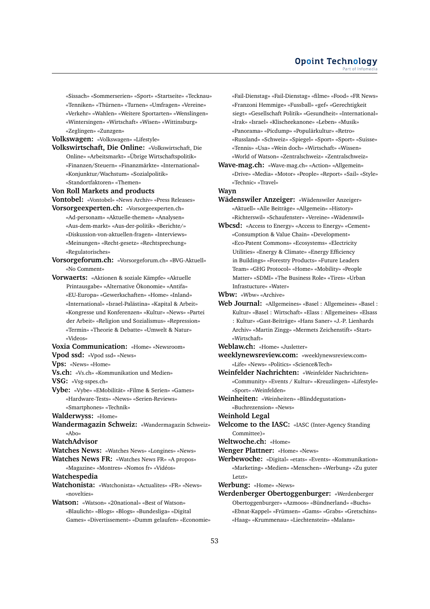#### **Opoint Technology** Part of Infomed

«Sissach» «Sommerserien» «Sport» «Startseite» «Tecknau» «Tenniken» «Thürnen» «Turnen» «Umfragen» «Vereine» «Verkehr» «Wahlen» «Weitere Sportarten» «Wenslingen» «Wintersingen» «Wirtschaft» «Wisen» «Wittinsburg» «Zeglingen» «Zunzgen»

#### **Volkswagen:** «Volkswagen» «Lifestyle»

**Volkswirtschaft, Die Online:** «Volkswirtschaft, Die Online» «Arbeitsmarkt» «Übrige Wirtschaftspolitik» «Finanzen/Steuern» «Finanzmärkte» «International» «Konjunktur/Wachstum» «Sozialpolitik» «Standortfaktoren» «Themen»

**Von Roll Markets and products**

#### **Vontobel:** «Vontobel» «News Archiv» «Press Releases»

- **Vorsorgeexperten.ch:** «Vorsorgeexperten.ch» «Ad-personam» «Aktuelle-themen» «Analysen» «Aus-dem-markt» «Aus-der-politik» «Berichte/» «Diskussion-von-aktuellen-fragen» «Interviews» «Meinungen» «Recht-gesetz» «Rechtsprechung» «Regulatorisches»
- **Vorsorgeforum.ch:** «Vorsorgeforum.ch» «BVG-Aktuell» «No Comment»
- **Vorwaerts:** «Aktionen & soziale Kämpfe» «Aktuelle Printausgabe» «Alternative Ökonomie» «Antifa» «EU-Europa» «Gewerkschaften» «Home» «Inland» «International» «Israel-Palästina» «Kapital & Arbeit» «Kongresse und Konferenzen» «Kultur» «News» «Partei der Arbeit» «Religion und Sozialismus» «Repression» «Termin» «Theorie & Debatte» «Umwelt & Natur» «Videos»
- **Voxia Communication:** «Home» «Newsroom» **Vpod ssd:** «Vpod ssd» «News»
- **Vps:** «News» «Home»
- 
- **Vs.ch:** «Vs.ch» «Kommunikation und Medien»
- **VSG:** «Vsg-sspes.ch»
- **Vybe:** «Vybe» «EMobilität» «Filme & Serien» «Games» «Hardware-Tests» «News» «Serien-Reviews» «Smartphones» «Technik»
- **Walderwyss:** «Home»
- **Wandermagazin Schweiz:** «Wandermagazin Schweiz» «Abo»

# **WatchAdvisor**

- **Watches News:** «Watches News» «Longines» «News»
- **Watches News FR:** «Watches News FR» «A propos» «Magazine» «Montres» «Nomos fr» «Vidéos»

#### **Watchespedia**

- **Watchonista:** «Watchonista» «Actualites» «FR» «News» «novelties»
- **Watson:** «Watson» «20national» «Best of Watson» «Blaulicht» «Blogs» «Blogs» «Bundesliga» «Digital Games» «Divertissement» «Dumm gelaufen» «Economie»

«Fail-Dienstag» «Fail-Dienstag» «filme» «Food» «FR News» «Franzoni Hemmige» «Fussball» «gef» «Gerechtigkeit siegt» «Gesellschaft Politik» «Gesundheit» «International» «Irak» «Israel» «Klischeekanone» «Leben» «Musik» «Panorama» «Picdump» «Populärkultur» «Retro» «Russland» «Schweiz» «Spiegel» «Sport» «Sport» «Suisse» «Tennis» «Usa» «Wein doch» «Wirtschaft» «Wissen» «World of Watson» «Zentralschweiz» «Zentralschweiz»

**Wave-mag.ch:** «Wave-mag.ch» «Action» «Allgemein» «Drive» «Media» «Motor» «People» «Report» «Sail» «Style» «Technic» «Travel»

#### **Wayn**

- **Wädenswiler Anzeiger:** «Wädenswiler Anzeiger» «Aktuell» «Alle Beiträge» «Allgemein» «History» «Richterswil» «Schaufenster» «Vereine» «Wädenswil»
- **Wbcsd:** «Access to Energy» «Access to Energy» «Cement» «Consumption & Value Chain» «Development» «Eco-Patent Commons» «Ecosystems» «Electricity Utilities» «Energy & Climate» «Energy Efficiency in Buildings» «Forestry Products» «Future Leaders Team» «GHG Protocol» «Home» «Mobility» «People Matter» «SDMI» «The Business Role» «Tires» «Urban Infrastucture» «Water»
- **Wbw:** «Wbw» «Archive»
- **Web Journal:** «Allgemeines» «Basel : Allgemeines» «Basel : Kultur» «Basel : Wirtschaft» «Elass : Allgemeines» «Elsass : Kultur» «Gast-Beiträge» «Hans Saner» «J.-P. Lienhards Archiv» «Martin Zingg» «Mermets Zeichenstift» «Start» «Wirtschaft»
- **Weblaw.ch:** «Home» «Jusletter»
- **weeklynewsreview.com:** «weeklynewsreview.com» «Life» «News» «Politics» «Science&Tech»
- **Weinfelder Nachrichten:** «Weinfelder Nachrichten» «Community» «Events / Kultur» «Kreuzlingen» «Lifestyle» «Sport» «Weinfelden»
- **Weinheiten:** «Weinheiten» «Blinddegustation» «Buchrezension» «News»
- 
- **Weinhold Legal**
- **Welcome to the IASC:** «IASC (Inter-Agency Standing Committee)»

**Weltwoche.ch:** «Home»

- **Wenger Plattner:** «Home» «News»
- **Werbewoche:** «Digital» «etats» «Events» «Kommunikation» «Marketing» «Medien» «Menschen» «Werbung» «Zu guter Letzt»

**Werbung:** «Home» «News»

**Werdenberger Obertoggenburger:** «Werdenberger Obertoggenburger» «Azmoos» «Bündnerland» «Buchs» «Ebnat-Kappel» «Frümsen» «Gams» «Grabs» «Gretschins» «Haag» «Krummenau» «Liechtenstein» «Malans»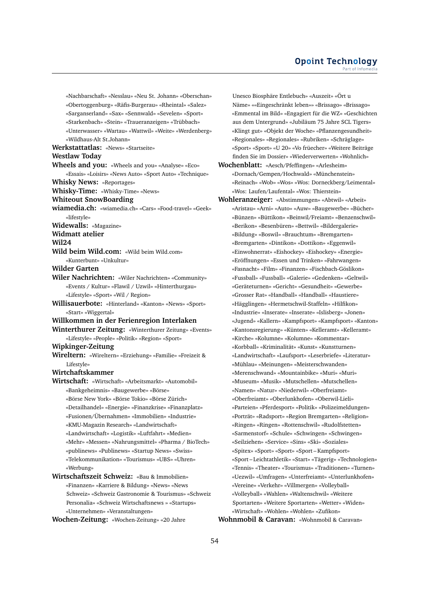«Nachbarschaft» «Nesslau» «Neu St. Johann» «Oberschan» «Obertoggenburg» «Räfis-Burgerau» «Rheintal» «Salez» «Sarganserland» «Sax» «Sennwald» «Sevelen» «Sport» «Starkenbach» «Stein» «Traueranzeigen» «Trübbach» «Unterwasser» «Wartau» «Wattwil» «Weite» «Werdenberg» «Wildhaus-Alt St.Johann» **Werkstattatlas:** «News» «Startseite» **Westlaw Today Wheels and you:** «Wheels and you» «Analyse» «Eco» «Essais» «Loisirs» «News Auto» «Sport Auto» «Technique» **Whisky News:** «Reportages» **Whisky-Time:** «Whisky-Time» «News» **Whiteout SnowBoarding wiamedia.ch:** «wiamedia.ch» «Cars» «Food-travel» «Geek» «lifestyle» **Widewalls:** «Magazine» **Widmatt atelier Wil24 Wild beim Wild.com:** «Wild beim Wild.com» «Kunterbunt» «Unkultur» **Wilder Garten Wiler Nachrichten:** «Wiler Nachrichten» «Community» «Events / Kultur» «Flawil / Uzwil» «Hinterthurgau» «Lifestyle» «Sport» «Wil / Region» **Willisauerbote:** «Hinterland» «Kanton» «News» «Sport» «Start» «Wiggertal» **Willkommen in der Ferienregion Interlaken Winterthurer Zeitung:** «Winterthurer Zeitung» «Events» «Lifestyle» «People» «Politik» «Region» «Sport» **Wipkinger-Zeitung Wireltern:** «Wireltern» «Erziehung» «Familie» «Freizeit & Lifestyle» **Wirtchaftskammer Wirtschaft:** «Wirtschaft» «Arbeitsmarkt» «Automobil» «Bankgeheimnis» «Baugewerbe» «Börse» «Börse New York» «Börse Tokio» «Börse Zürich» «Detailhandel» «Energie» «Finanzkrise» «Finanzplatz» «Fusionen/Übernahmen» «Immobilien» «Industrie» «KMU-Magazin Research» «Landwirtschaft» «Landwirtschaft» «Logistik» «Luftfahrt» «Medien» «Mehr» «Messen» «Nahrungsmittel» «Pharma / BioTech» «publinews» «Publinews» «Startup News» «Swiss» «Telekommunikation» «Tourismus» «UBS» «Uhren» «Werbung» **Wirtschaftszeit Schweiz:** «Bau & Immobilien» «Finanzen» «Karriere & Bildung» «News» «News Schweiz» «Schweiz Gastronomie & Tourismus» «Schweiz

**Wochen-Zeitung:** «Wochen-Zeitung» «20 Jahre

«Unternehmen» «Veranstaltungen»

Personalia» «Schweiz Wirtschaftsnews » «Startups»

Unesco Biosphäre Entlebuch» «Auszeit» «Ört u Näme» ««Eingeschränkt leben»» «Brissago» «Brissago» «Emmental im Bild» «Engagiert für die WZ» «Geschichten aus dem Untergrund» «Jubiläum 75 Jahre SCL Tigers» «Klingt gut» «Objekt der Woche» «Pflanzengesundheit» «Regionales» «Regionales» «Rubriken» «Schräglage» «Sport» «Sport» «U 20» «Vo früecher» «Weitere Beiträge finden Sie im Dossier» «Wiederverwerten» «Wohnlich» **Wochenblatt:** «Aesch/Pfeffingen» «Arlesheim»

«Dornach/Gempen/Hochwald» «Münchenstein» «Reinach» «Wob» «Wos» «Wos: Dorneckberg/Leimental» «Wos: Laufen/Laufental» «Wos: Thierstein»

**Wohleranzeiger:** «Abstimmungen» «Abtwil» «Arbeit» «Aristau» «Arni» «Auto» «Auw» «Baugewerbe» «Bücher» «Bünzen» «Büttikon» «Beinwil/Freiamt» «Benzenschwil» «Berikon» «Besenbüren» «Bettwil» «Bildergalerie» «Bildung» «Boswil» «Brauchtum» «Bremgarten» «Bremgarten» «Dintikon» «Dottikon» «Eggenwil» «Einwohnerrat» «Eishockey» «Eishockey» «Energie» «Eröffnungen» «Essen und Trinken» «Fahrwangen» «Fasnacht» «Film» «Finanzen» «Fischbach-Göslikon» «Fussball» «Fussball» «Galerie» «Gedenken» «Geltwil» «Geräteturnen» «Gericht» «Gesundheit» «Gewerbe» «Grosser Rat» «Handball» «Handball» «Haustiere» «Hägglingen» «Hermetschwil-Staffeln» «Hilfikon» «Industrie» «Inserate» «Inserate» «Islisberg» «Jonen» «Jugend» «Kallern» «Kampfsport» «Kampfsport» «Kanton» «Kantonsregierung» «Künten» «Kelleramt» «Kelleramt» «Kirche» «Kolumne» «Kolumne» «Kommentar» «Korbball» «Kriminalität» «Kunst» «Kunstturnen» «Landwirtschaft» «Laufsport» «Leserbriefe» «Literatur» «Mühlau» «Meinungen» «Meisterschwanden» «Merenschwand» «Mountainbike» «Muri» «Muri» «Museum» «Musik» «Mutschellen» «Mutschellen» «Namen» «Natur» «Niederwil» «Oberfreiamt» «Oberfreiamt» «Oberlunkhofen» «Oberwil-Lieli» «Parteien» «Pferdesport» «Politik» «Polizeimeldungen» «Porträt» «Radsport» «Region Bremgarten» «Religion» «Ringen» «Ringen» «Rottenschwil» «Rudolfstetten» «Sarmenstorf» «Schule» «Schwingen» «Schwingen» «Seilziehen» «Service» «Sins» «Ski» «Soziales» «Spitex» «Sport» «Sport» «Sport – Kampfsport» «Sport – Leichtathletik» «Start» «Tägerig» «Technologien» «Tennis» «Theater» «Tourismus» «Traditionen» «Turnen» «Uezwil» «Umfragen» «Unterfreiamt» «Unterlunkhofen» «Vereine» «Verkehr» «Villmergen» «Volleyball» «Volleyball» «Wahlen» «Waltenschwil» «Weitere Sportarten» «Weitere Sportarten» «Wetter» «Widen» «Wirtschaft» «Wohlen» «Wohlen» «Zufikon»

**Wohnmobil & Caravan:** «Wohnmobil & Caravan»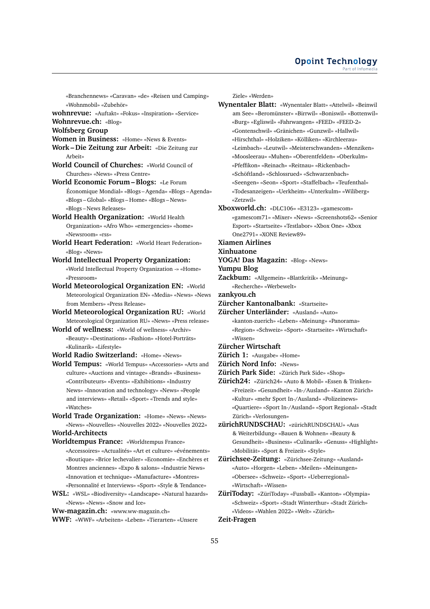«Branchennews» «Caravan» «de» «Reisen und Camping» «Wohnmobil» «Zubehör»

**wohnrevue:** «Auftakt» «Fokus» «Inspiration» «Service»

**Wohnrevue.ch:** «Blog»

- **Wolfsberg Group**
- **Women in Business:** «Home» «News & Events»
- **Work Die Zeitung zur Arbeit:** «Die Zeitung zur Arbeit»
- **World Council of Churches:** «World Council of Churches» «News» «Press Centre»
- **World Economic Forum Blogs:** «Le Forum Économique Mondial» «Blogs – Agenda» «Blogs – Agenda» «Blogs – Global» «Blogs – Home» «Blogs – News» «Blogs – News Releases»
- **World Health Organization:** «World Health Organization» «Afro Who» «emergencies» «home» «Newsroom» «rss»
- **World Heart Federation:** «World Heart Federation» «Blog» «News»
- **World Intellectual Property Organization:** «World Intellectual Property Organization -» «Home» «Pressroom»
- **World Meteorological Organization EN:** «World Meteorological Organization EN» «Media» «News» «News from Members» «Press Release»
- **World Meteorological Organization RU:** «World Meteorological Organization RU» «News» «Press release»
- **World of wellness:** «World of wellness» «Archiv» «Beauty» «Destinations» «Fashion» «Hotel-Porträts» «Kulinarik» «Lifestyle»

**World Radio Switzerland:** «Home» «News»

- **World Tempus:** «World Tempus» «Accessories» «Arts and culture» «Auctions and vintage» «Brands» «Business» «Contributeurs» «Events» «Exhibitions» «Industry News» «Innovation and technology» «News» «People and interviews» «Retail» «Sport» «Trends and style» «Watches»
- **World Trade Organization:** «Home» «News» «News» «News» «Nouvelles» «Nouvelles 2022» «Nouvelles 2022» **World-Architects**

**Worldtempus France:** «Worldtempus France» «Accessoires» «Actualités» «Art et culture» «événements» «Boutique» «Brice lechevalier» «Economie» «Enchères et Montres anciennes» «Expo & salons» «Industrie News» «Innovation et technique» «Manufacture» «Montres» «Personnalité et Interviews» «Sport» «Style & Tendance»

**WSL:** «WSL» «Biodiversity» «Landscape» «Natural hazards» «News» «News» «Snow and Ice»

**Ww-magazin.ch:** «www.ww-magazin.ch»

**WWF:** «WWF» «Arbeiten» «Leben» «Tierarten» «Unsere

Ziele» «Werden»

- **Wynentaler Blatt:** «Wynentaler Blatt» «Attelwil» «Beinwil am See» «Beromünster» «Birrwil» «Boniswil» «Bottenwil» «Burg» «Egliswil» «Fahrwangen» «FEED» «FEED-2» «Gontenschwil» «Gränichen» «Gunzwil» «Hallwil» «Hirschthal» «Holziken» «Kölliken» «Kirchleerau» «Leimbach» «Leutwil» «Meisterschwanden» «Menziken» «Moosleerau» «Muhen» «Oberentfelden» «Oberkulm» «Pfeffikon» «Reinach» «Reitnau» «Rickenbach» «Schöftland» «Schlossrued» «Schwarzenbach» «Seengen» «Seon» «Sport» «Staffelbach» «Teufenthal» «Todesanzeigen» «Uerkheim» «Unterkulm» «Wiliberg» «Zetzwil»
- **Xboxworld.ch:** «DLC106» «E3123» «gamescom» «gamescom71» «Mixer» «News» «Screenshots62» «Senior Esport» «Startseite» «Testlabor» «Xbox One» «Xbox One2791» «XONE Review89»
- **Xiamen Airlines**
- **Xinhuatone**
- **YOGA! Das Magazin:** «Blog» «News»
- **Yumpu Blog**
- **Zackbum:** «Allgemein» «Blattkritik» «Meinung» «Recherche» «Werbewelt»
- **zankyou.ch**
- **Zürcher Kantonalbank:** «Startseite»

**Zürcher Unterländer:** «Ausland» «Auto» «kanton-zuerich» «Leben» «Meinung» «Panorama» «Region» «Schweiz» «Sport» «Startseite» «Wirtschaft» «Wissen»

- **Zürcher Wirtschaft**
- **Zürich 1:** «Ausgabe» «Home»
- **Zürich Nord Info:** «News»
- **Zürich Park Side:** «Zürich Park Side» «Shop»
- **Zürich24:** «Zürich24» «Auto & Mobil» «Essen & Trinken» «Freizeit» «Gesundheit» «In-/Ausland» «Kanton Zürich» «Kultur» «mehr Sport In-/Ausland» «Polizeinews» «Quartiere» «Sport In-/Ausland» «Sport Regional» «Stadt Zürich» «Verlosungen»
- **zürichRUNDSCHAU:** «zürichRUNDSCHAU» «Aus & Weiterbildung» «Bauen & Wohnen» «Beauty & Gesundheit» «Business» «Culinarik» «Genuss» «Highlight» «Mobilität» «Sport & Freizeit» «Style»
- **Zürichsee-Zeitung:** «Zürichsee-Zeitung» «Ausland» «Auto» «Horgen» «Leben» «Meilen» «Meinungen» «Obersee» «Schweiz» «Sport» «Ueberregional» «Wirtschaft» «Wissen»
- **ZüriToday:** «ZüriToday» «Fussball» «Kanton» «Olympia» «Schweiz» «Sport» «Stadt Winterthur» «Stadt Zürich» «Videos» «Wahlen 2022» «Welt» «Zürich»

# **Zeit-Fragen**